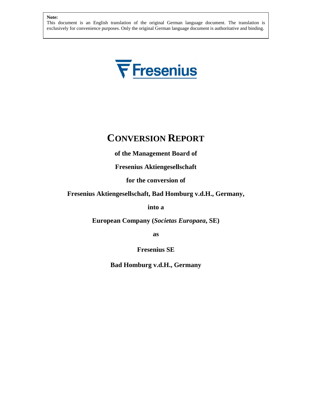This document is an English translation of the original German language document. The translation is exclusively for convenience purposes. Only the original German language document is authoritative and binding.



# **CONVERSION REPORT**

**of the Management Board of** 

**Fresenius Aktiengesellschaft**

**for the conversion of**

# **Fresenius Aktiengesellschaft, Bad Homburg v.d.H., Germany,**

**into a** 

**European Company (***Societas Europaea***, SE)**

**as** 

**Fresenius SE** 

**Bad Homburg v.d.H., Germany**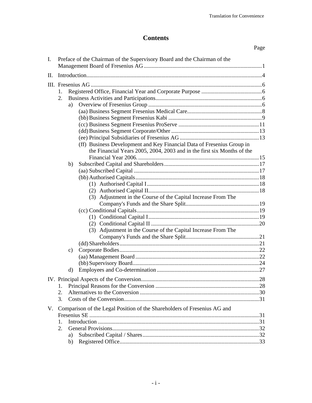# **Contents**

|     |                |               |                                                                          | Page |
|-----|----------------|---------------|--------------------------------------------------------------------------|------|
| I.  |                |               | Preface of the Chairman of the Supervisory Board and the Chairman of the |      |
| II. |                |               |                                                                          |      |
|     |                |               |                                                                          |      |
|     | 1.             |               |                                                                          |      |
|     | 2.             |               |                                                                          |      |
|     |                | a)            |                                                                          |      |
|     |                |               |                                                                          |      |
|     |                |               |                                                                          |      |
|     |                |               |                                                                          |      |
|     |                |               |                                                                          |      |
|     |                |               |                                                                          |      |
|     |                |               | (ff) Business Development and Key Financial Data of Fresenius Group in   |      |
|     |                |               | the Financial Years 2005, 2004, 2003 and in the first six Months of the  |      |
|     |                |               |                                                                          |      |
|     |                | b)            |                                                                          |      |
|     |                |               |                                                                          |      |
|     |                |               |                                                                          |      |
|     |                |               |                                                                          |      |
|     |                |               | (3) Adjustment in the Course of the Capital Increase From The            |      |
|     |                |               |                                                                          |      |
|     |                |               |                                                                          |      |
|     |                |               |                                                                          |      |
|     |                |               |                                                                          |      |
|     |                |               | (3) Adjustment in the Course of the Capital Increase From The            |      |
|     |                |               |                                                                          |      |
|     |                |               |                                                                          |      |
|     |                | $\mathbf{c})$ |                                                                          |      |
|     |                |               |                                                                          |      |
|     |                |               |                                                                          |      |
|     |                | d)            |                                                                          |      |
|     |                |               |                                                                          |      |
|     | 1.             |               |                                                                          |      |
|     | 2.             |               |                                                                          |      |
|     | 3.             |               |                                                                          |      |
| V.  |                |               | Comparison of the Legal Position of the Shareholders of Fresenius AG and |      |
|     |                |               |                                                                          |      |
|     | $\mathbf{1}$ . |               |                                                                          |      |
|     | 2.             |               |                                                                          |      |
|     |                | a)            |                                                                          |      |
|     |                | b)            |                                                                          |      |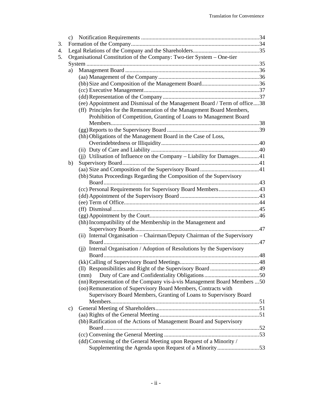|    | Organisational Constitution of the Company: Two-tier System - One-tier    |  |
|----|---------------------------------------------------------------------------|--|
|    |                                                                           |  |
| a) |                                                                           |  |
|    |                                                                           |  |
|    |                                                                           |  |
|    |                                                                           |  |
|    |                                                                           |  |
|    | (ee) Appointment and Dismissal of the Management Board / Term of office38 |  |
|    | (ff) Principles for the Remuneration of the Management Board Members,     |  |
|    | Prohibition of Competition, Granting of Loans to Management Board         |  |
|    |                                                                           |  |
|    |                                                                           |  |
|    | (hh) Obligations of the Management Board in the Case of Loss,             |  |
|    |                                                                           |  |
|    |                                                                           |  |
|    | (j) Utilisation of Influence on the Company – Liability for Damages41     |  |
| b) |                                                                           |  |
|    |                                                                           |  |
|    | (bb) Status Proceedings Regarding the Composition of the Supervisory      |  |
|    |                                                                           |  |
|    | (cc) Personal Requirements for Supervisory Board Members43                |  |
|    |                                                                           |  |
|    |                                                                           |  |
|    |                                                                           |  |
|    |                                                                           |  |
|    | (hh) Incompatibility of the Membership in the Management and              |  |
|    |                                                                           |  |
|    | (ii) Internal Organisation - Chairman/Deputy Chairman of the Supervisory  |  |
|    |                                                                           |  |
|    | (ji) Internal Organisation / Adoption of Resolutions by the Supervisory   |  |
|    |                                                                           |  |
|    |                                                                           |  |
|    |                                                                           |  |
|    | (mm)                                                                      |  |
|    | (nn) Representation of the Company vis-à-vis Management Board Members  50 |  |
|    | (oo) Remuneration of Supervisory Board Members, Contracts with            |  |
|    | Supervisory Board Members, Granting of Loans to Supervisory Board         |  |
|    |                                                                           |  |
| c) |                                                                           |  |
|    |                                                                           |  |
|    | (bb) Ratification of the Actions of Management Board and Supervisory      |  |
|    |                                                                           |  |
|    |                                                                           |  |
|    | (dd) Convening of the General Meeting upon Request of a Minority /        |  |
|    |                                                                           |  |
|    | Supplementing the Agenda upon Request of a Minority53                     |  |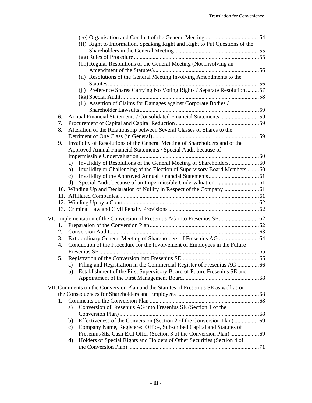|    | (ff) Right to Information, Speaking Right and Right to Put Questions of the         |  |
|----|-------------------------------------------------------------------------------------|--|
|    |                                                                                     |  |
|    |                                                                                     |  |
|    | (hh) Regular Resolutions of the General Meeting (Not Involving an                   |  |
|    |                                                                                     |  |
|    | (ii) Resolutions of the General Meeting Involving Amendments to the                 |  |
|    |                                                                                     |  |
|    | (jj) Preference Shares Carrying No Voting Rights / Separate Resolution  57          |  |
|    |                                                                                     |  |
|    | (II) Assertion of Claims for Damages against Corporate Bodies /                     |  |
|    |                                                                                     |  |
| 6. | Annual Financial Statements / Consolidated Financial Statements 59                  |  |
| 7. |                                                                                     |  |
| 8. | Alteration of the Relationship between Several Classes of Shares to the             |  |
|    |                                                                                     |  |
| 9. | Invalidity of Resolutions of the General Meeting of Shareholders and of the         |  |
|    | Approved Annual Financial Statements / Special Audit because of                     |  |
|    |                                                                                     |  |
|    | a)                                                                                  |  |
|    |                                                                                     |  |
|    | Invalidity or Challenging of the Election of Supervisory Board Members 60<br>b)     |  |
|    | $\mathbf{c})$                                                                       |  |
|    | d)                                                                                  |  |
|    |                                                                                     |  |
|    |                                                                                     |  |
|    |                                                                                     |  |
|    |                                                                                     |  |
|    |                                                                                     |  |
| 1. |                                                                                     |  |
| 2. |                                                                                     |  |
| 3. |                                                                                     |  |
| 4. | Conduction of the Procedure for the Involvement of Employees in the Future          |  |
|    |                                                                                     |  |
| 5. |                                                                                     |  |
|    | Filing and Registration in the Commercial Register of Fresenius AG  66<br>a)        |  |
|    | Establishment of the First Supervisory Board of Future Fresenius SE and<br>b)       |  |
|    |                                                                                     |  |
|    |                                                                                     |  |
|    | VII. Comments on the Conversion Plan and the Statutes of Fresenius SE as well as on |  |
|    |                                                                                     |  |
| 1. |                                                                                     |  |
|    | Conversion of Fresenius AG into Fresenius SE (Section 1 of the<br>a)                |  |
|    |                                                                                     |  |
|    | b)                                                                                  |  |
|    | Company Name, Registered Office, Subscribed Capital and Statutes of<br>c)           |  |
|    |                                                                                     |  |
|    | Holders of Special Rights and Holders of Other Securities (Section 4 of<br>d)       |  |
|    |                                                                                     |  |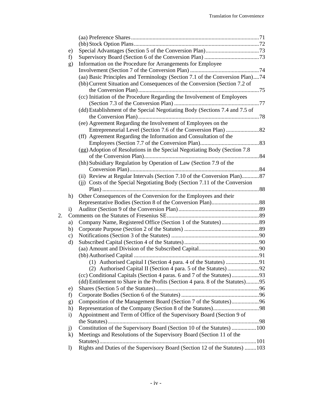| f)            |                                                                             |                                                                                                                                                                                                                                                                                                                                                                                                                                                                                                                                                                                                             |
|---------------|-----------------------------------------------------------------------------|-------------------------------------------------------------------------------------------------------------------------------------------------------------------------------------------------------------------------------------------------------------------------------------------------------------------------------------------------------------------------------------------------------------------------------------------------------------------------------------------------------------------------------------------------------------------------------------------------------------|
|               |                                                                             |                                                                                                                                                                                                                                                                                                                                                                                                                                                                                                                                                                                                             |
|               |                                                                             |                                                                                                                                                                                                                                                                                                                                                                                                                                                                                                                                                                                                             |
|               |                                                                             |                                                                                                                                                                                                                                                                                                                                                                                                                                                                                                                                                                                                             |
|               | (bb) Current Situation and Consequences of the Conversion (Section 7.2 of   |                                                                                                                                                                                                                                                                                                                                                                                                                                                                                                                                                                                                             |
|               |                                                                             |                                                                                                                                                                                                                                                                                                                                                                                                                                                                                                                                                                                                             |
|               |                                                                             |                                                                                                                                                                                                                                                                                                                                                                                                                                                                                                                                                                                                             |
|               |                                                                             |                                                                                                                                                                                                                                                                                                                                                                                                                                                                                                                                                                                                             |
|               | (dd) Establishment of the Special Negotiating Body (Sections 7.4 and 7.5 of |                                                                                                                                                                                                                                                                                                                                                                                                                                                                                                                                                                                                             |
|               |                                                                             |                                                                                                                                                                                                                                                                                                                                                                                                                                                                                                                                                                                                             |
|               | (ee) Agreement Regarding the Involvement of Employees on the                |                                                                                                                                                                                                                                                                                                                                                                                                                                                                                                                                                                                                             |
|               |                                                                             |                                                                                                                                                                                                                                                                                                                                                                                                                                                                                                                                                                                                             |
|               | (ff) Agreement Regarding the Information and Consultation of the            |                                                                                                                                                                                                                                                                                                                                                                                                                                                                                                                                                                                                             |
|               |                                                                             |                                                                                                                                                                                                                                                                                                                                                                                                                                                                                                                                                                                                             |
|               | (gg) Adoption of Resolutions in the Special Negotiating Body (Section 7.8   |                                                                                                                                                                                                                                                                                                                                                                                                                                                                                                                                                                                                             |
|               |                                                                             |                                                                                                                                                                                                                                                                                                                                                                                                                                                                                                                                                                                                             |
|               |                                                                             |                                                                                                                                                                                                                                                                                                                                                                                                                                                                                                                                                                                                             |
|               |                                                                             |                                                                                                                                                                                                                                                                                                                                                                                                                                                                                                                                                                                                             |
|               | (ii) Review at Regular Intervals (Section 7.10 of the Conversion Plan)87    |                                                                                                                                                                                                                                                                                                                                                                                                                                                                                                                                                                                                             |
|               | (ii) Costs of the Special Negotiating Body (Section 7.11 of the Conversion  |                                                                                                                                                                                                                                                                                                                                                                                                                                                                                                                                                                                                             |
|               |                                                                             |                                                                                                                                                                                                                                                                                                                                                                                                                                                                                                                                                                                                             |
| h)            | Other Consequences of the Conversion for the Employees and their            |                                                                                                                                                                                                                                                                                                                                                                                                                                                                                                                                                                                                             |
|               |                                                                             |                                                                                                                                                                                                                                                                                                                                                                                                                                                                                                                                                                                                             |
| $\mathbf{i}$  |                                                                             |                                                                                                                                                                                                                                                                                                                                                                                                                                                                                                                                                                                                             |
|               |                                                                             |                                                                                                                                                                                                                                                                                                                                                                                                                                                                                                                                                                                                             |
| a)            |                                                                             |                                                                                                                                                                                                                                                                                                                                                                                                                                                                                                                                                                                                             |
| b)            |                                                                             |                                                                                                                                                                                                                                                                                                                                                                                                                                                                                                                                                                                                             |
| $\mathbf{c})$ |                                                                             |                                                                                                                                                                                                                                                                                                                                                                                                                                                                                                                                                                                                             |
| $\rm d$       |                                                                             |                                                                                                                                                                                                                                                                                                                                                                                                                                                                                                                                                                                                             |
|               |                                                                             |                                                                                                                                                                                                                                                                                                                                                                                                                                                                                                                                                                                                             |
|               |                                                                             |                                                                                                                                                                                                                                                                                                                                                                                                                                                                                                                                                                                                             |
|               |                                                                             |                                                                                                                                                                                                                                                                                                                                                                                                                                                                                                                                                                                                             |
|               |                                                                             |                                                                                                                                                                                                                                                                                                                                                                                                                                                                                                                                                                                                             |
|               |                                                                             |                                                                                                                                                                                                                                                                                                                                                                                                                                                                                                                                                                                                             |
|               |                                                                             |                                                                                                                                                                                                                                                                                                                                                                                                                                                                                                                                                                                                             |
| e)            |                                                                             |                                                                                                                                                                                                                                                                                                                                                                                                                                                                                                                                                                                                             |
| f)            |                                                                             |                                                                                                                                                                                                                                                                                                                                                                                                                                                                                                                                                                                                             |
| g)            |                                                                             |                                                                                                                                                                                                                                                                                                                                                                                                                                                                                                                                                                                                             |
| h)            |                                                                             |                                                                                                                                                                                                                                                                                                                                                                                                                                                                                                                                                                                                             |
| $\mathbf{i}$  | Appointment and Term of Office of the Supervisory Board (Section 9 of       |                                                                                                                                                                                                                                                                                                                                                                                                                                                                                                                                                                                                             |
|               |                                                                             |                                                                                                                                                                                                                                                                                                                                                                                                                                                                                                                                                                                                             |
| j)            |                                                                             |                                                                                                                                                                                                                                                                                                                                                                                                                                                                                                                                                                                                             |
| $\bf k)$      | Meetings and Resolutions of the Supervisory Board (Section 11 of the        |                                                                                                                                                                                                                                                                                                                                                                                                                                                                                                                                                                                                             |
|               |                                                                             |                                                                                                                                                                                                                                                                                                                                                                                                                                                                                                                                                                                                             |
| $\mathbf{I}$  |                                                                             |                                                                                                                                                                                                                                                                                                                                                                                                                                                                                                                                                                                                             |
|               | e)<br>g)                                                                    | Information on the Procedure for Arrangements for Employee<br>(aa) Basic Principles and Terminology (Section 7.1 of the Conversion Plan)74<br>(cc) Initiation of the Procedure Regarding the Involvement of Employees<br>(hh) Subsidiary Regulation by Operation of Law (Section 7.9 of the<br>(dd) Entitlement to Share in the Profits (Section 4 para. 8 of the Statutes)95<br>Composition of the Management Board (Section 7 of the Statutes)96<br>Constitution of the Supervisory Board (Section 10 of the Statutes) 100<br>Rights and Duties of the Supervisory Board (Section 12 of the Statutes) 103 |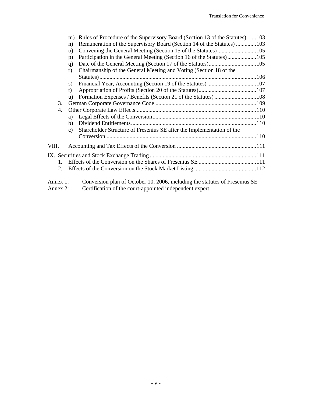|          | m)       | Rules of Procedure of the Supervisory Board (Section 13 of the Statutes) 103 |  |
|----------|----------|------------------------------------------------------------------------------|--|
|          | n)       | Remuneration of the Supervisory Board (Section 14 of the Statutes) 103       |  |
|          | $\Omega$ |                                                                              |  |
|          | p)       |                                                                              |  |
|          | q)       |                                                                              |  |
|          | r)       | Chairmanship of the General Meeting and Voting (Section 18 of the            |  |
|          |          |                                                                              |  |
|          | s)       |                                                                              |  |
|          | t)       |                                                                              |  |
|          | u)       | Formation Expenses / Benefits (Section 21 of the Statutes) 108               |  |
| 3.       |          |                                                                              |  |
| 4.       |          |                                                                              |  |
|          | a)       |                                                                              |  |
|          | b)       |                                                                              |  |
|          | c)       | Shareholder Structure of Fresenius SE after the Implementation of the        |  |
|          |          |                                                                              |  |
| VIII.    |          |                                                                              |  |
|          |          |                                                                              |  |
| 1.       |          |                                                                              |  |
| 2.       |          |                                                                              |  |
|          |          |                                                                              |  |
| Annex 1: |          | Conversion plan of October 10, 2006, including the statutes of Fresenius SE  |  |

Annex 2: Certification of the court-appointed independent expert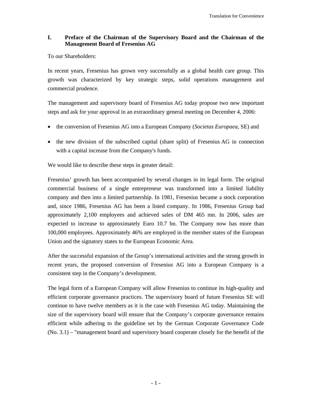# **I. Preface of the Chairman of the Supervisory Board and the Chairman of the Management Board of Fresenius AG**

To our Shareholders:

In recent years, Fresenius has grown very successfully as a global health care group. This growth was characterized by key strategic steps, solid operations management and commercial prudence.

The management and supervisory board of Fresenius AG today propose two new important steps and ask for your approval in an extraordinary general meeting on December 4, 2006:

- the conversion of Fresenius AG into a European Company (*Societas Europaea*, SE) and
- the new division of the subscribed capital (share split) of Fresenius AG in connection with a capital increase from the Company's funds.

We would like to describe these steps in greater detail:

Fresenius' growth has been accompanied by several changes in its legal form. The original commercial business of a single entrepreneur was transformed into a limited liability company and then into a limited partnership. In 1981, Fresenius became a stock corporation and, since 1986, Fresenius AG has been a listed company. In 1986, Fresenius Group had approximately 2,100 employees and achieved sales of DM 465 mn. In 2006, sales are expected to increase to approximately Euro 10.7 bn. The Company now has more than 100,000 employees. Approximately 46% are employed in the member states of the European Union and the signatory states to the European Economic Area.

After the successful expansion of the Group's international activities and the strong growth in recent years, the proposed conversion of Fresenius AG into a European Company is a consistent step in the Company's development.

The legal form of a European Company will allow Fresenius to continue its high-quality and efficient corporate governance practices. The supervisory board of future Fresenius SE will continue to have twelve members as it is the case with Fresenius AG today. Maintaining the size of the supervisory board will ensure that the Company's corporate governance remains efficient while adhering to the guideline set by the German Corporate Governance Code (No. 3.1) – "management board and supervisory board cooperate closely for the benefit of the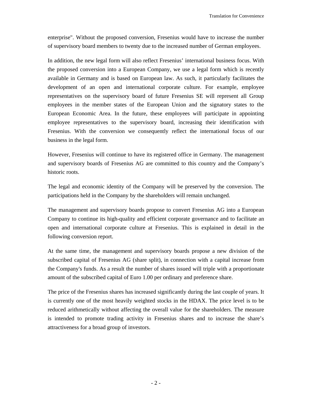enterprise". Without the proposed conversion, Fresenius would have to increase the number of supervisory board members to twenty due to the increased number of German employees.

In addition, the new legal form will also reflect Fresenius' international business focus. With the proposed conversion into a European Company, we use a legal form which is recently available in Germany and is based on European law. As such, it particularly facilitates the development of an open and international corporate culture. For example, employee representatives on the supervisory board of future Fresenius SE will represent all Group employees in the member states of the European Union and the signatory states to the European Economic Area. In the future, these employees will participate in appointing employee representatives to the supervisory board, increasing their identification with Fresenius. With the conversion we consequently reflect the international focus of our business in the legal form.

However, Fresenius will continue to have its registered office in Germany. The management and supervisory boards of Fresenius AG are committed to this country and the Company's historic roots.

The legal and economic identity of the Company will be preserved by the conversion. The participations held in the Company by the shareholders will remain unchanged.

The management and supervisory boards propose to convert Fresenius AG into a European Company to continue its high-quality and efficient corporate governance and to facilitate an open and international corporate culture at Fresenius. This is explained in detail in the following conversion report.

At the same time, the management and supervisory boards propose a new division of the subscribed capital of Fresenius AG (share split), in connection with a capital increase from the Company's funds. As a result the number of shares issued will triple with a proportionate amount of the subscribed capital of Euro 1.00 per ordinary and preference share.

The price of the Fresenius shares has increased significantly during the last couple of years. It is currently one of the most heavily weighted stocks in the HDAX. The price level is to be reduced arithmetically without affecting the overall value for the shareholders. The measure is intended to promote trading activity in Fresenius shares and to increase the share's attractiveness for a broad group of investors.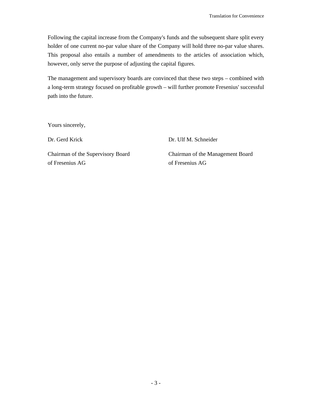Following the capital increase from the Company's funds and the subsequent share split every holder of one current no-par value share of the Company will hold three no-par value shares. This proposal also entails a number of amendments to the articles of association which, however, only serve the purpose of adjusting the capital figures.

The management and supervisory boards are convinced that these two steps – combined with a long-term strategy focused on profitable growth – will further promote Fresenius' successful path into the future.

Yours sincerely,

Dr. Gerd Krick Dr. Ulf M. Schneider

of Fresenius AG of Fresenius AG

Chairman of the Supervisory Board Chairman of the Management Board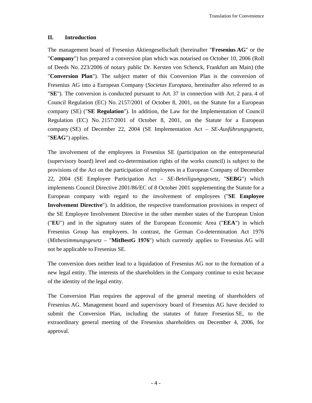# **II. Introduction**

The management board of Fresenius Aktiengesellschaft (hereinafter "**Fresenius AG**" or the "**Company**") has prepared a conversion plan which was notarised on October 10, 2006 (Roll of Deeds No. 223/2006 of notary public Dr. Kersten von Schenck, Frankfurt am Main) (the "**Conversion Plan**"). The subject matter of this Conversion Plan is the conversion of Fresenius AG into a European Company (*Societas Europaea*, hereinafter also referred to as "**SE**"). The conversion is conducted pursuant to Art. 37 in connection with Art. 2 para. 4 of Council Regulation (EC) No. 2157/2001 of October 8, 2001, on the Statute for a European company (SE) ("**SE Regulation**"). In addition, the Law for the Implementation of Council Regulation (EC) No. 2157/2001 of October 8, 2001, on the Statute for a European company (SE) of December 22, 2004 (SE Implementation Act – *SE-Ausführungsgesetz*, "**SEAG**") applies.

The involvement of the employees in Fresenius SE (participation on the entrepreneurial (supervisory board) level and co-determination rights of the works council) is subject to the provisions of the Act on the participation of employees in a European Company of December 22, 2004 (SE Employee Participation Act – *SE-Beteiligungsgesetz*, "**SEBG**") which implements Council Directive 2001/86/EC of 8 October 2001 supplementing the Statute for a European company with regard to the involvement of employees ("**SE Employee Involvement Directive**"). In addition, the respective transformation provisions in respect of the SE Employee Involvement Directive in the other member states of the European Union ("**EU**") and in the signatory states of the European Economic Area ("**EEA**") in which Fresenius Group has employees. In contrast, the German Co-determination Act 1976 (*Mitbestimmungsgesetz* – "**MitBestG 1976**") which currently applies to Fresenius AG will not be applicable to Fresenius SE.

The conversion does neither lead to a liquidation of Fresenius AG nor to the formation of a new legal entity. The interests of the shareholders in the Company continue to exist because of the identity of the legal entity.

The Conversion Plan requires the approval of the general meeting of shareholders of Fresenius AG. Management board and supervisory board of Fresenius AG have decided to submit the Conversion Plan, including the statutes of future Fresenius SE, to the extraordinary general meeting of the Fresenius shareholders on December 4, 2006, for approval.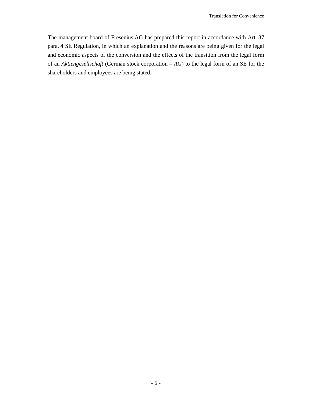The management board of Fresenius AG has prepared this report in accordance with Art. 37 para. 4 SE Regulation, in which an explanation and the reasons are being given for the legal and economic aspects of the conversion and the effects of the transition from the legal form of an *Aktiengesellschaft* (German stock corporation – *AG*) to the legal form of an SE for the shareholders and employees are being stated.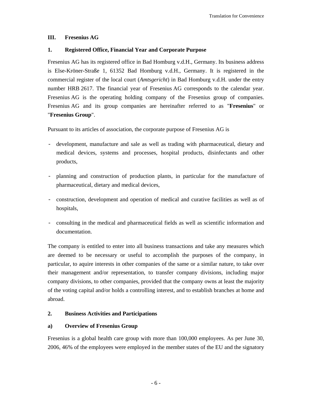# **III. Fresenius AG**

# **1. Registered Office, Financial Year and Corporate Purpose**

Fresenius AG has its registered office in Bad Homburg v.d.H., Germany. Its business address is Else-Kröner-Straße 1, 61352 Bad Homburg v.d.H., Germany. It is registered in the commercial register of the local court (*Amtsgericht*) in Bad Homburg v.d.H. under the entry number HRB 2617. The financial year of Fresenius AG corresponds to the calendar year. Fresenius AG is the operating holding company of the Fresenius group of companies. Fresenius AG and its group companies are hereinafter referred to as "**Fresenius**" or "**Fresenius Group**".

Pursuant to its articles of association, the corporate purpose of Fresenius AG is

- development, manufacture and sale as well as trading with pharmaceutical, dietary and medical devices, systems and processes, hospital products, disinfectants and other products,
- planning and construction of production plants, in particular for the manufacture of pharmaceutical, dietary and medical devices,
- construction, development and operation of medical and curative facilities as well as of hospitals,
- consulting in the medical and pharmaceutical fields as well as scientific information and documentation.

The company is entitled to enter into all business transactions and take any measures which are deemed to be necessary or useful to accomplish the purposes of the company, in particular, to aquire interests in other companies of the same or a similar nature, to take over their management and/or representation, to transfer company divisions, including major company divisions, to other companies, provided that the company owns at least the majority of the voting capital and/or holds a controlling interest, and to establish branches at home and abroad.

# **2. Business Activities and Participations**

# **a) Overview of Fresenius Group**

Fresenius is a global health care group with more than 100,000 employees. As per June 30, 2006, 46% of the employees were employed in the member states of the EU and the signatory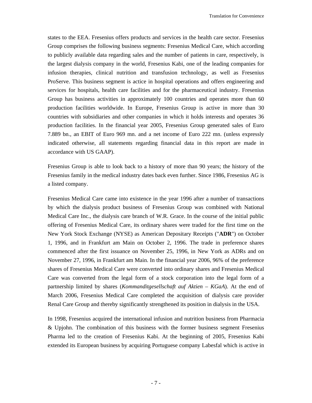states to the EEA. Fresenius offers products and services in the health care sector. Fresenius Group comprises the following business segments: Fresenius Medical Care, which according to publicly available data regarding sales and the number of patients in care, respectively, is the largest dialysis company in the world, Fresenius Kabi, one of the leading companies for infusion therapies, clinical nutrition and transfusion technology, as well as Fresenius ProServe. This business segment is actice in hospital operations and offers engineering and services for hospitals, health care facilities and for the pharmaceutical industry. Fresenius Group has business activities in approximately 100 countries and operates more than 60 production facilities worldwide. In Europe, Fresenius Group is active in more than 30 countries with subsidiaries and other companies in which it holds interests and operates 36 production facilities. In the financial year 2005, Fresenius Group generated sales of Euro 7.889 bn., an EBIT of Euro 969 mn. and a net income of Euro 222 mn. (unless expressly indicated otherwise, all statements regarding financial data in this report are made in accordance with US GAAP).

Fresenius Group is able to look back to a history of more than 90 years; the history of the Fresenius family in the medical industry dates back even further. Since 1986, Fresenius AG is a listed company.

Fresenius Medical Care came into existence in the year 1996 after a number of transactions by which the dialysis product business of Fresenius Group was combined with National Medical Care Inc., the dialysis care branch of W.R. Grace. In the course of the initial public offering of Fresenius Medical Care, its ordinary shares were traded for the first time on the New York Stock Exchange (NYSE) as American Depositary Receipts ("**ADR**") on October 1, 1996, and in Frankfurt am Main on October 2, 1996. The trade in preference shares commenced after the first issuance on November 25, 1996, in New York as ADRs and on November 27, 1996, in Frankfurt am Main. In the financial year 2006, 96% of the preference shares of Fresenius Medical Care were converted into ordinary shares and Fresenius Medical Care was converted from the legal form of a stock corporation into the legal form of a partnership limited by shares (*Kommanditgesellschaft auf Aktien – KGaA*). At the end of March 2006, Fresenius Medical Care completed the acquisition of dialysis care provider Renal Care Group and thereby significantly strengthened its position in dialysis in the USA.

In 1998, Fresenius acquired the international infusion and nutrition business from Pharmacia & Upjohn. The combination of this business with the former business segment Fresenius Pharma led to the creation of Fresenius Kabi. At the beginning of 2005, Fresenius Kabi extended its European business by acquiring Portuguese company Labesfal which is active in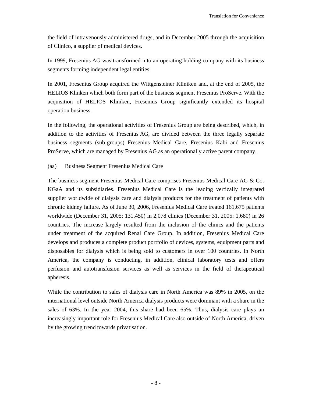the field of intravenously administered drugs, and in December 2005 through the acquisition of Clinico, a supplier of medical devices.

In 1999, Fresenius AG was transformed into an operating holding company with its business segments forming independent legal entities.

In 2001, Fresenius Group acquired the Wittgensteiner Kliniken and, at the end of 2005, the HELIOS Klinken which both form part of the business segment Fresenius ProServe. With the acquisition of HELIOS Kliniken, Fresenius Group significantly extended its hospital operation business.

In the following, the operational activities of Fresenius Group are being described, which, in addition to the activities of Fresenius AG, are divided between the three legally separate business segments (sub-groups) Fresenius Medical Care, Fresenius Kabi and Fresenius ProServe, which are managed by Fresenius AG as an operationally active parent company.

# (aa) Business Segment Fresenius Medical Care

The business segment Fresenius Medical Care comprises Fresenius Medical Care AG & Co. KGaA and its subsidiaries. Fresenius Medical Care is the leading vertically integrated supplier worldwide of dialysis care and dialysis products for the treatment of patients with chronic kidney failure. As of June 30, 2006, Fresenius Medical Care treated 161,675 patients worldwide (December 31, 2005: 131,450) in 2,078 clinics (December 31, 2005: 1,680) in 26 countries. The increase largely resulted from the inclusion of the clinics and the patients under treatment of the acquired Renal Care Group. In addition, Fresenius Medical Care develops and produces a complete product portfolio of devices, systems, equipment parts and disposables for dialysis which is being sold to customers in over 100 countries. In North America, the company is conducting, in addition, clinical laboratory tests and offers perfusion and autotransfusion services as well as services in the field of therapeutical apheresis.

While the contribution to sales of dialysis care in North America was 89% in 2005, on the international level outside North America dialysis products were dominant with a share in the sales of 63%. In the year 2004, this share had been 65%. Thus, dialysis care plays an increasingly important role for Fresenius Medical Care also outside of North America, driven by the growing trend towards privatisation.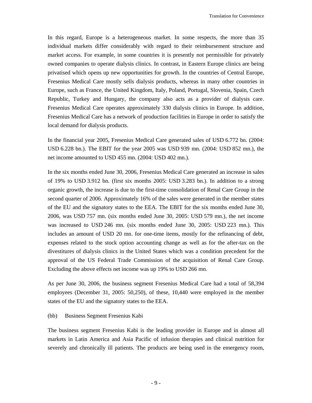In this regard, Europe is a heterogeneous market. In some respects, the more than 35 individual markets differ considerably with regard to their reimbursement structure and market access. For example, in some countries it is presently not permissible for privately owned companies to operate dialysis clinics. In contrast, in Eastern Europe clinics are being privatised which opens up new opportunities for growth. In the countries of Central Europe, Fresenius Medical Care mostly sells dialysis products, whereas in many other countries in Europe, such as France, the United Kingdom, Italy, Poland, Portugal, Slovenia, Spain, Czech Republic, Turkey and Hungary, the company also acts as a provider of dialysis care. Fresenius Medical Care operates approximately 330 dialysis clinics in Europe. In addition, Fresenius Medical Care has a network of production facilities in Europe in order to satisfy the local demand for dialysis products.

In the financial year 2005, Fresenius Medical Care generated sales of USD 6.772 bn. (2004: USD 6.228 bn.). The EBIT for the year 2005 was USD 939 mn. (2004: USD 852 mn.), the net income amounted to USD 455 mn. (2004: USD 402 mn.).

In the six months ended June 30, 2006, Fresenius Medical Care generated an increase in sales of 19% to USD 3.912 bn. (first six months 2005: USD 3.283 bn.). In addition to a strong organic growth, the increase is due to the first-time consolidation of Renal Care Group in the second quarter of 2006. Approximately 16% of the sales were generated in the member states of the EU and the signatory states to the EEA. The EBIT for the six months ended June 30, 2006, was USD 757 mn. (six months ended June 30, 2005: USD 579 mn.), the net income was increased to USD 246 mn. (six months ended June 30, 2005: USD 223 mn.). This includes an amount of USD 20 mn. for one-time items, mostly for the refinancing of debt, expenses related to the stock option accounting change as well as for the after-tax on the divestitures of dialysis clinics in the United States which was a condition precedent for the approval of the US Federal Trade Commission of the acquisition of Renal Care Group. Excluding the above effects net income was up 19% to USD 266 mn.

As per June 30, 2006, the business segment Fresenius Medical Care had a total of 58,394 employees (December 31, 2005: 50,250), of these, 10,440 were employed in the member states of the EU and the signatory states to the EEA.

#### (bb) Business Segment Fresenius Kabi

The business segment Fresenius Kabi is the leading provider in Europe and in almost all markets in Latin America and Asia Pacific of infusion therapies and clinical nutrition for severely and chronically ill patients. The products are being used in the emergency room,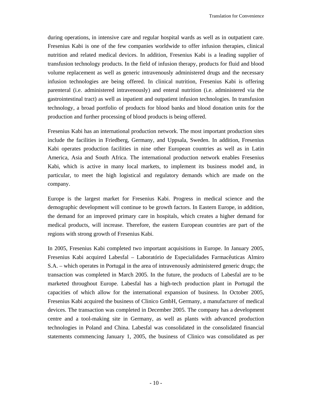during operations, in intensive care and regular hospital wards as well as in outpatient care. Fresenius Kabi is one of the few companies worldwide to offer infusion therapies, clinical nutrition and related medical devices. In addition, Fresenius Kabi is a leading supplier of transfusion technology products. In the field of infusion therapy, products for fluid and blood volume replacement as well as generic intravenously administered drugs and the necessary infusion technologies are being offered. In clinical nutrition, Fresenius Kabi is offering parenteral (i.e. administered intravenously) and enteral nutrition (i.e. administered via the gastrointestinal tract) as well as inpatient and outpatient infusion technologies. In transfusion technology, a broad portfolio of products for blood banks and blood donation units for the production and further processing of blood products is being offered.

Fresenius Kabi has an international production network. The most important production sites include the facilities in Friedberg, Germany, and Uppsala, Sweden. In addition, Fresenius Kabi operates production facilities in nine other European countries as well as in Latin America, Asia and South Africa. The international production network enables Fresenius Kabi, which is active in many local markets, to implement its business model and, in particular, to meet the high logistical and regulatory demands which are made on the company.

Europe is the largest market for Fresenius Kabi. Progress in medical science and the demographic development will continue to be growth factors. In Eastern Europe, in addition, the demand for an improved primary care in hospitals, which creates a higher demand for medical products, will increase. Therefore, the eastern European countries are part of the regions with strong growth of Fresenius Kabi.

In 2005, Fresenius Kabi completed two important acquisitions in Europe. In January 2005, Fresenius Kabi acquired Labesfal – Laboratório de Especialidades Farmacêuticas Almiro S.A. – which operates in Portugal in the area of intravenously administered generic drugs; the transaction was completed in March 2005. In the future, the products of Labesfal are to be marketed throughout Europe. Labesfal has a high-tech production plant in Portugal the capacities of which allow for the international expansion of business. In October 2005, Fresenius Kabi acquired the business of Clinico GmbH, Germany, a manufacturer of medical devices. The transaction was completed in December 2005. The company has a development centre and a tool-making site in Germany, as well as plants with advanced production technologies in Poland and China. Labesfal was consolidated in the consolidated financial statements commencing January 1, 2005, the business of Clinico was consolidated as per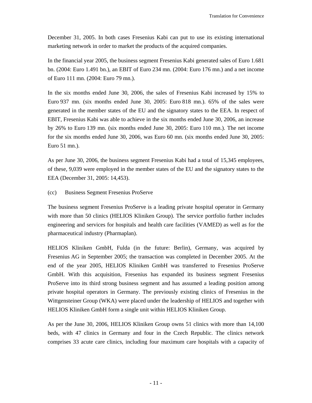December 31, 2005. In both cases Fresenius Kabi can put to use its existing international marketing network in order to market the products of the acquired companies.

In the financial year 2005, the business segment Fresenius Kabi generated sales of Euro 1.681 bn. (2004: Euro 1.491 bn.), an EBIT of Euro 234 mn. (2004: Euro 176 mn.) and a net income of Euro 111 mn. (2004: Euro 79 mn.).

In the six months ended June 30, 2006, the sales of Fresenius Kabi increased by 15% to Euro 937 mn. (six months ended June 30, 2005: Euro 818 mn.). 65% of the sales were generated in the member states of the EU and the signatory states to the EEA. In respect of EBIT, Fresenius Kabi was able to achieve in the six months ended June 30, 2006, an increase by 26% to Euro 139 mn. (six months ended June 30, 2005: Euro 110 mn.). The net income for the six months ended June 30, 2006, was Euro 60 mn. (six months ended June 30, 2005: Euro 51 mn.).

As per June 30, 2006, the business segment Fresenius Kabi had a total of 15,345 employees, of these, 9,039 were employed in the member states of the EU and the signatory states to the EEA (December 31, 2005: 14,453).

### (cc) Business Segment Fresenius ProServe

The business segment Fresenius ProServe is a leading private hospital operator in Germany with more than 50 clinics (HELIOS Kliniken Group). The service portfolio further includes engineering and services for hospitals and health care facilities (VAMED) as well as for the pharmaceutical industry (Pharmaplan).

HELIOS Kliniken GmbH, Fulda (in the future: Berlin), Germany, was acquired by Fresenius AG in September 2005; the transaction was completed in December 2005. At the end of the year 2005, HELIOS Kliniken GmbH was transferred to Fresenius ProServe GmbH. With this acquisition, Fresenius has expanded its business segment Fresenius ProServe into its third strong business segment and has assumed a leading position among private hospital operators in Germany. The previously existing clinics of Fresenius in the Wittgensteiner Group (WKA) were placed under the leadership of HELIOS and together with HELIOS Kliniken GmbH form a single unit within HELIOS Kliniken Group.

As per the June 30, 2006, HELIOS Kliniken Group owns 51 clinics with more than 14,100 beds, with 47 clinics in Germany and four in the Czech Republic. The clinics network comprises 33 acute care clinics, including four maximum care hospitals with a capacity of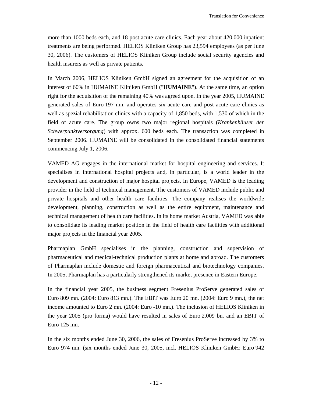more than 1000 beds each, and 18 post acute care clinics. Each year about 420,000 inpatient treatments are being performed. HELIOS Kliniken Group has 23,594 employees (as per June 30, 2006). The customers of HELIOS Kliniken Group include social security agencies and health insurers as well as private patients.

In March 2006, HELIOS Kliniken GmbH signed an agreement for the acquisition of an interest of 60% in HUMAINE Kliniken GmbH ("**HUMAINE**"). At the same time, an option right for the acquisition of the remaining 40% was agreed upon. In the year 2005, HUMAINE generated sales of Euro 197 mn. and operates six acute care and post acute care clinics as well as spezial rehabilitation clinics with a capacity of 1,850 beds, with 1,530 of which in the field of acute care. The group owns two major regional hospitals (*Krankenhäuser der Schwerpunktversorgung*) with approx. 600 beds each. The transaction was completed in September 2006. HUMAINE will be consolidated in the consolidated financial statements commencing July 1, 2006.

VAMED AG engages in the international market for hospital engineering and services. It specialises in international hospital projects and, in particular, is a world leader in the development and construction of major hospital projects. In Europe, VAMED is the leading provider in the field of technical management. The customers of VAMED include public and private hospitals and other health care facilities. The company realises the worldwide development, planning, construction as well as the entire equipment, maintenance and technical management of health care facilities. In its home market Austria, VAMED was able to consolidate its leading market position in the field of health care facilities with additional major projects in the financial year 2005.

Pharmaplan GmbH specialises in the planning, construction and supervision of pharmaceutical and medical-technical production plants at home and abroad. The customers of Pharmaplan include domestic and foreign pharmaceutical and biotechnology companies. In 2005, Pharmaplan has a particularly strengthened its market presence in Eastern Europe.

In the financial year 2005, the business segment Fresenius ProServe generated sales of Euro 809 mn. (2004: Euro 813 mn.). The EBIT was Euro 20 mn. (2004: Euro 9 mn.), the net income amounted to Euro 2 mn. (2004: Euro -10 mn.). The inclusion of HELIOS Kliniken in the year 2005 (pro forma) would have resulted in sales of Euro 2.009 bn. and an EBIT of Euro 125 mn.

In the six months ended June 30, 2006, the sales of Fresenius ProServe increased by 3% to Euro 974 mn. (six months ended June 30, 2005, incl. HELIOS Kliniken GmbH: Euro 942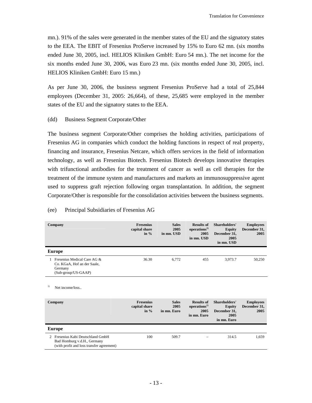mn.). 91% of the sales were generated in the member states of the EU and the signatory states to the EEA. The EBIT of Fresenius ProServe increased by 15% to Euro 62 mn. (six months ended June 30, 2005, incl. HELIOS Kliniken GmbH: Euro 54 mn.). The net income for the six months ended June 30, 2006, was Euro 23 mn. (six months ended June 30, 2005, incl. HELIOS Kliniken GmbH: Euro 15 mn.)

As per June 30, 2006, the business segment Fresenius ProServe had a total of 25,844 employees (December 31, 2005: 26,664), of these, 25,685 were employed in the member states of the EU and the signatory states to the EEA.

### (dd) Business Segment Corporate/Other

The business segment Corporate/Other comprises the holding activities, participations of Fresenius AG in companies which conduct the holding functions in respect of real property, financing and insurance, Fresenius Netcare, which offers services in the field of information technology, as well as Fresenius Biotech. Fresenius Biotech develops innovative therapies with trifunctional antibodies for the treatment of cancer as well as cell therapies for the treatment of the immune system and manufactures and markets an immunosuppressive agent used to suppress graft rejection following organ transplantation. In addition, the segment Corporate/Other is responsible for the consolidation activities between the business segments.

### (ee) Principal Subsidiaries of Fresenius AG

| Company                                                                                                       | <b>Fresenius</b><br>capital share<br>in $%$ | <b>Sales</b><br>2005<br>in mn. USD  | <b>Results of</b><br>operations <sup>1</sup><br>2005<br>in mn. USD  | Shareholders'<br><b>Equity</b><br>December 31.<br>2005<br>in mn. USD  | <b>Employees</b><br>December 31,<br>2005 |
|---------------------------------------------------------------------------------------------------------------|---------------------------------------------|-------------------------------------|---------------------------------------------------------------------|-----------------------------------------------------------------------|------------------------------------------|
| <b>Europe</b>                                                                                                 |                                             |                                     |                                                                     |                                                                       |                                          |
| 1 Fresenius Medical Care AG &<br>Co. KGaA, Hof an der Saale,<br>Germany<br>(Sub-group/US-GAAP)                | 36.30                                       | 6,772                               | 455                                                                 | 3,973.7                                                               | 50,250                                   |
| 1)<br>Net income/loss                                                                                         |                                             |                                     |                                                                     |                                                                       |                                          |
| Company                                                                                                       | <b>Fresenius</b><br>capital share<br>in $%$ | <b>Sales</b><br>2005<br>in mn. Euro | <b>Results of</b><br>operations <sup>1</sup><br>2005<br>in mn. Euro | Shareholders'<br><b>Equity</b><br>December 31,<br>2005<br>in mn. Euro | <b>Employees</b><br>December 31,<br>2005 |
| <b>Europe</b>                                                                                                 |                                             |                                     |                                                                     |                                                                       |                                          |
| 2 Fresenius Kabi Deutschland GmbH<br>Bad Homburg v.d.H., Germany<br>(with profit and loss transfer agreement) | 100                                         | 509.7                               |                                                                     | 314.5                                                                 | 1.659                                    |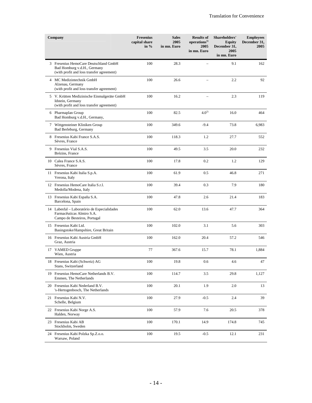| Company                                                                                                           | <b>Fresenius</b><br>capital share<br>in $%$ | <b>Sales</b><br>2005<br>in mn. Euro | <b>Results of</b><br>operations <sup>1)</sup><br>2005<br>in mn. Euro | Shareholders'<br><b>Equity</b><br>December 31,<br>2005<br>in mn. Euro | <b>Employees</b><br>December 31,<br>2005 |
|-------------------------------------------------------------------------------------------------------------------|---------------------------------------------|-------------------------------------|----------------------------------------------------------------------|-----------------------------------------------------------------------|------------------------------------------|
| 3 Fresenius HemoCare Deutschland GmbH<br>Bad Homburg v.d.H., Germany<br>(with profit and loss transfer agreement) | 100                                         | 28.3                                |                                                                      | 9.1                                                                   | 162                                      |
| 4 MC Medizintechnik GmbH<br>Alzenau, Germany<br>(with profit and loss transfer agreement)                         | 100                                         | 26.6                                |                                                                      | 2.2                                                                   | 92                                       |
| 5 V. Krütten Medizinische Einmalgeräte GmbH<br>Idstein, Germany<br>(with profit and loss transfer agreement)      | 100                                         | 16.2                                |                                                                      | 2.3                                                                   | 119                                      |
| 6 Pharmaplan Group<br>Bad Homburg v.d.H., Germany,                                                                | 100                                         | 82.5                                | $4.0^{2}$                                                            | 16.0                                                                  | 464                                      |
| 7 Wittgensteiner Kliniken Group<br>Bad Berleburg, Germany                                                         | 100                                         | 349.6                               | $-9.4$                                                               | 73.8                                                                  | 6,983                                    |
| 8 Fresenius Kabi France S.A.S.<br>Sèvres, France                                                                  | 100                                         | 118.3                               | 1.2                                                                  | 27.7                                                                  | 552                                      |
| 9 Fresenius Vial S.A.S.<br>Brézins, France                                                                        | 100                                         | 49.5                                | 3.5                                                                  | 20.0                                                                  | 232                                      |
| 10 Calea France S.A.S.<br>Sèvres, France                                                                          | 100                                         | 17.8                                | 0.2                                                                  | 1.2                                                                   | 129                                      |
| 11 Fresenius Kabi Italia S.p.A.<br>Verona, Italy                                                                  | 100                                         | 61.9                                | 0.5                                                                  | 46.8                                                                  | 271                                      |
| 12 Fresenius HemoCare Italia S.r.1.<br>Medolla/Modena, Italy                                                      | 100                                         | 39.4                                | 0.3                                                                  | 7.9                                                                   | 180                                      |
| 13 Fresenius Kabi España S.A.<br>Barcelona, Spain                                                                 | 100                                         | 47.8                                | 2.6                                                                  | 21.4                                                                  | 183                                      |
| 14 Labesfal - Laboratório de Especialidades<br>Farmacêuticas Almiro S.A.<br>Campo de Besteiros, Portugal          | 100                                         | 62.0                                | 13.6                                                                 | 47.7                                                                  | 364                                      |
| 15 Fresenius Kabi Ltd.<br>Basingstoke/Hampshire, Great Britain                                                    | 100                                         | 102.0                               | 3.1                                                                  | 5.6                                                                   | 303                                      |
| 16 Fresenius Kabi Austria GmbH<br>Graz, Austria                                                                   | 100                                         | 162.0                               | 20.4                                                                 | 57.2                                                                  | 546                                      |
| 17 VAMED Gruppe<br>Wien, Austria                                                                                  | 77                                          | 367.6                               | 15.7                                                                 | 78.1                                                                  | 1,884                                    |
| 18 Fresenius Kabi (Schweiz) AG<br>Stans, Switzerland                                                              | 100                                         | 19.8                                | 0.6                                                                  | 4.6                                                                   | 47                                       |
| 19 Fresenius HemoCare Netherlands B.V.<br>Emmen, The Netherlands                                                  | 100                                         | 114.7                               | 3.5                                                                  | 29.8                                                                  | 1,127                                    |
| 20 Fresenius Kabi Nederland B.V.<br>'s-Hertogenbosch, The Netherlands                                             | 100                                         | 20.1                                | 1.9                                                                  | 2.0                                                                   | 13                                       |
| 21 Fresenius Kabi N.V.<br>Schelle, Belgium                                                                        | 100                                         | 27.9                                | $-0.5$                                                               | 2.4                                                                   | 39                                       |
| 22 Fresenius Kabi Norge A.S.<br>Halden, Norway                                                                    | 100                                         | 57.9                                | 7.6                                                                  | 20.5                                                                  | 378                                      |
| 23 Fresenius Kabi AB<br>Stockholm, Sweden                                                                         | 100                                         | 170.1                               | 14.9                                                                 | 174.8                                                                 | 745                                      |
| 24 Fresenius Kabi Polzka Sp.Z.o.o.<br>Warsaw, Poland                                                              | 100                                         | 19.5                                | $-0.5$                                                               | 12.1                                                                  | 231                                      |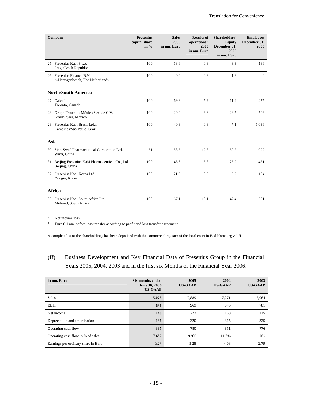| Company                                                              | <b>Fresenius</b><br>capital share<br>in $%$ | <b>Sales</b><br>2005<br>in mn. Euro | <b>Results of</b><br>operations <sup>1)</sup><br>2005<br>in mn. Euro | <b>Shareholders'</b><br><b>Equity</b><br>December 31,<br>2005<br>in mn. Euro | <b>Employees</b><br>December 31,<br>2005 |
|----------------------------------------------------------------------|---------------------------------------------|-------------------------------------|----------------------------------------------------------------------|------------------------------------------------------------------------------|------------------------------------------|
| 25 Fresenius Kabi S.r.o.<br>Prag, Czech Republic                     | 100                                         | 18.6                                | $-0.8$                                                               | 3.3                                                                          | 186                                      |
| 26 Fresenius Finance B.V.<br>'s-Hertogenbosch, The Netherlands       | 100                                         | 0.0                                 | 0.8                                                                  | 1.8                                                                          | $\mathbf{0}$                             |
| <b>North/South America</b>                                           |                                             |                                     |                                                                      |                                                                              |                                          |
| 27 Calea Ltd.<br>Toronto, Canada                                     | 100                                         | 69.8                                | 5.2                                                                  | 11.4                                                                         | 275                                      |
| 28 Grupo Fresenius México S.A. de C.V.<br>Guadalajara, Mexico        | 100                                         | 29.0                                | 3.6                                                                  | 28.5                                                                         | 503                                      |
| 29 Fresenius Kabi Brasil Ltda.<br>Campinas/São Paulo, Brazil         | 100                                         | 40.8                                | $-0.8$                                                               | 7.1                                                                          | 1,036                                    |
| Asia                                                                 |                                             |                                     |                                                                      |                                                                              |                                          |
| 30 Sino-Swed Pharmaceutical Corporation Ltd.<br>Wuxi, China          | 51                                          | 58.5                                | 12.8                                                                 | 50.7                                                                         | 992                                      |
| 31 Beijing Fresenius Kabi Pharmaceutical Co., Ltd.<br>Beijing, China | 100                                         | 45.6                                | 5.8                                                                  | 25.2                                                                         | 451                                      |
| 32 Fresenius Kabi Korea Ltd.<br>Yongin, Korea                        | 100                                         | 21.9                                | 0.6                                                                  | 6.2                                                                          | 104                                      |
| Africa                                                               |                                             |                                     |                                                                      |                                                                              |                                          |
| 33 Fresenius Kabi South Africa Ltd.<br>Midrand, South Africa         | 100                                         | 67.1                                | 10.1                                                                 | 42.4                                                                         | 501                                      |

<sup>1)</sup> Net income/loss.

<sup>2)</sup> Euro 0.1 mn. before loss transfer according to profit and loss transfer agreement.

A complete list of the shareholdings has been deposited with the commercial register of the local court in Bad Homburg v.d.H.

# (ff) Business Development and Key Financial Data of Fresenius Group in the Financial Years 2005, 2004, 2003 and in the first six Months of the Financial Year 2006.

| in mn. Euro                         | Six months ended<br>June 30, 2006<br><b>US-GAAP</b> | 2005<br><b>US-GAAP</b> | 2004<br><b>US-GAAP</b> | 2003<br><b>US-GAAP</b> |
|-------------------------------------|-----------------------------------------------------|------------------------|------------------------|------------------------|
| Sales                               | 5,078                                               | 7.889                  | 7.271                  | 7.064                  |
| <b>EBIT</b>                         | 681                                                 | 969                    | 845                    | 781                    |
| Net income                          | 140                                                 | 222                    | 168                    | 115                    |
| Depreciation and amortisation       | 186                                                 | 320                    | 315                    | 325                    |
| Operating cash flow                 | 385                                                 | 780                    | 851                    | 776                    |
| Operating cash flow in % of sales   | 7.6%                                                | 9.9%                   | 11.7%                  | 11.0%                  |
| Earnings per ordinary share in Euro | 2.75                                                | 5.28                   | 4.08                   | 2.79                   |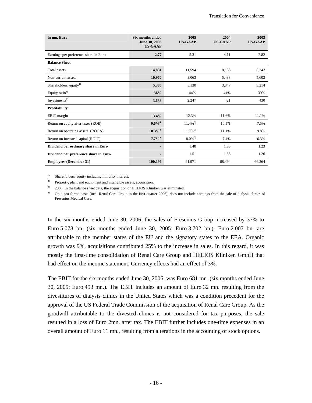| in mn. Euro                           | <b>Six months ended</b><br>June 30, 2006<br><b>US-GAAP</b> | 2005<br><b>US-GAAP</b> | 2004<br><b>US-GAAP</b> | 2003<br><b>US-GAAP</b> |
|---------------------------------------|------------------------------------------------------------|------------------------|------------------------|------------------------|
| Earnings per preference share in Euro | 2.77                                                       | 5.31                   | 4.11                   | 2.82                   |
| <b>Balance Sheet</b>                  |                                                            |                        |                        |                        |
| Total assets                          | 14,831                                                     | 11,594                 | 8.188                  | 8,347                  |
| Non-current assets                    | 10,960                                                     | 8,063                  | 5,433                  | 5,603                  |
| Shareholders' equity <sup>1)</sup>    | 5,380                                                      | 5,130                  | 3,347                  | 3,214                  |
| Equity ratio <sup>1)</sup>            | 36%                                                        | 44%                    | 41%                    | 39%                    |
| Investments <sup>2)</sup>             | 3,633                                                      | 2,247                  | 421                    | 430                    |
| <b>Profitability</b>                  |                                                            |                        |                        |                        |
| EBIT margin                           | 13.4%                                                      | 12.3%                  | 11.6%                  | 11.1%                  |
| Return on equity after taxes (ROE)    | $9.6\%$ <sup>4)</sup>                                      | $11.4\%$ <sup>3)</sup> | 10.5%                  | 7.5%                   |
| Return on operating assets (ROOA)     | $10.3\%$ <sup>4)</sup>                                     | $11.7\%$ <sup>3)</sup> | 11.1%                  | 9.8%                   |
| Return on invested capital (ROIC)     | $7.7\%^{4)}$                                               | $8.0\%$ <sup>3)</sup>  | 7.4%                   | 6.3%                   |
| Dividend per ordinary share in Euro   |                                                            | 1.48                   | 1.35                   | 1.23                   |
| Dividend per preference share in Euro |                                                            | 1.51                   | 1.38                   | 1.26                   |
| <b>Employees (December 31)</b>        | 100,196                                                    | 91,971                 | 68,494                 | 66,264                 |

<sup>1)</sup> Shareholders' equity including minority interest.

<sup>2)</sup> Property, plant and equipment and intangible assets, acquisition.

<sup>3)</sup> 2005: In the balance sheet data, the acquisition of HELIOS Kliniken was eliminated.

<sup>4)</sup> On a pro forma basis (incl. Renal Care Group in the first quarter 2006), does not include earnings from the sale of dialysis clinics of Fresenius Medical Care.

In the six months ended June 30, 2006, the sales of Fresenius Group increased by 37% to Euro 5.078 bn. (six months ended June 30, 2005: Euro 3.702 bn.). Euro 2.007 bn. are attributable to the member states of the EU and the signatory states to the EEA. Organic growth was 9%, acquisitions contributed 25% to the increase in sales. In this regard, it was mostly the first-time consolidation of Renal Care Group and HELIOS Kliniken GmbH that had effect on the income statement. Currency effects had an effect of 3%.

The EBIT for the six months ended June 30, 2006, was Euro 681 mn. (six months ended June 30, 2005: Euro 453 mn.). The EBIT includes an amount of Euro 32 mn. resulting from the divestitures of dialysis clinics in the United States which was a condition precedent for the approval of the US Federal Trade Commission of the acquisition of Renal Care Group. As the goodwill attributable to the divested clinics is not considered for tax purposes, the sale resulted in a loss of Euro 2mn. after tax. The EBIT further includes one-time expenses in an overall amount of Euro 11 mn., resulting from alterations in the accounting of stock options.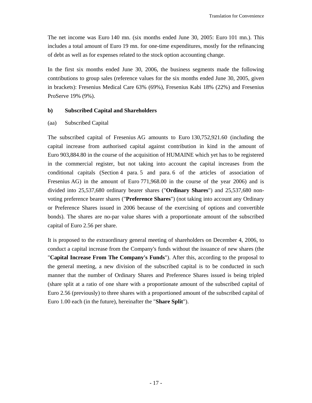The net income was Euro 140 mn. (six months ended June 30, 2005: Euro 101 mn.). This includes a total amount of Euro 19 mn. for one-time expenditures, mostly for the refinancing of debt as well as for expenses related to the stock option accounting change.

In the first six months ended June 30, 2006, the business segments made the following contributions to group sales (reference values for the six months ended June 30, 2005, given in brackets): Fresenius Medical Care 63% (69%), Fresenius Kabi 18% (22%) and Fresenius ProServe 19% (9%).

# **b) Subscribed Capital and Shareholders**

### (aa) Subscribed Capital

The subscribed capital of Fresenius AG amounts to Euro 130,752,921.60 (including the capital increase from authorised capital against contribution in kind in the amount of Euro 903,884.80 in the course of the acquisition of HUMAINE which yet has to be registered in the commercial register, but not taking into account the capital increases from the conditional capitals (Section 4 para. 5 and para. 6 of the articles of association of Fresenius AG) in the amount of Euro 771,968.00 in the course of the year 2006) and is divided into 25,537,680 ordinary bearer shares ("**Ordinary Shares**") and 25,537,680 nonvoting preference bearer shares ("**Preference Shares**") (not taking into account any Ordinary or Preference Shares issued in 2006 because of the exercising of options and convertible bonds). The shares are no-par value shares with a proportionate amount of the subscribed capital of Euro 2.56 per share.

It is proposed to the extraordinary general meeting of shareholders on December 4, 2006, to conduct a capital increase from the Company's funds without the issuance of new shares (the "**Capital Increase From The Company's Funds**"). After this, according to the proposal to the general meeting, a new division of the subscribed capital is to be conducted in such manner that the number of Ordinary Shares and Preference Shares issued is being tripled (share split at a ratio of one share with a proportionate amount of the subscribed capital of Euro 2.56 (previously) to three shares with a proportioned amount of the subscribed capital of Euro 1.00 each (in the future), hereinafter the "**Share Split**").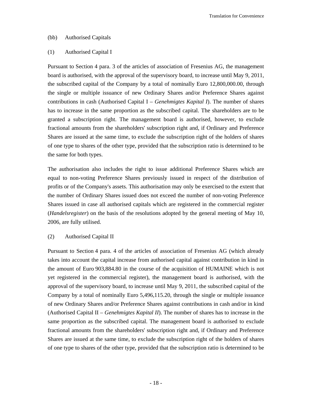#### (bb) Authorised Capitals

### (1) Authorised Capital I

Pursuant to Section 4 para. 3 of the articles of association of Fresenius AG, the management board is authorised, with the approval of the supervisory board, to increase until May 9, 2011, the subscribed capital of the Company by a total of nominally Euro 12,800,000.00, through the single or multiple issuance of new Ordinary Shares and/or Preference Shares against contributions in cash (Authorised Capital I – *Genehmigtes Kapital I*). The number of shares has to increase in the same proportion as the subscribed capital. The shareholders are to be granted a subscription right. The management board is authorised, however, to exclude fractional amounts from the shareholders' subscription right and, if Ordinary and Preference Shares are issued at the same time, to exclude the subscription right of the holders of shares of one type to shares of the other type, provided that the subscription ratio is determined to be the same for both types.

The authorisation also includes the right to issue additional Preference Shares which are equal to non-voting Preference Shares previously issued in respect of the distribution of profits or of the Company's assets. This authorisation may only be exercised to the extent that the number of Ordinary Shares issued does not exceed the number of non-voting Preference Shares issued in case all authorised capitals which are registered in the commercial register (*Handelsregister*) on the basis of the resolutions adopted by the general meeting of May 10, 2006, are fully utilised.

#### (2) Authorised Capital II

Pursuant to Section 4 para. 4 of the articles of association of Fresenius AG (which already takes into account the capital increase from authorised capital against contribution in kind in the amount of Euro 903,884.80 in the course of the acquisition of HUMAINE which is not yet registered in the commercial register), the management board is authorised, with the approval of the supervisory board, to increase until May 9, 2011, the subscribed capital of the Company by a total of nominally Euro 5,496,115.20, through the single or multiple issuance of new Ordinary Shares and/or Preference Shares against contributions in cash and/or in kind (Authorised Capital II – *Genehmigtes Kapital II*). The number of shares has to increase in the same proportion as the subscribed capital. The management board is authorised to exclude fractional amounts from the shareholders' subscription right and, if Ordinary and Preference Shares are issued at the same time, to exclude the subscription right of the holders of shares of one type to shares of the other type, provided that the subscription ratio is determined to be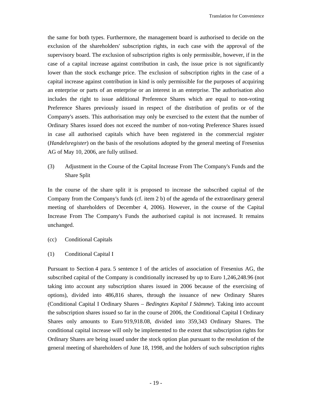the same for both types. Furthermore, the management board is authorised to decide on the exclusion of the shareholders' subscription rights, in each case with the approval of the supervisory board. The exclusion of subscription rights is only permissible, however, if in the case of a capital increase against contribution in cash, the issue price is not significantly lower than the stock exchange price. The exclusion of subscription rights in the case of a capital increase against contribution in kind is only permissible for the purposes of acquiring an enterprise or parts of an enterprise or an interest in an enterprise. The authorisation also includes the right to issue additional Preference Shares which are equal to non-voting Preference Shares previously issued in respect of the distribution of profits or of the Company's assets. This authorisation may only be exercised to the extent that the number of Ordinary Shares issued does not exceed the number of non-voting Preference Shares issued in case all authorised capitals which have been registered in the commercial register (*Handelsregister*) on the basis of the resolutions adopted by the general meeting of Fresenius AG of May 10, 2006, are fully utilised.

(3) Adjustment in the Course of the Capital Increase From The Company's Funds and the Share Split

In the course of the share split it is proposed to increase the subscribed capital of the Company from the Company's funds (cf. item 2 b) of the agenda of the extraordinary general meeting of shareholders of December 4, 2006). However, in the course of the Capital Increase From The Company's Funds the authorised capital is not increased. It remains unchanged.

- (cc) Conditional Capitals
- (1) Conditional Capital I

Pursuant to Section 4 para. 5 sentence 1 of the articles of association of Fresenius AG, the subscribed capital of the Company is conditionally increased by up to Euro 1,246,248.96 (not taking into account any subscription shares issued in 2006 because of the exercising of options), divided into 486,816 shares, through the issuance of new Ordinary Shares (Conditional Capital I Ordinary Shares – *Bedingtes Kapital I Stämme*). Taking into account the subscription shares issued so far in the course of 2006, the Conditional Capital I Ordinary Shares only amounts to Euro 919,918.08, divided into 359,343 Ordinary Shares. The conditional capital increase will only be implemented to the extent that subscription rights for Ordinary Shares are being issued under the stock option plan pursuant to the resolution of the general meeting of shareholders of June 18, 1998, and the holders of such subscription rights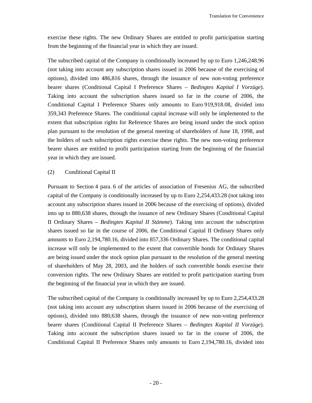exercise these rights. The new Ordinary Shares are entitled to profit participation starting from the beginning of the financial year in which they are issued.

The subscribed capital of the Company is conditionally increased by up to Euro 1,246,248.96 (not taking into account any subscription shares issued in 2006 because of the exercising of options), divided into 486,816 shares, through the issuance of new non-voting preference bearer shares (Conditional Capital I Preference Shares – *Bedingtes Kapital I Vorzüge*). Taking into account the subscription shares issued so far in the course of 2006, the Conditional Capital I Preference Shares only amounts to Euro 919,918.08, divided into 359,343 Preference Shares. The conditional capital increase will only be implemented to the extent that subscription rights for Reference Shares are being issued under the stock option plan pursuant to the resolution of the general meeting of shareholders of June 18, 1998, and the holders of such subscription rights exercise these rights. The new non-voting preference bearer shares are entitled to profit participation starting from the beginning of the financial year in which they are issued.

# (2) Conditional Capital II

Pursuant to Section 4 para. 6 of the articles of association of Fresenius AG, the subscribed capital of the Company is conditionally increased by up to Euro 2,254,433.28 (not taking into account any subscription shares issued in 2006 because of the exercising of options), divided into up to 880,638 shares, through the issuance of new Ordinary Shares (Conditional Capital II Ordinary Shares – *Bedingtes Kapital II Stämme*). Taking into account the subscription shares issued so far in the course of 2006, the Conditional Capital II Ordinary Shares only amounts to Euro 2,194,780.16, divided into 857,336 Ordinary Shares. The conditional capital increase will only be implemented to the extent that convertible bonds for Ordinary Shares are being issued under the stock option plan pursuant to the resolution of the general meeting of shareholders of May 28, 2003, and the holders of such convertible bonds exercise their conversion rights. The new Ordinary Shares are entitled to profit participation starting from the beginning of the financial year in which they are issued.

The subscribed capital of the Company is conditionally increased by up to Euro 2,254,433.28 (not taking into account any subscription shares issued in 2006 because of the exercising of options), divided into 880,638 shares, through the issuance of new non-voting preference bearer shares (Conditional Capital II Preference Shares – *Bedingtes Kapital II Vorzüge*). Taking into account the subscription shares issued so far in the course of 2006, the Conditional Capital II Preference Shares only amounts to Euro 2,194,780.16, divided into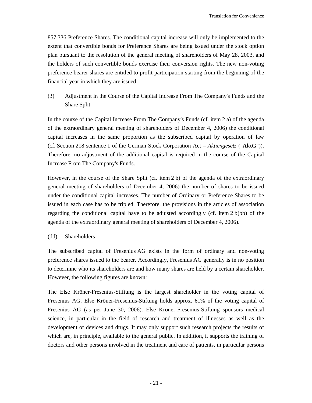857,336 Preference Shares. The conditional capital increase will only be implemented to the extent that convertible bonds for Preference Shares are being issued under the stock option plan pursuant to the resolution of the general meeting of shareholders of May 28, 2003, and the holders of such convertible bonds exercise their conversion rights. The new non-voting preference bearer shares are entitled to profit participation starting from the beginning of the financial year in which they are issued.

(3) Adjustment in the Course of the Capital Increase From The Company's Funds and the Share Split

In the course of the Capital Increase From The Company's Funds (cf. item 2 a) of the agenda of the extraordinary general meeting of shareholders of December 4, 2006) the conditional capital increases in the same proportion as the subscribed capital by operation of law (cf. Section 218 sentence 1 of the German Stock Corporation Act – *Aktiengesetz* ("**AktG**")). Therefore, no adjustment of the additional capital is required in the course of the Capital Increase From The Company's Funds.

However, in the course of the Share Split (cf. item 2 b) of the agenda of the extraordinary general meeting of shareholders of December 4, 2006) the number of shares to be issued under the conditional capital increases. The number of Ordinary or Preference Shares to be issued in each case has to be tripled. Therefore, the provisions in the articles of association regarding the conditional capital have to be adjusted accordingly (cf. item 2 b)bb) of the agenda of the extraordinary general meeting of shareholders of December 4, 2006).

(dd) Shareholders

The subscribed capital of Fresenius AG exists in the form of ordinary and non-voting preference shares issued to the bearer. Accordingly, Fresenius AG generally is in no position to determine who its shareholders are and how many shares are held by a certain shareholder. However, the following figures are known:

The Else Kröner-Fresenius-Stiftung is the largest shareholder in the voting capital of Fresenius AG. Else Kröner-Fresenius-Stiftung holds approx. 61% of the voting capital of Fresenius AG (as per June 30, 2006). Else Kröner-Fresenius-Stiftung sponsors medical science, in particular in the field of research and treatment of illnesses as well as the development of devices and drugs. It may only support such research projects the results of which are, in principle, available to the general public. In addition, it supports the training of doctors and other persons involved in the treatment and care of patients, in particular persons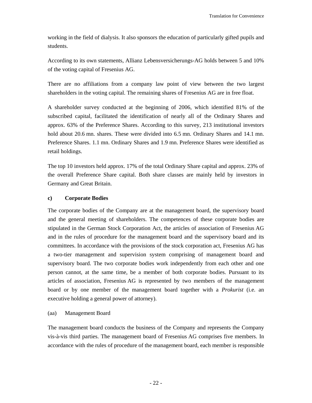working in the field of dialysis. It also sponsors the education of particularly gifted pupils and students.

According to its own statements, Allianz Lebensversicherungs-AG holds between 5 and 10% of the voting capital of Fresenius AG.

There are no affiliations from a company law point of view between the two largest shareholders in the voting capital. The remaining shares of Fresenius AG are in free float.

A shareholder survey conducted at the beginning of 2006, which identified 81% of the subscribed capital, facilitated the identification of nearly all of the Ordinary Shares and approx. 63% of the Preference Shares. According to this survey, 213 institutional investors hold about 20.6 mn. shares. These were divided into 6.5 mn. Ordinary Shares and 14.1 mn. Preference Shares. 1.1 mn. Ordinary Shares and 1.9 mn. Preference Shares were identified as retail holdings.

The top 10 investors held approx. 17% of the total Ordinary Share capital and approx. 23% of the overall Preference Share capital. Both share classes are mainly held by investors in Germany and Great Britain.

# **c) Corporate Bodies**

The corporate bodies of the Company are at the management board, the supervisory board and the general meeting of shareholders. The competences of these corporate bodies are stipulated in the German Stock Corporation Act, the articles of association of Fresenius AG and in the rules of procedure for the management board and the supervisory board and its committees. In accordance with the provisions of the stock corporation act, Fresenius AG has a two-tier management and supervision system comprising of management board and supervisory board. The two corporate bodies work independently from each other and one person cannot, at the same time, be a member of both corporate bodies. Pursuant to its articles of association, Fresenius AG is represented by two members of the management board or by one member of the management board together with a *Prokurist* (i.e. an executive holding a general power of attorney).

# (aa) Management Board

The management board conducts the business of the Company and represents the Company vis-à-vis third parties. The management board of Fresenius AG comprises five members. In accordance with the rules of procedure of the management board, each member is responsible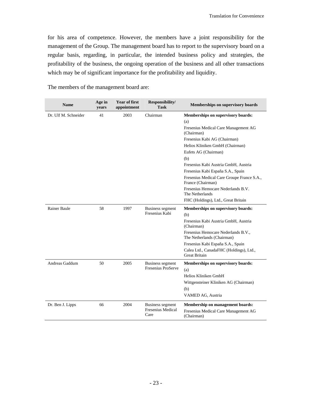for his area of competence. However, the members have a joint responsibility for the management of the Group. The management board has to report to the supervisory board on a regular basis, regarding, in particular, the intended business policy and strategies, the profitability of the business, the ongoing operation of the business and all other transactions which may be of significant importance for the profitability and liquidity.

| <b>Name</b>          | Age in<br>years | <b>Year of first</b><br>appointment | Responsibility/<br><b>Task</b> | <b>Memberships on supervisory boards</b>                          |
|----------------------|-----------------|-------------------------------------|--------------------------------|-------------------------------------------------------------------|
| Dr. Ulf M. Schneider | 41<br>2003      |                                     | Chairman                       | <b>Memberships on supervisory boards:</b>                         |
|                      |                 |                                     |                                | (a)                                                               |
|                      |                 |                                     |                                | Fresenius Medical Care Management AG<br>(Chairman)                |
|                      |                 |                                     |                                | Fresenius Kabi AG (Chairman)                                      |
|                      |                 |                                     |                                | Helios Kliniken GmbH (Chairman)                                   |
|                      |                 |                                     |                                | Eufets AG (Chairman)                                              |
|                      |                 |                                     |                                | (b)                                                               |
|                      |                 |                                     |                                | Fresenius Kabi Austria GmbH, Austria                              |
|                      |                 |                                     |                                | Fresenius Kabi España S.A., Spain                                 |
|                      |                 |                                     |                                | Fresenius Medical Care Groupe France S.A.,<br>France (Chairman)   |
|                      |                 |                                     |                                | Fresenius Hemocare Nederlands B.V.<br>The Netherlands             |
|                      |                 |                                     |                                | FHC (Holdings), Ltd., Great Britain                               |
| <b>Rainer Baule</b>  | 58              | 1997                                | <b>Business segment</b>        | Memberships on supervisory boards:                                |
|                      |                 |                                     | Fresenius Kabi                 | (b)                                                               |
|                      |                 |                                     |                                | Fresenius Kabi Austria GmbH, Austria<br>(Chairman)                |
|                      |                 |                                     |                                | Fresenius Hemocare Nederlands B.V.,<br>The Netherlands (Chairman) |
|                      |                 |                                     |                                | Fresenius Kabi España S.A., Spain                                 |
|                      |                 |                                     |                                | Calea Ltd., CanadaFHC (Holdings), Ltd.,<br><b>Great Britain</b>   |
| Andreas Gaddum       | 50              | 2005                                | <b>Business segment</b>        | Memberships on supervisory boards:                                |
|                      |                 |                                     | Fresenius ProServe             | (a)                                                               |
|                      |                 |                                     |                                | Helios Kliniken GmbH                                              |
|                      |                 |                                     |                                | Wittgensteiner Kliniken AG (Chairman)                             |
|                      |                 |                                     |                                | (b)                                                               |
|                      |                 |                                     |                                | VAMED AG, Austria                                                 |
| Dr. Ben J. Lipps     | 66              | 2004                                | <b>Business segment</b>        | Membership on management boards:                                  |
|                      |                 |                                     | Fresenius Medical<br>Care      | Fresenius Medical Care Management AG<br>(Chairman)                |

The members of the management board are: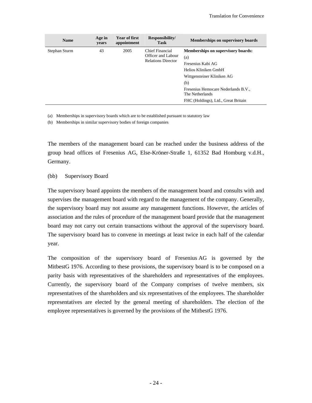| <b>Name</b>   | Age in<br>years | <b>Year of first</b><br>appointment | Responsibility/<br><b>Task</b>                                     | Memberships on supervisory boards                                                                                                                                                                                                   |
|---------------|-----------------|-------------------------------------|--------------------------------------------------------------------|-------------------------------------------------------------------------------------------------------------------------------------------------------------------------------------------------------------------------------------|
| Stephan Sturm | 43              | 2005                                | Chief Financial<br>Officer and Labour<br><b>Relations Director</b> | <b>Memberships on supervisory boards:</b><br>(a)<br>Fresenius Kabi AG<br>Helios Kliniken GmbH<br>Wittgensteiner Kliniken AG<br>(b)<br>Fresenius Hemocare Nederlands B.V.,<br>The Netherlands<br>FHC (Holdings), Ltd., Great Britain |

(a) Memberships in supervisory boards which are to be established pursuant to statutory law

(b) Memberships in similar supervisory bodies of foreign companies

The members of the management board can be reached under the business address of the group head offices of Fresenius AG, Else-Kröner-Straße 1, 61352 Bad Homburg v.d.H., Germany.

(bb) Supervisory Board

The supervisory board appoints the members of the management board and consults with and supervises the management board with regard to the management of the company. Generally, the supervisory board may not assume any management functions. However, the articles of association and the rules of procedure of the management board provide that the management board may not carry out certain transactions without the approval of the supervisory board. The supervisory board has to convene in meetings at least twice in each half of the calendar year.

The composition of the supervisory board of Fresenius AG is governed by the MitbestG 1976. According to these provisions, the supervisory board is to be composed on a parity basis with representatives of the shareholders and representatives of the employees. Currently, the supervisory board of the Company comprises of twelve members, six representatives of the shareholders and six representatives of the employees. The shareholder representatives are elected by the general meeting of shareholders. The election of the employee representatives is governed by the provisions of the MitbestG 1976.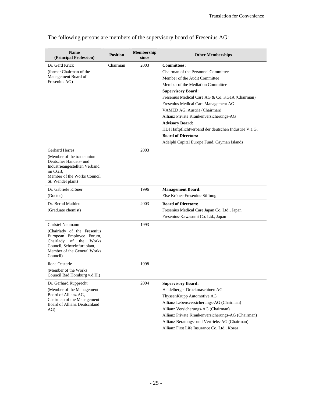| <b>Name</b><br>(Principal Profession)                    | <b>Position</b> | Membership<br>since | <b>Other Memberships</b>                              |
|----------------------------------------------------------|-----------------|---------------------|-------------------------------------------------------|
| Dr. Gerd Krick                                           | Chairman        | 2003                | <b>Committees:</b>                                    |
| (former Chairman of the                                  |                 |                     | Chairman of the Personnel Committee                   |
| Management Board of                                      |                 |                     | Member of the Audit Committee                         |
| Fresenius AG)                                            |                 |                     | Member of the Mediation Committee                     |
|                                                          |                 |                     | <b>Supervisory Board:</b>                             |
|                                                          |                 |                     | Fresenius Medical Care AG & Co. KGaA (Chairman)       |
|                                                          |                 |                     | Fresenius Medical Care Management AG                  |
|                                                          |                 |                     | VAMED AG, Austria (Chairman)                          |
|                                                          |                 |                     | Allianz Private Krankenversicherungs-AG               |
|                                                          |                 |                     | <b>Advisory Board:</b>                                |
|                                                          |                 |                     | HDI Haftpflichtverband der deutschen Industrie V.a.G. |
|                                                          |                 |                     | <b>Board of Directors:</b>                            |
|                                                          |                 |                     | Adelphi Capital Europe Fund, Cayman Islands           |
| <b>Gerhard Herres</b>                                    |                 | 2003                |                                                       |
| (Member of the trade union)                              |                 |                     |                                                       |
| Deutscher Handels- und                                   |                 |                     |                                                       |
| Industrieangestellten Verband<br>im CGB.                 |                 |                     |                                                       |
| Member of the Works Council                              |                 |                     |                                                       |
| St. Wendel plant)                                        |                 |                     |                                                       |
| Dr. Gabriele Kröner                                      |                 | 1996                | <b>Management Board:</b>                              |
| (Doctor)                                                 |                 |                     | Else Kröner-Fresenius-Stiftung                        |
| Dr. Bernd Mathieu                                        |                 | 2003                | <b>Board of Directors:</b>                            |
| (Graduate chemist)                                       |                 |                     | Fresenius Medical Care Japan Co. Ltd., Japan          |
|                                                          |                 |                     | Fresenius-Kawasumi Co. Ltd., Japan                    |
| Christel Neumann                                         |                 | 1993                |                                                       |
| (Chairlady of the Fresenius                              |                 |                     |                                                       |
| European Employee Forum,<br>Chairlady<br>of the<br>Works |                 |                     |                                                       |
| Council, Schweinfurt plant,                              |                 |                     |                                                       |
| Member of the General Works                              |                 |                     |                                                       |
| Council)                                                 |                 |                     |                                                       |
| Ilona Oesterle                                           |                 | 1998                |                                                       |
| (Member of the Works)                                    |                 |                     |                                                       |
| Council Bad Homburg v.d.H.)                              |                 |                     |                                                       |
| Dr. Gerhard Rupprecht                                    |                 | 2004                | <b>Supervisory Board:</b>                             |
| (Member of the Management                                |                 |                     | Heidelberger Druckmaschinen AG                        |
| Board of Allianz AG,<br>Chairman of the Management       |                 |                     | ThyssenKrupp Automotive AG                            |
| Board of Allianz Deutschland                             |                 |                     | Allianz Lebensversicherungs-AG (Chairman)             |
| AG)                                                      |                 |                     | Allianz Versicherungs-AG (Chairman)                   |
|                                                          |                 |                     | Allianz Private Krankenversicherungs-AG (Chairman)    |
|                                                          |                 |                     | Allianz Beratungs- und Vertriebs-AG (Chairman)        |
|                                                          |                 |                     | Allianz First Life Insurance Co. Ltd., Korea          |

The following persons are members of the supervisory board of Fresenius AG: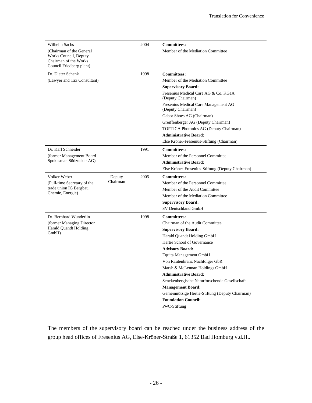| Wilhelm Sachs                                                              |          | 2004 | <b>Committees:</b>                                        |
|----------------------------------------------------------------------------|----------|------|-----------------------------------------------------------|
| (Chairman of the General<br>Works Council, Deputy<br>Chairman of the Works |          |      | Member of the Mediation Committee                         |
| Council Friedberg plant)                                                   |          |      |                                                           |
| Dr. Dieter Schenk                                                          |          | 1998 | <b>Committees:</b>                                        |
| (Lawyer and Tax Consultant)                                                |          |      | Member of the Mediation Committee                         |
|                                                                            |          |      | <b>Supervisory Board:</b>                                 |
|                                                                            |          |      | Fresenius Medical Care AG & Co. KGaA<br>(Deputy Chairman) |
|                                                                            |          |      | Fresenius Medical Care Management AG<br>(Deputy Chairman) |
|                                                                            |          |      | Gabor Shoes AG (Chairman)                                 |
|                                                                            |          |      | Greiffenberger AG (Deputy Chairman)                       |
|                                                                            |          |      | TOPTICA Photonics AG (Deputy Chairman)                    |
|                                                                            |          |      | <b>Administrative Board:</b>                              |
|                                                                            |          |      | Else Kröner-Fresenius-Stiftung (Chairman)                 |
| Dr. Karl Schneider                                                         |          | 1991 | <b>Committees:</b>                                        |
| (former Management Board                                                   |          |      | Member of the Personnel Committee                         |
| Spokesman Südzucker AG)                                                    |          |      | <b>Administrative Board:</b>                              |
|                                                                            |          |      | Else Kröner-Fresenius-Stiftung (Deputy Chairman)          |
| Volker Weber                                                               | Deputy   | 2005 | <b>Committees:</b>                                        |
| (Full-time Secretary of the                                                | Chairman |      | Member of the Personnel Committee                         |
| trade union IG Bergbau,                                                    |          |      | Member of the Audit Committee                             |
| Chemie, Energie)                                                           |          |      | Member of the Mediation Committee                         |
|                                                                            |          |      | <b>Supervisory Board:</b>                                 |
|                                                                            |          |      | SV Deutschland GmbH                                       |
| Dr. Bernhard Wunderlin                                                     |          | 1998 | <b>Committees:</b>                                        |
| (former Managing Director                                                  |          |      | Chairman of the Audit Committee                           |
| <b>Harald Quandt Holding</b><br>GmbH)                                      |          |      | <b>Supervisory Board:</b>                                 |
|                                                                            |          |      | Harald Quandt Holding GmbH                                |
|                                                                            |          |      | Hertie School of Governance                               |
|                                                                            |          |      | <b>Advisory Board:</b>                                    |
|                                                                            |          |      | Equita Management GmbH                                    |
|                                                                            |          |      | Von Rautenkranz Nachfolger GbR                            |
|                                                                            |          |      | Marsh & McLennan Holdings GmbH                            |
|                                                                            |          |      | <b>Administrative Board:</b>                              |
|                                                                            |          |      | Senckenbergische Naturforschende Gesellschaft             |
|                                                                            |          |      | <b>Management Board:</b>                                  |
|                                                                            |          |      | Gemeinnützige Hertie-Stiftung (Deputy Chairman)           |
|                                                                            |          |      | <b>Foundation Council:</b>                                |
|                                                                            |          |      | PwC-Stiftung                                              |

The members of the supervisory board can be reached under the business address of the group head offices of Fresenius AG, Else-Kröner-Straße 1, 61352 Bad Homburg v.d.H..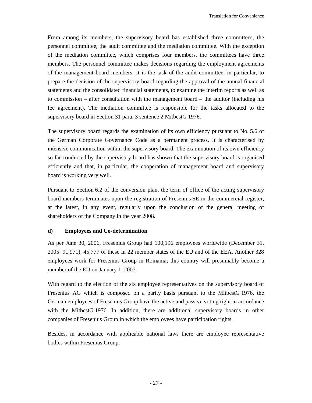From among its members, the supervisory board has established three committees, the personnel committee, the audit committee and the mediation committee. With the exception of the mediation committee, which comprises four members, the committees have three members. The personnel committee makes decisions regarding the employment agreements of the management board members. It is the task of the audit committee, in particular, to prepare the decision of the supervisory board regarding the approval of the annual financial statements and the consolidated financial statements, to examine the interim reports as well as to commission – after consultation with the management board – the auditor (including his fee agreement). The mediation committee is responsible for the tasks allocated to the supervisory board in Section 31 para. 3 sentence 2 MitbestG 1976.

The supervisory board regards the examination of its own efficiency pursuant to No. 5.6 of the German Corporate Governance Code as a permanent process. It is characterised by intensive communication within the supervisory board. The examination of its own efficiency so far conducted by the supervisory board has shown that the supervisory board is organised efficiently and that, in particular, the cooperation of management board and supervisory board is working very well.

Pursuant to Section 6.2 of the conversion plan, the term of office of the acting supervisory board members terminates upon the registration of Fresenius SE in the commercial register, at the latest, in any event, regularly upon the conclusion of the general meeting of shareholders of the Company in the year 2008.

### **d) Employees and Co-determination**

As per June 30, 2006, Fresenius Group had 100,196 employees worldwide (December 31, 2005: 91,971), 45,777 of these in 22 member states of the EU and of the EEA. Another 328 employees work for Fresenius Group in Romania; this country will presumably become a member of the EU on January 1, 2007.

With regard to the election of the six employee representatives on the supervisory board of Fresenius AG which is composed on a parity basis pursuant to the MitbestG 1976, the German employees of Fresenius Group have the active and passive voting right in accordance with the MitbestG 1976. In addition, there are additional supervisory boards in other companies of Fresenius Group in which the employees have participation rights.

Besides, in accordance with applicable national laws there are employee representative bodies within Fresenius Group.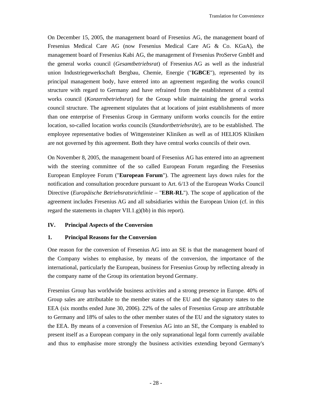On December 15, 2005, the management board of Fresenius AG, the management board of Fresenius Medical Care AG (now Fresenius Medical Care AG & Co. KGaA), the management board of Fresenius Kabi AG, the management of Fresenius ProServe GmbH and the general works council (*Gesamtbetriebsrat*) of Fresenius AG as well as the industrial union Industriegewerkschaft Bergbau, Chemie, Energie ("**IGBCE**"), represented by its principal management body, have entered into an agreement regarding the works council structure with regard to Germany and have refrained from the establishment of a central works council (*Konzernbetriebsrat*) for the Group while maintaining the general works council structure. The agreement stipulates that at locations of joint establishments of more than one enterprise of Fresenius Group in Germany uniform works councils for the entire location, so-called location works councils (*Standortbetriebsräte*), are to be established. The employee representative bodies of Wittgensteiner Kliniken as well as of HELIOS Kliniken are not governed by this agreement. Both they have central works councils of their own.

On November 8, 2005, the management board of Fresenius AG has entered into an agreement with the steering committee of the so called European Forum regarding the Fresenius European Employee Forum ("**European Forum**"). The agreement lays down rules for the notification and consultation procedure pursuant to Art. 6/13 of the European Works Council Directive (*Europäische Betriebsratsrichtlinie* – "**EBR-RL**"). The scope of application of the agreement includes Fresenius AG and all subsidiaries within the European Union (cf. in this regard the statements in chapter VII.1.g)(bb) in this report).

### **IV. Principal Aspects of the Conversion**

### **1. Principal Reasons for the Conversion**

One reason for the conversion of Fresenius AG into an SE is that the management board of the Company wishes to emphasise, by means of the conversion, the importance of the international, particularly the European, business for Fresenius Group by reflecting already in the company name of the Group its orientation beyond Germany.

Fresenius Group has worldwide business activities and a strong presence in Europe. 40% of Group sales are attributable to the member states of the EU and the signatory states to the EEA (six months ended June 30, 2006). 22% of the sales of Fresenius Group are attributable to Germany and 18% of sales to the other member states of the EU and the signatory states to the EEA. By means of a conversion of Fresenius AG into an SE, the Company is enabled to present itself as a European company in the only supranational legal form currently available and thus to emphasise more strongly the business activities extending beyond Germany's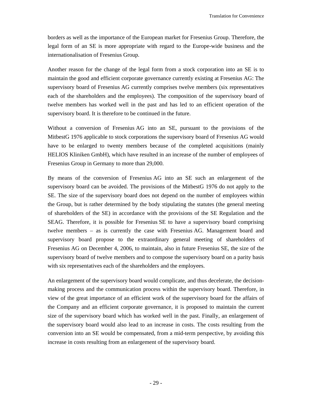borders as well as the importance of the European market for Fresenius Group. Therefore, the legal form of an SE is more appropriate with regard to the Europe-wide business and the internationalisation of Fresenius Group.

Another reason for the change of the legal form from a stock corporation into an SE is to maintain the good and efficient corporate governance currently existing at Fresenius AG: The supervisory board of Fresenius AG currently comprises twelve members (six representatives each of the shareholders and the employees). The composition of the supervisory board of twelve members has worked well in the past and has led to an efficient operation of the supervisory board. It is therefore to be continued in the future.

Without a conversion of Fresenius AG into an SE, pursuant to the provisions of the MitbestG 1976 applicable to stock corporations the supervisory board of Fresenius AG would have to be enlarged to twenty members because of the completed acquisitions (mainly HELIOS Kliniken GmbH), which have resulted in an increase of the number of employees of Fresenius Group in Germany to more than 29,000.

By means of the conversion of Fresenius AG into an SE such an enlargement of the supervisory board can be avoided. The provisions of the MitbestG 1976 do not apply to the SE. The size of the supervisory board does not depend on the number of employees within the Group, but is rather determined by the body stipulating the statutes (the general meeting of shareholders of the SE) in accordance with the provisions of the SE Regulation and the SEAG. Therefore, it is possible for Fresenius SE to have a supervisory board comprising twelve members – as is currently the case with Fresenius AG. Management board and supervisory board propose to the extraordinary general meeting of shareholders of Fresenius AG on December 4, 2006, to maintain, also in future Fresenius SE, the size of the supervisory board of twelve members and to compose the supervisory board on a parity basis with six representatives each of the shareholders and the employees.

An enlargement of the supervisory board would complicate, and thus decelerate, the decisionmaking process and the communication process within the supervisory board. Therefore, in view of the great importance of an efficient work of the supervisory board for the affairs of the Company and an efficient corporate governance, it is proposed to maintain the current size of the supervisory board which has worked well in the past. Finally, an enlargement of the supervisory board would also lead to an increase in costs. The costs resulting from the conversion into an SE would be compensated, from a mid-term perspective, by avoiding this increase in costs resulting from an enlargement of the supervisory board.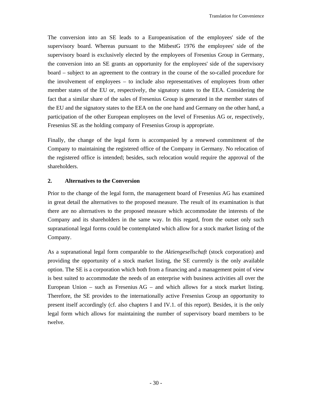The conversion into an SE leads to a Europeanisation of the employees' side of the supervisory board. Whereas pursuant to the MitbestG 1976 the employees' side of the supervisory board is exclusively elected by the employees of Fresenius Group in Germany, the conversion into an SE grants an opportunity for the employees' side of the supervisory board – subject to an agreement to the contrary in the course of the so-called procedure for the involvement of employees – to include also representatives of employees from other member states of the EU or, respectively, the signatory states to the EEA. Considering the fact that a similar share of the sales of Fresenius Group is generated in the member states of the EU and the signatory states to the EEA on the one hand and Germany on the other hand, a participation of the other European employees on the level of Fresenius AG or, respectively, Fresenius SE as the holding company of Fresenius Group is appropriate.

Finally, the change of the legal form is accompanied by a renewed commitment of the Company to maintaining the registered office of the Company in Germany. No relocation of the registered office is intended; besides, such relocation would require the approval of the shareholders.

# **2. Alternatives to the Conversion**

Prior to the change of the legal form, the management board of Fresenius AG has examined in great detail the alternatives to the proposed measure. The result of its examination is that there are no alternatives to the proposed measure which accommodate the interests of the Company and its shareholders in the same way. In this regard, from the outset only such supranational legal forms could be contemplated which allow for a stock market listing of the Company.

As a supranational legal form comparable to the *Aktiengesellschaft* (stock corporation) and providing the opportunity of a stock market listing, the SE currently is the only available option. The SE is a corporation which both from a financing and a management point of view is best suited to accommodate the needs of an enterprise with business activities all over the European Union – such as Fresenius  $AG$  – and which allows for a stock market listing. Therefore, the SE provides to the internationally active Fresenius Group an opportunity to present itself accordingly (cf. also chapters I and IV.1. of this report). Besides, it is the only legal form which allows for maintaining the number of supervisory board members to be twelve.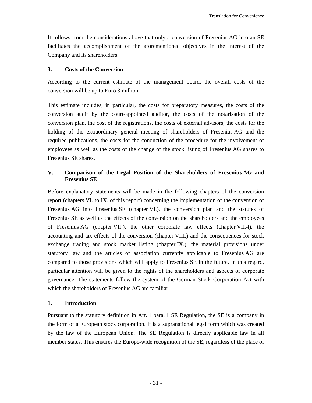It follows from the considerations above that only a conversion of Fresenius AG into an SE facilitates the accomplishment of the aforementioned objectives in the interest of the Company and its shareholders.

# **3. Costs of the Conversion**

According to the current estimate of the management board, the overall costs of the conversion will be up to Euro 3 million.

This estimate includes, in particular, the costs for preparatory measures, the costs of the conversion audit by the court-appointed auditor, the costs of the notarisation of the conversion plan, the cost of the registrations, the costs of external advisors, the costs for the holding of the extraordinary general meeting of shareholders of Fresenius AG and the required publications, the costs for the conduction of the procedure for the involvement of employees as well as the costs of the change of the stock listing of Fresenius AG shares to Fresenius SE shares.

# **V. Comparison of the Legal Position of the Shareholders of Fresenius AG and Fresenius SE**

Before explanatory statements will be made in the following chapters of the conversion report (chapters VI. to IX. of this report) concerning the implementation of the conversion of Fresenius AG into Fresenius SE (chapter VI.), the conversion plan and the statutes of Fresenius SE as well as the effects of the conversion on the shareholders and the employees of Fresenius AG (chapter VII.), the other corporate law effects (chapter VII.4), the accounting and tax effects of the conversion (chapter VIII.) and the consequences for stock exchange trading and stock market listing (chapter IX.), the material provisions under statutory law and the articles of association currently applicable to Fresenius AG are compared to those provisions which will apply to Fresenius SE in the future. In this regard, particular attention will be given to the rights of the shareholders and aspects of corporate governance. The statements follow the system of the German Stock Corporation Act with which the shareholders of Fresenius AG are familiar.

# **1. Introduction**

Pursuant to the statutory definition in Art. 1 para. 1 SE Regulation, the SE is a company in the form of a European stock corporation. It is a supranational legal form which was created by the law of the European Union. The SE Regulation is directly applicable law in all member states. This ensures the Europe-wide recognition of the SE, regardless of the place of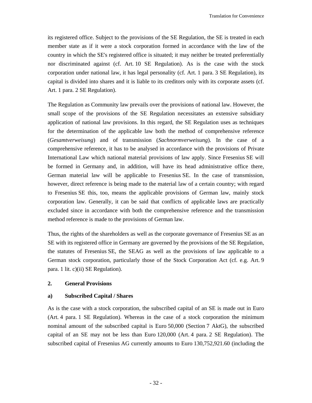its registered office. Subject to the provisions of the SE Regulation, the SE is treated in each member state as if it were a stock corporation formed in accordance with the law of the country in which the SE's registered office is situated; it may neither be treated preferentially nor discriminated against (cf. Art. 10 SE Regulation). As is the case with the stock corporation under national law, it has legal personality (cf. Art. 1 para. 3 SE Regulation), its capital is divided into shares and it is liable to its creditors only with its corporate assets (cf. Art. 1 para. 2 SE Regulation).

The Regulation as Community law prevails over the provisions of national law. However, the small scope of the provisions of the SE Regulation necessitates an extensive subsidiary application of national law provisions. In this regard, the SE Regulation uses as techniques for the determination of the applicable law both the method of comprehensive reference (*Gesamtverweisung*) and of transmission (*Sachnormverweisung*). In the case of a comprehensive reference, it has to be analysed in accordance with the provisions of Private International Law which national material provisions of law apply. Since Fresenius SE will be formed in Germany and, in addition, will have its head administrative office there, German material law will be applicable to Fresenius SE. In the case of transmission, however, direct reference is being made to the material law of a certain country; with regard to Fresenius SE this, too, means the applicable provisions of German law, mainly stock corporation law. Generally, it can be said that conflicts of applicable laws are practically excluded since in accordance with both the comprehensive reference and the transmission method reference is made to the provisions of German law.

Thus, the rights of the shareholders as well as the corporate governance of Fresenius SE as an SE with its registered office in Germany are governed by the provisions of the SE Regulation, the statutes of Fresenius SE, the SEAG as well as the provisions of law applicable to a German stock corporation, particularly those of the Stock Corporation Act (cf. e.g. Art. 9 para. 1 lit. c)(ii) SE Regulation).

### **2. General Provisions**

### **a) Subscribed Capital / Shares**

As is the case with a stock corporation, the subscribed capital of an SE is made out in Euro (Art. 4 para. 1 SE Regulation). Whereas in the case of a stock corporation the minimum nominal amount of the subscribed capital is Euro 50,000 (Section 7 AktG), the subscribed capital of an SE may not be less than Euro 120,000 (Art. 4 para. 2 SE Regulation). The subscribed capital of Fresenius AG currently amounts to Euro 130,752,921.60 (including the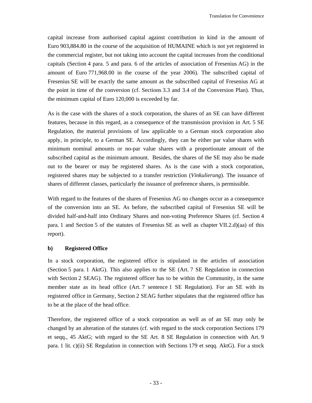capital increase from authorised capital against contribution in kind in the amount of Euro 903,884.80 in the course of the acquisition of HUMAINE which is not yet registered in the commercial register, but not taking into account the capital increases from the conditional capitals (Section 4 para. 5 and para. 6 of the articles of association of Fresenius AG) in the amount of Euro 771,968.00 in the course of the year 2006). The subscribed capital of Fresenius SE will be exactly the same amount as the subscribed capital of Fresenius AG at the point in time of the conversion (cf. Sections 3.3 and 3.4 of the Conversion Plan). Thus, the minimum capital of Euro 120,000 is exceeded by far.

As is the case with the shares of a stock corporation, the shares of an SE can have different features, because in this regard, as a consequence of the transmission provision in Art. 5 SE Regulation, the material provisions of law applicable to a German stock corporation also apply, in principle, to a German SE. Accordingly, they can be either par value shares with minimum nominal amounts or no-par value shares with a proportionate amount of the subscribed capital as the minimum amount. Besides, the shares of the SE may also be made out to the bearer or may be registered shares. As is the case with a stock corporation, registered shares may be subjected to a transfer restriction (*Vinkulierung*). The issuance of shares of different classes, particularly the issuance of preference shares, is permissible.

With regard to the features of the shares of Fresenius AG no changes occur as a consequence of the conversion into an SE. As before, the subscribed capital of Fresenius SE will be divided half-and-half into Ordinary Shares and non-voting Preference Shares (cf. Section 4 para. 1 and Section 5 of the statutes of Fresenius SE as well as chapter VII.2.d)(aa) of this report).

### **b) Registered Office**

In a stock corporation, the registered office is stipulated in the articles of association (Section 5 para. 1 AktG). This also applies to the SE (Art. 7 SE Regulation in connection with Section 2 SEAG). The registered officer has to be within the Community, in the same member state as its head office (Art. 7 sentence 1 SE Regulation). For an SE with its registered office in Germany, Section 2 SEAG further stipulates that the registered office has to be at the place of the head office.

Therefore, the registered office of a stock corporation as well as of an SE may only be changed by an alteration of the statutes (cf. with regard to the stock corporation Sections 179 et seqq., 45 AktG; with regard to the SE Art. 8 SE Regulation in connection with Art. 9 para. 1 lit. c)(ii) SE Regulation in connection with Sections 179 et seqq. AktG). For a stock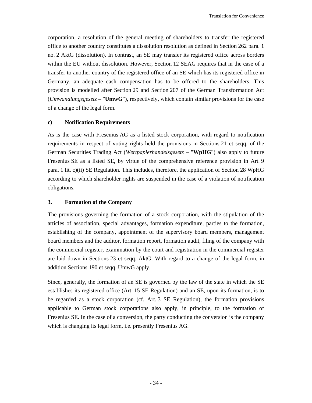corporation, a resolution of the general meeting of shareholders to transfer the registered office to another country constitutes a dissolution resolution as defined in Section 262 para. 1 no. 2 AktG (dissolution). In contrast, an SE may transfer its registered office across borders within the EU without dissolution. However, Section 12 SEAG requires that in the case of a transfer to another country of the registered office of an SE which has its registered office in Germany, an adequate cash compensation has to be offered to the shareholders. This provision is modelled after Section 29 and Section 207 of the German Transformation Act (*Umwandlungsgesetz* – "**UmwG**"), respectively, which contain similar provisions for the case of a change of the legal form.

### **c) Notification Requirements**

As is the case with Fresenius AG as a listed stock corporation, with regard to notification requirements in respect of voting rights held the provisions in Sections 21 et seqq. of the German Securities Trading Act (*Wertpapierhandelsgesetz* – "**WpHG**") also apply to future Fresenius SE as a listed SE, by virtue of the comprehensive reference provision in Art. 9 para. 1 lit. c)(ii) SE Regulation. This includes, therefore, the application of Section 28 WpHG according to which shareholder rights are suspended in the case of a violation of notification obligations.

### **3. Formation of the Company**

The provisions governing the formation of a stock corporation, with the stipulation of the articles of association, special advantages, formation expenditure, parties to the formation, establishing of the company, appointment of the supervisory board members, management board members and the auditor, formation report, formation audit, filing of the company with the commercial register, examination by the court and registration in the commercial register are laid down in Sections 23 et seqq. AktG. With regard to a change of the legal form, in addition Sections 190 et seqq. UmwG apply.

Since, generally, the formation of an SE is governed by the law of the state in which the SE establishes its registered office (Art. 15 SE Regulation) and an SE, upon its formation, is to be regarded as a stock corporation (cf. Art. 3 SE Regulation), the formation provisions applicable to German stock corporations also apply, in principle, to the formation of Fresenius SE. In the case of a conversion, the party conducting the conversion is the company which is changing its legal form, i.e. presently Fresenius AG.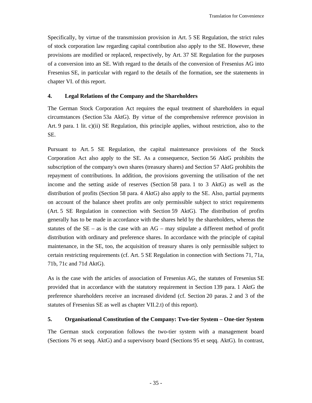Specifically, by virtue of the transmission provision in Art. 5 SE Regulation, the strict rules of stock corporation law regarding capital contribution also apply to the SE. However, these provisions are modified or replaced, respectively, by Art. 37 SE Regulation for the purposes of a conversion into an SE. With regard to the details of the conversion of Fresenius AG into Fresenius SE, in particular with regard to the details of the formation, see the statements in chapter VI. of this report.

#### **4. Legal Relations of the Company and the Shareholders**

The German Stock Corporation Act requires the equal treatment of shareholders in equal circumstances (Section 53a AktG). By virtue of the comprehensive reference provision in Art. 9 para. 1 lit. c)(ii) SE Regulation, this principle applies, without restriction, also to the SE.

Pursuant to Art. 5 SE Regulation, the capital maintenance provisions of the Stock Corporation Act also apply to the SE. As a consequence, Section 56 AktG prohibits the subscription of the company's own shares (treasury shares) and Section 57 AktG prohibits the repayment of contributions. In addition, the provisions governing the utilisation of the net income and the setting aside of reserves (Section 58 para. 1 to 3 AktG) as well as the distribution of profits (Section 58 para. 4 AktG) also apply to the SE. Also, partial payments on account of the balance sheet profits are only permissible subject to strict requirements (Art. 5 SE Regulation in connection with Section 59 AktG). The distribution of profits generally has to be made in accordance with the shares held by the shareholders, whereas the statutes of the  $SE - as$  is the case with an  $AG - may$  stipulate a different method of profit distribution with ordinary and preference shares. In accordance with the principle of capital maintenance, in the SE, too, the acquisition of treasury shares is only permissible subject to certain restricting requirements (cf. Art. 5 SE Regulation in connection with Sections 71, 71a, 71b, 71c and 71d AktG).

As is the case with the articles of association of Fresenius AG, the statutes of Fresenius SE provided that in accordance with the statutory requirement in Section 139 para. 1 AktG the preference shareholders receive an increased dividend (cf. Section 20 paras. 2 and 3 of the statutes of Fresenius SE as well as chapter VII.2.t) of this report).

#### **5. Organisational Constitution of the Company: Two-tier System – One-tier System**

The German stock corporation follows the two-tier system with a management board (Sections 76 et seqq. AktG) and a supervisory board (Sections 95 et seqq. AktG). In contrast,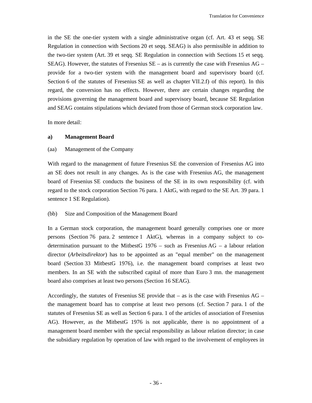in the SE the one-tier system with a single administrative organ (cf. Art. 43 et seqq. SE Regulation in connection with Sections 20 et seqq. SEAG) is also permissible in addition to the two-tier system (Art. 39 et seqq. SE Regulation in connection with Sections 15 et seqq. SEAG). However, the statutes of Fresenius  $SE - as$  is currently the case with Fresenius AG – provide for a two-tier system with the management board and supervisory board (cf. Section 6 of the statutes of Fresenius SE as well as chapter VII.2.f) of this report). In this regard, the conversion has no effects. However, there are certain changes regarding the provisions governing the management board and supervisory board, because SE Regulation and SEAG contains stipulations which deviated from those of German stock corporation law.

In more detail:

#### **a) Management Board**

#### (aa) Management of the Company

With regard to the management of future Fresenius SE the conversion of Fresenius AG into an SE does not result in any changes. As is the case with Fresenius AG, the management board of Fresenius SE conducts the business of the SE in its own responsibility (cf. with regard to the stock corporation Section 76 para. 1 AktG, with regard to the SE Art. 39 para. 1 sentence 1 SE Regulation).

#### (bb) Size and Composition of the Management Board

In a German stock corporation, the management board generally comprises one or more persons (Section 76 para. 2 sentence 1 AktG), whereas in a company subject to codetermination pursuant to the MitbestG  $1976 -$  such as Fresenius AG – a labour relation director (*Arbeitsdirektor*) has to be appointed as an "equal member" on the management board (Section 33 MitbestG 1976), i.e. the management board comprises at least two members. In an SE with the subscribed capital of more than Euro 3 mn. the management board also comprises at least two persons (Section 16 SEAG).

Accordingly, the statutes of Fresenius SE provide that  $-$  as is the case with Fresenius AG  $$ the management board has to comprise at least two persons (cf. Section 7 para. 1 of the statutes of Fresenius SE as well as Section 6 para. 1 of the articles of association of Fresenius AG). However, as the MitbestG 1976 is not applicable, there is no appointment of a management board member with the special responsibility as labour relation director; in case the subsidiary regulation by operation of law with regard to the involvement of employees in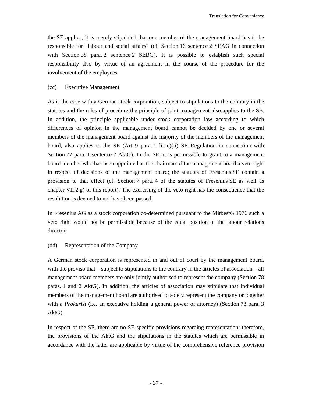the SE applies, it is merely stipulated that one member of the management board has to be responsible for "labour and social affairs" (cf. Section 16 sentence 2 SEAG in connection with Section 38 para. 2 sentence 2 SEBG). It is possible to establish such special responsibility also by virtue of an agreement in the course of the procedure for the involvement of the employees.

# (cc) Executive Management

As is the case with a German stock corporation, subject to stipulations to the contrary in the statutes and the rules of procedure the principle of joint management also applies to the SE. In addition, the principle applicable under stock corporation law according to which differences of opinion in the management board cannot be decided by one or several members of the management board against the majority of the members of the management board, also applies to the SE (Art. 9 para. 1 lit. c)(ii) SE Regulation in connection with Section 77 para. 1 sentence 2 AktG). In the SE, it is permissible to grant to a management board member who has been appointed as the chairman of the management board a veto right in respect of decisions of the management board; the statutes of Fresenius SE contain a provision to that effect (cf. Section 7 para. 4 of the statutes of Fresenius SE as well as chapter VII.2.g) of this report). The exercising of the veto right has the consequence that the resolution is deemed to not have been passed.

In Fresenius AG as a stock corporation co-determined pursuant to the MitbestG 1976 such a veto right would not be permissible because of the equal position of the labour relations director.

### (dd) Representation of the Company

A German stock corporation is represented in and out of court by the management board, with the proviso that – subject to stipulations to the contrary in the articles of association – all management board members are only jointly authorised to represent the company (Section 78 paras. 1 and 2 AktG). In addition, the articles of association may stipulate that individual members of the management board are authorised to solely represent the company or together with a *Prokurist* (i.e. an executive holding a general power of attorney) (Section 78 para. 3 AktG).

In respect of the SE, there are no SE-specific provisions regarding representation; therefore, the provisions of the AktG and the stipulations in the statutes which are permissible in accordance with the latter are applicable by virtue of the comprehensive reference provision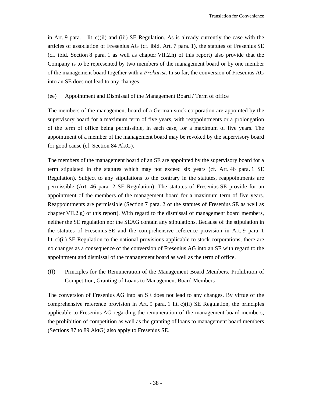in Art. 9 para. 1 lit. c)(ii) and (iii) SE Regulation. As is already currently the case with the articles of association of Fresenius AG (cf. ibid. Art. 7 para. 1), the statutes of Fresenius SE (cf. ibid. Section 8 para. 1 as well as chapter VII.2.h) of this report) also provide that the Company is to be represented by two members of the management board or by one member of the management board together with a *Prokurist*. In so far, the conversion of Fresenius AG into an SE does not lead to any changes.

### (ee) Appointment and Dismissal of the Management Board / Term of office

The members of the management board of a German stock corporation are appointed by the supervisory board for a maximum term of five years, with reappointments or a prolongation of the term of office being permissible, in each case, for a maximum of five years. The appointment of a member of the management board may be revoked by the supervisory board for good cause (cf. Section 84 AktG).

The members of the management board of an SE are appointed by the supervisory board for a term stipulated in the statutes which may not exceed six years (cf. Art. 46 para. 1 SE Regulation). Subject to any stipulations to the contrary in the statutes, reappointments are permissible (Art. 46 para. 2 SE Regulation). The statutes of Fresenius SE provide for an appointment of the members of the management board for a maximum term of five years. Reappointments are permissible (Section 7 para. 2 of the statutes of Fresenius SE as well as chapter VII.2.g) of this report). With regard to the dismissal of management board members, neither the SE regulation nor the SEAG contain any stipulations. Because of the stipulation in the statutes of Fresenius SE and the comprehensive reference provision in Art. 9 para. 1 lit. c)(ii) SE Regulation to the national provisions applicable to stock corporations, there are no changes as a consequence of the conversion of Fresenius AG into an SE with regard to the appointment and dismissal of the management board as well as the term of office.

(ff) Principles for the Remuneration of the Management Board Members, Prohibition of Competition, Granting of Loans to Management Board Members

The conversion of Fresenius AG into an SE does not lead to any changes. By virtue of the comprehensive reference provision in Art. 9 para. 1 lit. c)(ii) SE Regulation, the principles applicable to Fresenius AG regarding the remuneration of the management board members, the prohibition of competition as well as the granting of loans to management board members (Sections 87 to 89 AktG) also apply to Fresenius SE.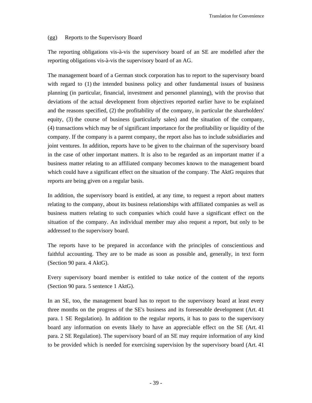### (gg) Reports to the Supervisory Board

The reporting obligations vis-à-vis the supervisory board of an SE are modelled after the reporting obligations vis-à-vis the supervisory board of an AG.

The management board of a German stock corporation has to report to the supervisory board with regard to (1) the intended business policy and other fundamental issues of business planning (in particular, financial, investment and personnel planning), with the proviso that deviations of the actual development from objectives reported earlier have to be explained and the reasons specified, (2) the profitability of the company, in particular the shareholders' equity, (3) the course of business (particularly sales) and the situation of the company, (4) transactions which may be of significant importance for the profitability or liquidity of the company. If the company is a parent company, the report also has to include subsidiaries and joint ventures. In addition, reports have to be given to the chairman of the supervisory board in the case of other important matters. It is also to be regarded as an important matter if a business matter relating to an affiliated company becomes known to the management board which could have a significant effect on the situation of the company. The AktG requires that reports are being given on a regular basis.

In addition, the supervisory board is entitled, at any time, to request a report about matters relating to the company, about its business relationships with affiliated companies as well as business matters relating to such companies which could have a significant effect on the situation of the company. An individual member may also request a report, but only to be addressed to the supervisory board.

The reports have to be prepared in accordance with the principles of conscientious and faithful accounting. They are to be made as soon as possible and, generally, in text form (Section 90 para. 4 AktG).

Every supervisory board member is entitled to take notice of the content of the reports (Section 90 para. 5 sentence 1 AktG).

In an SE, too, the management board has to report to the supervisory board at least every three months on the progress of the SE's business and its foreseeable development (Art. 41 para. 1 SE Regulation). In addition to the regular reports, it has to pass to the supervisory board any information on events likely to have an appreciable effect on the SE (Art. 41 para. 2 SE Regulation). The supervisory board of an SE may require information of any kind to be provided which is needed for exercising supervision by the supervisory board (Art. 41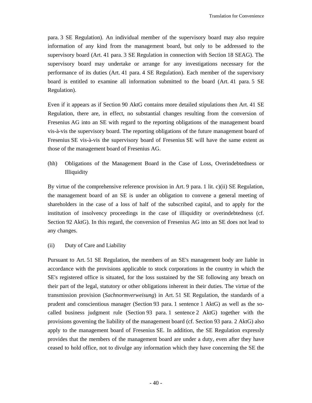para. 3 SE Regulation). An individual member of the supervisory board may also require information of any kind from the management board, but only to be addressed to the supervisory board (Art. 41 para. 3 SE Regulation in connection with Section 18 SEAG). The supervisory board may undertake or arrange for any investigations necessary for the performance of its duties (Art. 41 para. 4 SE Regulation). Each member of the supervisory board is entitled to examine all information submitted to the board (Art. 41 para. 5 SE Regulation).

Even if it appears as if Section 90 AktG contains more detailed stipulations then Art. 41 SE Regulation, there are, in effect, no substantial changes resulting from the conversion of Fresenius AG into an SE with regard to the reporting obligations of the management board vis-à-vis the supervisory board. The reporting obligations of the future management board of Fresenius SE vis-à-vis the supervisory board of Fresenius SE will have the same extent as those of the management board of Fresenius AG.

(hh) Obligations of the Management Board in the Case of Loss, Overindebtedness or Illiquidity

By virtue of the comprehensive reference provision in Art. 9 para. 1 lit. c)(ii) SE Regulation, the management board of an SE is under an obligation to convene a general meeting of shareholders in the case of a loss of half of the subscribed capital, and to apply for the institution of insolvency proceedings in the case of illiquidity or overindebtedness (cf. Section 92 AktG). In this regard, the conversion of Fresenius AG into an SE does not lead to any changes.

(ii) Duty of Care and Liability

Pursuant to Art. 51 SE Regulation, the members of an SE's management body are liable in accordance with the provisions applicable to stock corporations in the country in which the SE's registered office is situated, for the loss sustained by the SE following any breach on their part of the legal, statutory or other obligations inherent in their duties. The virtue of the transmission provision (*Sachnormverweisung*) in Art. 51 SE Regulation, the standards of a prudent and conscientious manager (Section 93 para. 1 sentence 1 AktG) as well as the socalled business judgment rule (Section 93 para. 1 sentence 2 AktG) together with the provisions governing the liability of the management board (cf. Section 93 para. 2 AktG) also apply to the management board of Fresenius SE. In addition, the SE Regulation expressly provides that the members of the management board are under a duty, even after they have ceased to hold office, not to divulge any information which they have concerning the SE the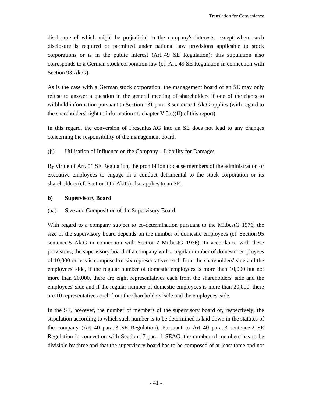disclosure of which might be prejudicial to the company's interests, except where such disclosure is required or permitted under national law provisions applicable to stock corporations or is in the public interest (Art. 49 SE Regulation); this stipulation also corresponds to a German stock corporation law (cf. Art. 49 SE Regulation in connection with Section 93 AktG).

As is the case with a German stock corporation, the management board of an SE may only refuse to answer a question in the general meeting of shareholders if one of the rights to withhold information pursuant to Section 131 para. 3 sentence 1 AktG applies (with regard to the shareholders' right to information cf. chapter V.5.c)(ff) of this report).

In this regard, the conversion of Fresenius AG into an SE does not lead to any changes concerning the responsibility of the management board.

# (jj) Utilisation of Influence on the Company – Liability for Damages

By virtue of Art. 51 SE Regulation, the prohibition to cause members of the administration or executive employees to engage in a conduct detrimental to the stock corporation or its shareholders (cf. Section 117 AktG) also applies to an SE.

### **b) Supervisory Board**

# (aa) Size and Composition of the Supervisory Board

With regard to a company subject to co-determination pursuant to the MitbestG 1976, the size of the supervisory board depends on the number of domestic employees (cf. Section 95 sentence 5 AktG in connection with Section 7 MitbestG 1976). In accordance with these provisions, the supervisory board of a company with a regular number of domestic employees of 10,000 or less is composed of six representatives each from the shareholders' side and the employees' side, if the regular number of domestic employees is more than 10,000 but not more than 20,000, there are eight representatives each from the shareholders' side and the employees' side and if the regular number of domestic employees is more than 20,000, there are 10 representatives each from the shareholders' side and the employees' side.

In the SE, however, the number of members of the supervisory board or, respectively, the stipulation according to which such number is to be determined is laid down in the statutes of the company (Art. 40 para. 3 SE Regulation). Pursuant to Art. 40 para. 3 sentence 2 SE Regulation in connection with Section 17 para. 1 SEAG, the number of members has to be divisible by three and that the supervisory board has to be composed of at least three and not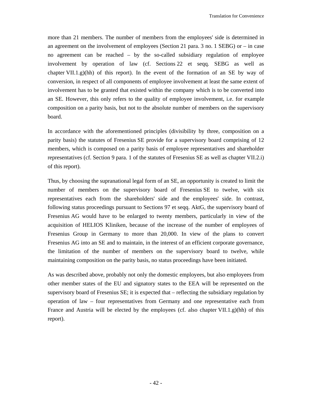more than 21 members. The number of members from the employees' side is determined in an agreement on the involvement of employees (Section 21 para. 3 no. 1 SEBG) or – in case no agreement can be reached – by the so-called subsidiary regulation of employee involvement by operation of law (cf. Sections 22 et seqq. SEBG as well as chapter VII.1.g)(hh) of this report). In the event of the formation of an SE by way of conversion, in respect of all components of employee involvement at least the same extent of involvement has to be granted that existed within the company which is to be converted into an SE. However, this only refers to the quality of employee involvement, i.e. for example composition on a parity basis, but not to the absolute number of members on the supervisory board.

In accordance with the aforementioned principles (divisibility by three, composition on a parity basis) the statutes of Fresenius SE provide for a supervisory board comprising of 12 members, which is composed on a parity basis of employee representatives and shareholder representatives (cf. Section 9 para. 1 of the statutes of Fresenius SE as well as chapter VII.2.i) of this report).

Thus, by choosing the supranational legal form of an SE, an opportunity is created to limit the number of members on the supervisory board of Fresenius SE to twelve, with six representatives each from the shareholders' side and the employees' side. In contrast, following status proceedings pursuant to Sections 97 et seqq. AktG, the supervisory board of Fresenius AG would have to be enlarged to twenty members, particularly in view of the acquisition of HELIOS Kliniken, because of the increase of the number of employees of Fresenius Group in Germany to more than 20,000. In view of the plans to convert Fresenius AG into an SE and to maintain, in the interest of an efficient corporate governance, the limitation of the number of members on the supervisory board to twelve, while maintaining composition on the parity basis, no status proceedings have been initiated.

As was described above, probably not only the domestic employees, but also employees from other member states of the EU and signatory states to the EEA will be represented on the supervisory board of Fresenius SE; it is expected that – reflecting the subsidiary regulation by operation of law – four representatives from Germany and one representative each from France and Austria will be elected by the employees (cf. also chapter VII.1.g)(hh) of this report).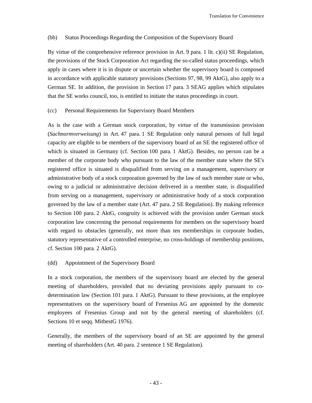### (bb) Status Proceedings Regarding the Composition of the Supervisory Board

By virtue of the comprehensive reference provision in Art. 9 para. 1 lit. c)(ii) SE Regulation, the provisions of the Stock Corporation Act regarding the so-called status proceedings, which apply in cases where it is in dispute or uncertain whether the supervisory board is composed in accordance with applicable statutory provisions (Sections 97, 98, 99 AktG), also apply to a German SE. In addition, the provision in Section 17 para. 3 SEAG applies which stipulates that the SE works council, too, is entitled to initiate the status proceedings in court.

# (cc) Personal Requirements for Supervisory Board Members

As is the case with a German stock corporation, by virtue of the transmission provision (*Sachnormverweisung*) in Art. 47 para. 1 SE Regulation only natural persons of full legal capacity are eligible to be members of the supervisory board of an SE the registered office of which is situated in Germany (cf. Section 100 para. 1 AktG). Besides, no person can be a member of the corporate body who pursuant to the law of the member state where the SE's registered office is situated is disqualified from serving on a management, supervisory or administrative body of a stock corporation governed by the law of such member state or who, owing to a judicial or administrative decision delivered in a member state, is disqualified from serving on a management, supervisory or administrative body of a stock corporation governed by the law of a member state (Art. 47 para. 2 SE Regulation). By making reference to Section 100 para. 2 AktG, congruity is achieved with the provision under German stock corporation law concerning the personal requirements for members on the supervisory board with regard to obstacles (generally, not more than ten memberships in corporate bodies, statutory representative of a controlled enterprise, no cross-holdings of membership positions, cf. Section 100 para. 2 AktG).

# (dd) Appointment of the Supervisory Board

In a stock corporation, the members of the supervisory board are elected by the general meeting of shareholders, provided that no deviating provisions apply pursuant to codetermination law (Section 101 para. 1 AktG). Pursuant to these provisions, at the employee representatives on the supervisory board of Fresenius AG are appointed by the domestic employees of Fresenius Group and not by the general meeting of shareholders (cf. Sections 10 et seqq. MitbestG 1976).

Generally, the members of the supervisory board of an SE are appointed by the general meeting of shareholders (Art. 40 para. 2 sentence 1 SE Regulation).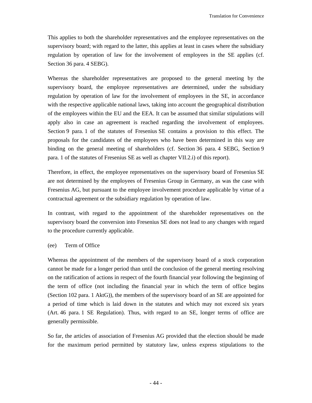This applies to both the shareholder representatives and the employee representatives on the supervisory board; with regard to the latter, this applies at least in cases where the subsidiary regulation by operation of law for the involvement of employees in the SE applies (cf. Section 36 para. 4 SEBG).

Whereas the shareholder representatives are proposed to the general meeting by the supervisory board, the employee representatives are determined, under the subsidiary regulation by operation of law for the involvement of employees in the SE, in accordance with the respective applicable national laws, taking into account the geographical distribution of the employees within the EU and the EEA. It can be assumed that similar stipulations will apply also in case an agreement is reached regarding the involvement of employees. Section 9 para. 1 of the statutes of Fresenius SE contains a provision to this effect. The proposals for the candidates of the employees who have been determined in this way are binding on the general meeting of shareholders (cf. Section 36 para. 4 SEBG, Section 9 para. 1 of the statutes of Fresenius SE as well as chapter VII.2.i) of this report).

Therefore, in effect, the employee representatives on the supervisory board of Fresenius SE are not determined by the employees of Fresenius Group in Germany, as was the case with Fresenius AG, but pursuant to the employee involvement procedure applicable by virtue of a contractual agreement or the subsidiary regulation by operation of law.

In contrast, with regard to the appointment of the shareholder representatives on the supervisory board the conversion into Fresenius SE does not lead to any changes with regard to the procedure currently applicable.

### (ee) Term of Office

Whereas the appointment of the members of the supervisory board of a stock corporation cannot be made for a longer period than until the conclusion of the general meeting resolving on the ratification of actions in respect of the fourth financial year following the beginning of the term of office (not including the financial year in which the term of office begins (Section 102 para. 1 AktG)), the members of the supervisory board of an SE are appointed for a period of time which is laid down in the statutes and which may not exceed six years (Art. 46 para. 1 SE Regulation). Thus, with regard to an SE, longer terms of office are generally permissible.

So far, the articles of association of Fresenius AG provided that the election should be made for the maximum period permitted by statutory law, unless express stipulations to the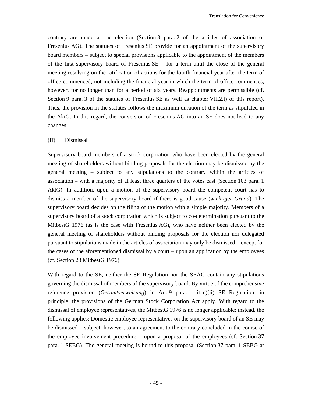contrary are made at the election (Section 8 para. 2 of the articles of association of Fresenius AG). The statutes of Fresenius SE provide for an appointment of the supervisory board members – subject to special provisions applicable to the appointment of the members of the first supervisory board of Fresenius  $SE$  – for a term until the close of the general meeting resolving on the ratification of actions for the fourth financial year after the term of office commenced, not including the financial year in which the term of office commences, however, for no longer than for a period of six years. Reappointments are permissible (cf. Section 9 para. 3 of the statutes of Fresenius SE as well as chapter VII.2.i) of this report). Thus, the provision in the statutes follows the maximum duration of the term as stipulated in the AktG. In this regard, the conversion of Fresenius AG into an SE does not lead to any changes.

#### (ff) Dismissal

Supervisory board members of a stock corporation who have been elected by the general meeting of shareholders without binding proposals for the election may be dismissed by the general meeting – subject to any stipulations to the contrary within the articles of association – with a majority of at least three quarters of the votes cast (Section 103 para. 1 AktG). In addition, upon a motion of the supervisory board the competent court has to dismiss a member of the supervisory board if there is good cause (*wichtiger Grund*). The supervisory board decides on the filing of the motion with a simple majority. Members of a supervisory board of a stock corporation which is subject to co-determination pursuant to the MitbestG 1976 (as is the case with Fresenius AG), who have neither been elected by the general meeting of shareholders without binding proposals for the election nor delegated pursuant to stipulations made in the articles of association may only be dismissed – except for the cases of the aforementioned dismissal by a court – upon an application by the employees (cf. Section 23 MitbestG 1976).

With regard to the SE, neither the SE Regulation nor the SEAG contain any stipulations governing the dismissal of members of the supervisory board. By virtue of the comprehensive reference provision (*Gesamtverweisung*) in Art. 9 para. 1 lit. c)(ii) SE Regulation, in principle, the provisions of the German Stock Corporation Act apply. With regard to the dismissal of employee representatives, the MitbestG 1976 is no longer applicable; instead, the following applies: Domestic employee representatives on the supervisory board of an SE may be dismissed – subject, however, to an agreement to the contrary concluded in the course of the employee involvement procedure – upon a proposal of the employees (cf. Section 37 para. 1 SEBG). The general meeting is bound to this proposal (Section 37 para. 1 SEBG at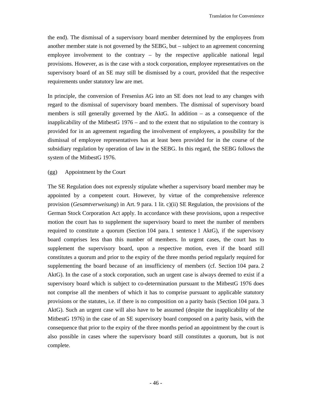the end). The dismissal of a supervisory board member determined by the employees from another member state is not governed by the SEBG, but – subject to an agreement concerning employee involvement to the contrary – by the respective applicable national legal provisions. However, as is the case with a stock corporation, employee representatives on the supervisory board of an SE may still be dismissed by a court, provided that the respective requirements under statutory law are met.

In principle, the conversion of Fresenius AG into an SE does not lead to any changes with regard to the dismissal of supervisory board members. The dismissal of supervisory board members is still generally governed by the AktG. In addition – as a consequence of the inapplicability of the MitbestG 1976 – and to the extent that no stipulation to the contrary is provided for in an agreement regarding the involvement of employees, a possibility for the dismissal of employee representatives has at least been provided for in the course of the subsidiary regulation by operation of law in the SEBG. In this regard, the SEBG follows the system of the MitbestG 1976.

#### (gg) Appointment by the Court

The SE Regulation does not expressly stipulate whether a supervisory board member may be appointed by a competent court. However, by virtue of the comprehensive reference provision (*Gesamtverweisung*) in Art. 9 para. 1 lit. c)(ii) SE Regulation, the provisions of the German Stock Corporation Act apply. In accordance with these provisions, upon a respective motion the court has to supplement the supervisory board to meet the number of members required to constitute a quorum (Section 104 para. 1 sentence 1 AktG), if the supervisory board comprises less than this number of members. In urgent cases, the court has to supplement the supervisory board, upon a respective motion, even if the board still constitutes a quorum and prior to the expiry of the three months period regularly required for supplementing the board because of an insufficiency of members (cf. Section 104 para. 2) AktG). In the case of a stock corporation, such an urgent case is always deemed to exist if a supervisory board which is subject to co-determination pursuant to the MitbestG 1976 does not comprise all the members of which it has to comprise pursuant to applicable statutory provisions or the statutes, i.e. if there is no composition on a parity basis (Section 104 para. 3 AktG). Such an urgent case will also have to be assumed (despite the inapplicability of the MitbestG 1976) in the case of an SE supervisory board composed on a parity basis, with the consequence that prior to the expiry of the three months period an appointment by the court is also possible in cases where the supervisory board still constitutes a quorum, but is not complete.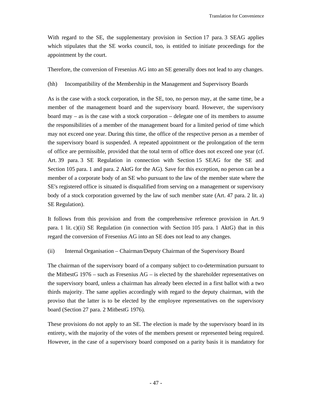With regard to the SE, the supplementary provision in Section 17 para. 3 SEAG applies which stipulates that the SE works council, too, is entitled to initiate proceedings for the appointment by the court.

Therefore, the conversion of Fresenius AG into an SE generally does not lead to any changes.

(hh) Incompatibility of the Membership in the Management and Supervisory Boards

As is the case with a stock corporation, in the SE, too, no person may, at the same time, be a member of the management board and the supervisory board. However, the supervisory board may – as is the case with a stock corporation – delegate one of its members to assume the responsibilities of a member of the management board for a limited period of time which may not exceed one year. During this time, the office of the respective person as a member of the supervisory board is suspended. A repeated appointment or the prolongation of the term of office are permissible, provided that the total term of office does not exceed one year (cf. Art. 39 para. 3 SE Regulation in connection with Section 15 SEAG for the SE and Section 105 para. 1 and para. 2 AktG for the AG). Save for this exception, no person can be a member of a corporate body of an SE who pursuant to the law of the member state where the SE's registered office is situated is disqualified from serving on a management or supervisory body of a stock corporation governed by the law of such member state (Art. 47 para. 2 lit. a) SE Regulation).

It follows from this provision and from the comprehensive reference provision in Art. 9 para. 1 lit. c)(ii) SE Regulation (in connection with Section 105 para. 1 AktG) that in this regard the conversion of Fresenius AG into an SE does not lead to any changes.

# (ii) Internal Organisation – Chairman/Deputy Chairman of the Supervisory Board

The chairman of the supervisory board of a company subject to co-determination pursuant to the MitbestG 1976 – such as Fresenius AG – is elected by the shareholder representatives on the supervisory board, unless a chairman has already been elected in a first ballot with a two thirds majority. The same applies accordingly with regard to the deputy chairman, with the proviso that the latter is to be elected by the employee representatives on the supervisory board (Section 27 para. 2 MitbestG 1976).

These provisions do not apply to an SE. The election is made by the supervisory board in its entirety, with the majority of the votes of the members present or represented being required. However, in the case of a supervisory board composed on a parity basis it is mandatory for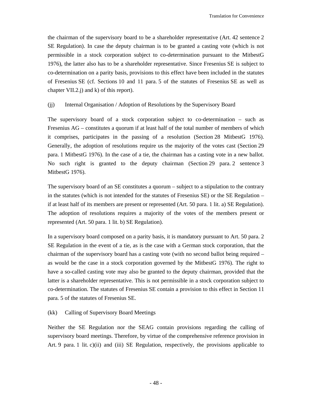the chairman of the supervisory board to be a shareholder representative (Art. 42 sentence 2 SE Regulation). In case the deputy chairman is to be granted a casting vote (which is not permissible in a stock corporation subject to co-determination pursuant to the MitbestG 1976), the latter also has to be a shareholder representative. Since Fresenius SE is subject to co-determination on a parity basis, provisions to this effect have been included in the statutes of Fresenius SE (cf. Sections 10 and 11 para. 5 of the statutes of Fresenius SE as well as chapter VII.2.j) and k) of this report).

# (jj) Internal Organisation / Adoption of Resolutions by the Supervisory Board

The supervisory board of a stock corporation subject to co-determination – such as Fresenius AG – constitutes a quorum if at least half of the total number of members of which it comprises, participates in the passing of a resolution (Section 28 MitbestG 1976). Generally, the adoption of resolutions require us the majority of the votes cast (Section 29 para. 1 MitbestG 1976). In the case of a tie, the chairman has a casting vote in a new ballot. No such right is granted to the deputy chairman (Section 29 para. 2 sentence 3 MitbestG 1976).

The supervisory board of an SE constitutes a quorum – subject to a stipulation to the contrary in the statutes (which is not intended for the statutes of Fresenius SE) or the SE Regulation – if at least half of its members are present or represented (Art. 50 para. 1 lit. a) SE Regulation). The adoption of resolutions requires a majority of the votes of the members present or represented (Art. 50 para. 1 lit. b) SE Regulation).

In a supervisory board composed on a parity basis, it is mandatory pursuant to Art. 50 para. 2 SE Regulation in the event of a tie, as is the case with a German stock corporation, that the chairman of the supervisory board has a casting vote (with no second ballot being required – as would be the case in a stock corporation governed by the MitbestG 1976). The right to have a so-called casting vote may also be granted to the deputy chairman, provided that the latter is a shareholder representative. This is not permissible in a stock corporation subject to co-determination. The statutes of Fresenius SE contain a provision to this effect in Section 11 para. 5 of the statutes of Fresenius SE.

### (kk) Calling of Supervisory Board Meetings

Neither the SE Regulation nor the SEAG contain provisions regarding the calling of supervisory board meetings. Therefore, by virtue of the comprehensive reference provision in Art. 9 para. 1 lit. c)(ii) and (iii) SE Regulation, respectively, the provisions applicable to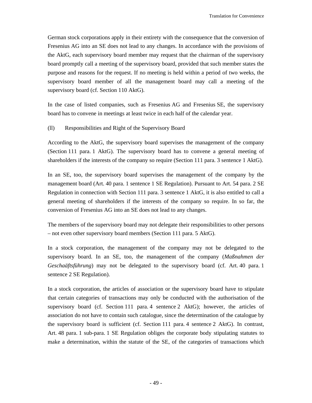German stock corporations apply in their entirety with the consequence that the conversion of Fresenius AG into an SE does not lead to any changes. In accordance with the provisions of the AktG, each supervisory board member may request that the chairman of the supervisory board promptly call a meeting of the supervisory board, provided that such member states the purpose and reasons for the request. If no meeting is held within a period of two weeks, the supervisory board member of all the management board may call a meeting of the supervisory board (cf. Section 110 AktG).

In the case of listed companies, such as Fresenius AG and Fresenius SE, the supervisory board has to convene in meetings at least twice in each half of the calendar year.

# (ll) Responsibilities and Right of the Supervisory Board

According to the AktG, the supervisory board supervises the management of the company (Section 111 para. 1 AktG). The supervisory board has to convene a general meeting of shareholders if the interests of the company so require (Section 111 para. 3 sentence 1 AktG).

In an SE, too, the supervisory board supervises the management of the company by the management board (Art. 40 para. 1 sentence 1 SE Regulation). Pursuant to Art. 54 para. 2 SE Regulation in connection with Section 111 para. 3 sentence 1 AktG, it is also entitled to call a general meeting of shareholders if the interests of the company so require. In so far, the conversion of Fresenius AG into an SE does not lead to any changes.

The members of the supervisory board may not delegate their responsibilities to other persons – not even other supervisory board members (Section 111 para. 5 AktG).

In a stock corporation, the management of the company may not be delegated to the supervisory board. In an SE, too, the management of the company (*Maßnahmen der Geschaäftsführung*) may not be delegated to the supervisory board (cf. Art. 40 para. 1 sentence 2 SE Regulation).

In a stock corporation, the articles of association or the supervisory board have to stipulate that certain categories of transactions may only be conducted with the authorisation of the supervisory board (cf. Section 111 para. 4 sentence 2 AktG); however, the articles of association do not have to contain such catalogue, since the determination of the catalogue by the supervisory board is sufficient (cf. Section 111 para. 4 sentence 2 AktG). In contrast, Art. 48 para. 1 sub-para. 1 SE Regulation obliges the corporate body stipulating statutes to make a determination, within the statute of the SE, of the categories of transactions which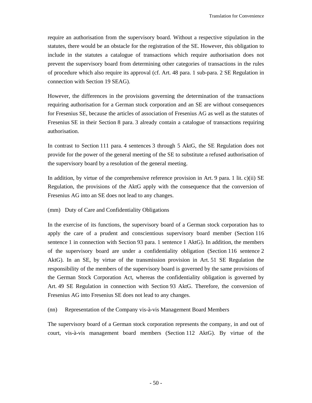require an authorisation from the supervisory board. Without a respective stipulation in the statutes, there would be an obstacle for the registration of the SE. However, this obligation to include in the statutes a catalogue of transactions which require authorisation does not prevent the supervisory board from determining other categories of transactions in the rules of procedure which also require its approval (cf. Art. 48 para. 1 sub-para. 2 SE Regulation in connection with Section 19 SEAG).

However, the differences in the provisions governing the determination of the transactions requiring authorisation for a German stock corporation and an SE are without consequences for Fresenius SE, because the articles of association of Fresenius AG as well as the statutes of Fresenius SE in their Section 8 para. 3 already contain a catalogue of transactions requiring authorisation.

In contrast to Section 111 para. 4 sentences 3 through 5 AktG, the SE Regulation does not provide for the power of the general meeting of the SE to substitute a refused authorisation of the supervisory board by a resolution of the general meeting.

In addition, by virtue of the comprehensive reference provision in Art. 9 para. 1 lit. c)(ii)  $SE$ Regulation, the provisions of the AktG apply with the consequence that the conversion of Fresenius AG into an SE does not lead to any changes.

### (mm) Duty of Care and Confidentiality Obligations

In the exercise of its functions, the supervisory board of a German stock corporation has to apply the care of a prudent and conscientious supervisory board member (Section 116 sentence 1 in connection with Section 93 para. 1 sentence 1 AktG). In addition, the members of the supervisory board are under a confidentiality obligation (Section 116 sentence 2 AktG). In an SE, by virtue of the transmission provision in Art. 51 SE Regulation the responsibility of the members of the supervisory board is governed by the same provisions of the German Stock Corporation Act, whereas the confidentiality obligation is governed by Art. 49 SE Regulation in connection with Section 93 AktG. Therefore, the conversion of Fresenius AG into Fresenius SE does not lead to any changes.

(nn) Representation of the Company vis-à-vis Management Board Members

The supervisory board of a German stock corporation represents the company, in and out of court, vis-à-vis management board members (Section 112 AktG). By virtue of the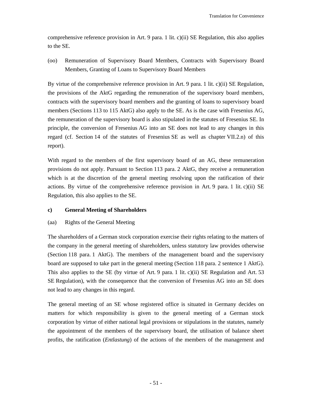comprehensive reference provision in Art. 9 para. 1 lit. c)(ii) SE Regulation, this also applies to the SE.

(oo) Remuneration of Supervisory Board Members, Contracts with Supervisory Board Members, Granting of Loans to Supervisory Board Members

By virtue of the comprehensive reference provision in Art. 9 para. 1 lit. c)(ii) SE Regulation, the provisions of the AktG regarding the remuneration of the supervisory board members, contracts with the supervisory board members and the granting of loans to supervisory board members (Sections 113 to 115 AktG) also apply to the SE. As is the case with Fresenius AG, the remuneration of the supervisory board is also stipulated in the statutes of Fresenius SE. In principle, the conversion of Fresenius AG into an SE does not lead to any changes in this regard (cf. Section 14 of the statutes of Fresenius SE as well as chapter VII.2.n) of this report).

With regard to the members of the first supervisory board of an AG, these remuneration provisions do not apply. Pursuant to Section 113 para. 2 AktG, they receive a remuneration which is at the discretion of the general meeting resolving upon the ratification of their actions. By virtue of the comprehensive reference provision in Art. 9 para. 1 lit. c)(ii) SE Regulation, this also applies to the SE.

# **c) General Meeting of Shareholders**

### (aa) Rights of the General Meeting

The shareholders of a German stock corporation exercise their rights relating to the matters of the company in the general meeting of shareholders, unless statutory law provides otherwise (Section 118 para. 1 AktG). The members of the management board and the supervisory board are supposed to take part in the general meeting (Section 118 para. 2 sentence 1 AktG). This also applies to the SE (by virtue of Art. 9 para. 1 lit. c)(ii) SE Regulation and Art. 53 SE Regulation), with the consequence that the conversion of Fresenius AG into an SE does not lead to any changes in this regard.

The general meeting of an SE whose registered office is situated in Germany decides on matters for which responsibility is given to the general meeting of a German stock corporation by virtue of either national legal provisions or stipulations in the statutes, namely the appointment of the members of the supervisory board, the utilisation of balance sheet profits, the ratification (*Entlastung*) of the actions of the members of the management and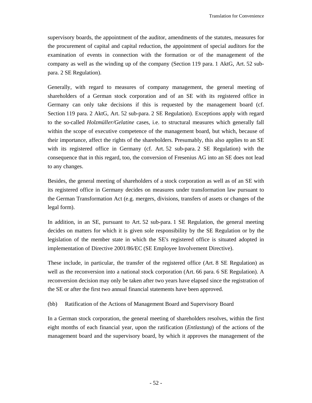supervisory boards, the appointment of the auditor, amendments of the statutes, measures for the procurement of capital and capital reduction, the appointment of special auditors for the examination of events in connection with the formation or of the management of the company as well as the winding up of the company (Section 119 para. 1 AktG, Art. 52 subpara. 2 SE Regulation).

Generally, with regard to measures of company management, the general meeting of shareholders of a German stock corporation and of an SE with its registered office in Germany can only take decisions if this is requested by the management board (cf. Section 119 para. 2 AktG, Art. 52 sub-para. 2 SE Regulation). Exceptions apply with regard to the so-called *Holzmüller/Gelatine* cases, i.e. to structural measures which generally fall within the scope of executive competence of the management board, but which, because of their importance, affect the rights of the shareholders. Presumably, this also applies to an SE with its registered office in Germany (cf. Art. 52 sub-para. 2 SE Regulation) with the consequence that in this regard, too, the conversion of Fresenius AG into an SE does not lead to any changes.

Besides, the general meeting of shareholders of a stock corporation as well as of an SE with its registered office in Germany decides on measures under transformation law pursuant to the German Transformation Act (e.g. mergers, divisions, transfers of assets or changes of the legal form).

In addition, in an SE, pursuant to Art. 52 sub-para. 1 SE Regulation, the general meeting decides on matters for which it is given sole responsibility by the SE Regulation or by the legislation of the member state in which the SE's registered office is situated adopted in implementation of Directive 2001/86/EC (SE Employee Involvement Directive).

These include, in particular, the transfer of the registered office (Art. 8 SE Regulation) as well as the reconversion into a national stock corporation (Art. 66 para. 6 SE Regulation). A reconversion decision may only be taken after two years have elapsed since the registration of the SE or after the first two annual financial statements have been approved.

(bb) Ratification of the Actions of Management Board and Supervisory Board

In a German stock corporation, the general meeting of shareholders resolves, within the first eight months of each financial year, upon the ratification (*Entlastung*) of the actions of the management board and the supervisory board, by which it approves the management of the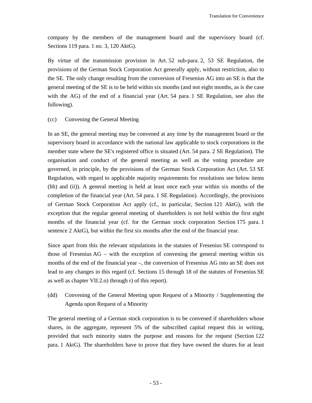company by the members of the management board and the supervisory board (cf. Sections 119 para. 1 no. 3, 120 AktG).

By virtue of the transmission provision in Art. 52 sub-para. 2, 53 SE Regulation, the provisions of the German Stock Corporation Act generally apply, without restriction, also to the SE. The only change resulting from the conversion of Fresenius AG into an SE is that the general meeting of the SE is to be held within six months (and not eight months, as is the case with the AG) of the end of a financial year (Art. 54 para. 1 SE Regulation, see also the following).

### (cc) Convening the General Meeting

In an SE, the general meeting may be convened at any time by the management board or the supervisory board in accordance with the national law applicable to stock corporations in the member state where the SE's registered office is situated (Art. 54 para. 2 SE Regulation). The organisation and conduct of the general meeting as well as the voting procedure are governed, in principle, by the provisions of the German Stock Corporation Act (Art. 53 SE Regulation, with regard to applicable majority requirements for resolutions see below items (hh) and (ii)). A general meeting is held at least once each year within six months of the completion of the financial year (Art. 54 para. 1 SE Regulation). Accordingly, the provisions of German Stock Corporation Act apply (cf., in particular, Section 121 AktG), with the exception that the regular general meeting of shareholders is not held within the first eight months of the financial year (cf. for the German stock corporation Section 175 para. 1 sentence 2 AktG), but within the first six months after the end of the financial year.

Since apart from this the relevant stipulations in the statutes of Fresenius SE correspond to those of Fresenius AG – with the exception of convening the general meeting within six months of the end of the financial year –, the conversion of Fresenius AG into an SE does not lead to any changes in this regard (cf. Sections 15 through 18 of the statutes of Fresenius SE as well as chapter VII.2.o) through r) of this report).

(dd) Convening of the General Meeting upon Request of a Minority / Supplementing the Agenda upon Request of a Minority

The general meeting of a German stock corporation is to be convened if shareholders whose shares, in the aggregate, represent 5% of the subscribed capital request this in writing, provided that such minority states the purpose and reasons for the request (Section 122 para. 1 AktG). The shareholders have to prove that they have owned the shares for at least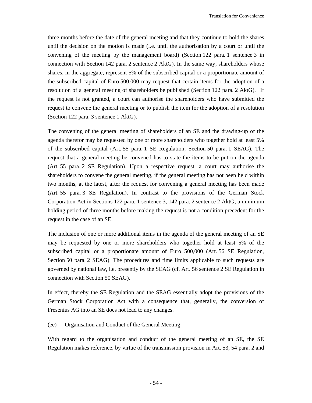three months before the date of the general meeting and that they continue to hold the shares until the decision on the motion is made (i.e. until the authorisation by a court or until the convening of the meeting by the management board) (Section 122 para. 1 sentence 3 in connection with Section 142 para. 2 sentence 2 AktG). In the same way, shareholders whose shares, in the aggregate, represent 5% of the subscribed capital or a proportionate amount of the subscribed capital of Euro 500,000 may request that certain items for the adoption of a resolution of a general meeting of shareholders be published (Section 122 para. 2 AktG). If the request is not granted, a court can authorise the shareholders who have submitted the request to convene the general meeting or to publish the item for the adoption of a resolution (Section 122 para. 3 sentence 1 AktG).

The convening of the general meeting of shareholders of an SE and the drawing-up of the agenda therefor may be requested by one or more shareholders who together hold at least 5% of the subscribed capital (Art. 55 para. 1 SE Regulation, Section 50 para. 1 SEAG). The request that a general meeting be convened has to state the items to be put on the agenda (Art. 55 para. 2 SE Regulation). Upon a respective request, a court may authorise the shareholders to convene the general meeting, if the general meeting has not been held within two months, at the latest, after the request for convening a general meeting has been made (Art. 55 para. 3 SE Regulation). In contrast to the provisions of the German Stock Corporation Act in Sections 122 para. 1 sentence 3, 142 para. 2 sentence 2 AktG, a minimum holding period of three months before making the request is not a condition precedent for the request in the case of an SE.

The inclusion of one or more additional items in the agenda of the general meeting of an SE may be requested by one or more shareholders who together hold at least 5% of the subscribed capital or a proportionate amount of Euro 500,000 (Art. 56 SE Regulation, Section 50 para. 2 SEAG). The procedures and time limits applicable to such requests are governed by national law, i.e. presently by the SEAG (cf. Art. 56 sentence 2 SE Regulation in connection with Section 50 SEAG).

In effect, thereby the SE Regulation and the SEAG essentially adopt the provisions of the German Stock Corporation Act with a consequence that, generally, the conversion of Fresenius AG into an SE does not lead to any changes.

#### (ee) Organisation and Conduct of the General Meeting

With regard to the organisation and conduct of the general meeting of an SE, the SE Regulation makes reference, by virtue of the transmission provision in Art. 53, 54 para. 2 and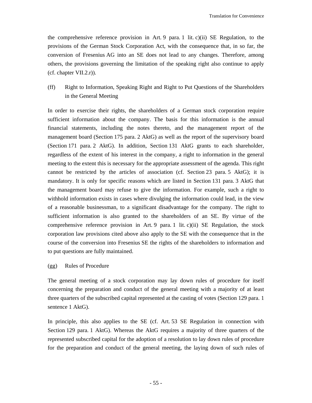the comprehensive reference provision in Art. 9 para. 1 lit.  $c$ )(ii) SE Regulation, to the provisions of the German Stock Corporation Act, with the consequence that, in so far, the conversion of Fresenius AG into an SE does not lead to any changes. Therefore, among others, the provisions governing the limitation of the speaking right also continue to apply (cf. chapter VII.2.r)).

(ff) Right to Information, Speaking Right and Right to Put Questions of the Shareholders in the General Meeting

In order to exercise their rights, the shareholders of a German stock corporation require sufficient information about the company. The basis for this information is the annual financial statements, including the notes thereto, and the management report of the management board (Section 175 para. 2 AktG) as well as the report of the supervisory board (Section 171 para. 2 AktG). In addition, Section 131 AktG grants to each shareholder, regardless of the extent of his interest in the company, a right to information in the general meeting to the extent this is necessary for the appropriate assessment of the agenda. This right cannot be restricted by the articles of association (cf. Section 23 para. 5 AktG); it is mandatory. It is only for specific reasons which are listed in Section 131 para. 3 AktG that the management board may refuse to give the information. For example, such a right to withhold information exists in cases where divulging the information could lead, in the view of a reasonable businessman, to a significant disadvantage for the company. The right to sufficient information is also granted to the shareholders of an SE. By virtue of the comprehensive reference provision in Art. 9 para. 1 lit. c)(ii) SE Regulation, the stock corporation law provisions cited above also apply to the SE with the consequence that in the course of the conversion into Fresenius SE the rights of the shareholders to information and to put questions are fully maintained.

### (gg) Rules of Procedure

The general meeting of a stock corporation may lay down rules of procedure for itself concerning the preparation and conduct of the general meeting with a majority of at least three quarters of the subscribed capital represented at the casting of votes (Section 129 para. 1 sentence 1 AktG).

In principle, this also applies to the SE (cf. Art. 53 SE Regulation in connection with Section 129 para. 1 AktG). Whereas the AktG requires a majority of three quarters of the represented subscribed capital for the adoption of a resolution to lay down rules of procedure for the preparation and conduct of the general meeting, the laying down of such rules of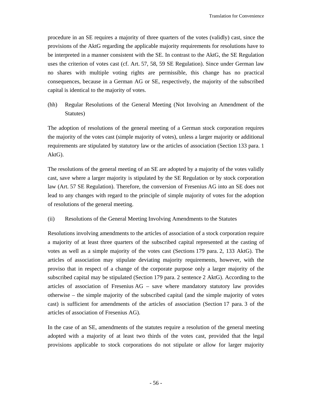procedure in an SE requires a majority of three quarters of the votes (validly) cast, since the provisions of the AktG regarding the applicable majority requirements for resolutions have to be interpreted in a manner consistent with the SE. In contrast to the AktG, the SE Regulation uses the criterion of votes cast (cf. Art. 57, 58, 59 SE Regulation). Since under German law no shares with multiple voting rights are permissible, this change has no practical consequences, because in a German AG or SE, respectively, the majority of the subscribed capital is identical to the majority of votes.

(hh) Regular Resolutions of the General Meeting (Not Involving an Amendment of the Statutes)

The adoption of resolutions of the general meeting of a German stock corporation requires the majority of the votes cast (simple majority of votes), unless a larger majority or additional requirements are stipulated by statutory law or the articles of association (Section 133 para. 1 AktG).

The resolutions of the general meeting of an SE are adopted by a majority of the votes validly cast, save where a larger majority is stipulated by the SE Regulation or by stock corporation law (Art. 57 SE Regulation). Therefore, the conversion of Fresenius AG into an SE does not lead to any changes with regard to the principle of simple majority of votes for the adoption of resolutions of the general meeting.

(ii) Resolutions of the General Meeting Involving Amendments to the Statutes

Resolutions involving amendments to the articles of association of a stock corporation require a majority of at least three quarters of the subscribed capital represented at the casting of votes as well as a simple majority of the votes cast (Sections 179 para. 2, 133 AktG). The articles of association may stipulate deviating majority requirements, however, with the proviso that in respect of a change of the corporate purpose only a larger majority of the subscribed capital may be stipulated (Section 179 para. 2 sentence 2 AktG). According to the articles of association of Fresenius AG – save where mandatory statutory law provides otherwise – the simple majority of the subscribed capital (and the simple majority of votes cast) is sufficient for amendments of the articles of association (Section 17 para. 3 of the articles of association of Fresenius AG).

In the case of an SE, amendments of the statutes require a resolution of the general meeting adopted with a majority of at least two thirds of the votes cast, provided that the legal provisions applicable to stock corporations do not stipulate or allow for larger majority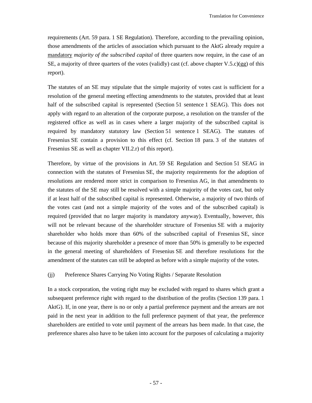requirements (Art. 59 para. 1 SE Regulation). Therefore, according to the prevailing opinion, those amendments of the articles of association which pursuant to the AktG already require a mandatory *majority of the subscribed capital* of three quarters now require, in the case of an SE, a majority of three quarters of the *votes* (validly) cast (cf. above chapter V.5.c)(gg) of this report).

The statutes of an SE may stipulate that the simple majority of votes cast is sufficient for a resolution of the general meeting effecting amendments to the statutes, provided that at least half of the subscribed capital is represented (Section 51 sentence 1 SEAG). This does not apply with regard to an alteration of the corporate purpose, a resolution on the transfer of the registered office as well as in cases where a larger majority of the subscribed capital is required by mandatory statutory law (Section 51 sentence 1 SEAG). The statutes of Fresenius SE contain a provision to this effect (cf. Section 18 para. 3 of the statutes of Fresenius SE as well as chapter VII.2.r) of this report).

Therefore, by virtue of the provisions in Art. 59 SE Regulation and Section 51 SEAG in connection with the statutes of Fresenius SE, the majority requirements for the adoption of resolutions are rendered more strict in comparison to Fresenius AG, in that amendments to the statutes of the SE may still be resolved with a simple majority of the votes cast, but only if at least half of the subscribed capital is represented. Otherwise, a majority of two thirds of the votes cast (and not a simple majority of the votes and of the subscribed capital) is required (provided that no larger majority is mandatory anyway). Eventually, however, this will not be relevant because of the shareholder structure of Fresenius SE with a majority shareholder who holds more than 60% of the subscribed capital of Fresenius SE, since because of this majority shareholder a presence of more than 50% is generally to be expected in the general meeting of shareholders of Fresenius SE and therefore resolutions for the amendment of the statutes can still be adopted as before with a simple majority of the votes.

### (jj) Preference Shares Carrying No Voting Rights / Separate Resolution

In a stock corporation, the voting right may be excluded with regard to shares which grant a subsequent preference right with regard to the distribution of the profits (Section 139 para. 1 AktG). If, in one year, there is no or only a partial preference payment and the arrears are not paid in the next year in addition to the full preference payment of that year, the preference shareholders are entitled to vote until payment of the arrears has been made. In that case, the preference shares also have to be taken into account for the purposes of calculating a majority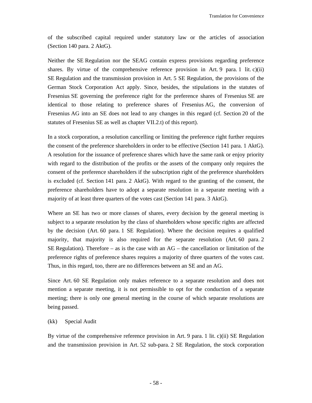of the subscribed capital required under statutory law or the articles of association (Section 140 para. 2 AktG).

Neither the SE Regulation nor the SEAG contain express provisions regarding preference shares. By virtue of the comprehensive reference provision in Art. 9 para. 1 lit.  $c$ )(ii) SE Regulation and the transmission provision in Art. 5 SE Regulation, the provisions of the German Stock Corporation Act apply. Since, besides, the stipulations in the statutes of Fresenius SE governing the preference right for the preference shares of Fresenius SE are identical to those relating to preference shares of Fresenius AG, the conversion of Fresenius AG into an SE does not lead to any changes in this regard (cf. Section 20 of the statutes of Fresenius SE as well as chapter VII.2.t) of this report).

In a stock corporation, a resolution cancelling or limiting the preference right further requires the consent of the preference shareholders in order to be effective (Section 141 para. 1 AktG). A resolution for the issuance of preference shares which have the same rank or enjoy priority with regard to the distribution of the profits or the assets of the company only requires the consent of the preference shareholders if the subscription right of the preference shareholders is excluded (cf. Section 141 para. 2 AktG). With regard to the granting of the consent, the preference shareholders have to adopt a separate resolution in a separate meeting with a majority of at least three quarters of the votes cast (Section 141 para. 3 AktG).

Where an SE has two or more classes of shares, every decision by the general meeting is subject to a separate resolution by the class of shareholders whose specific rights are affected by the decision (Art. 60 para. 1 SE Regulation). Where the decision requires a qualified majority, that majority is also required for the separate resolution (Art. 60 para. 2 SE Regulation). Therefore – as is the case with an  $AG$  – the cancellation or limitation of the preference rights of preference shares requires a majority of three quarters of the votes cast. Thus, in this regard, too, there are no differences between an SE and an AG.

Since Art. 60 SE Regulation only makes reference to a separate resolution and does not mention a separate meeting, it is not permissible to opt for the conduction of a separate meeting; there is only one general meeting in the course of which separate resolutions are being passed.

#### (kk) Special Audit

By virtue of the comprehensive reference provision in Art. 9 para. 1 lit. c)(ii) SE Regulation and the transmission provision in Art. 52 sub-para. 2 SE Regulation, the stock corporation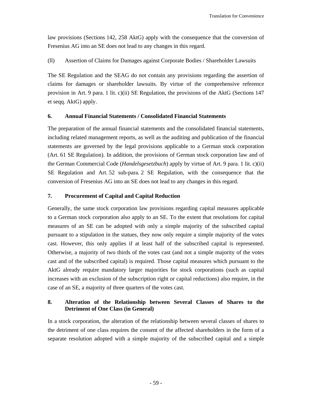law provisions (Sections 142, 258 AktG) apply with the consequence that the conversion of Fresenius AG into an SE does not lead to any changes in this regard.

(ll) Assertion of Claims for Damages against Corporate Bodies / Shareholder Lawsuits

The SE Regulation and the SEAG do not contain any provisions regarding the assertion of claims for damages or shareholder lawsuits. By virtue of the comprehensive reference provision in Art. 9 para. 1 lit. c)(ii) SE Regulation, the provisions of the AktG (Sections 147 et seqq. AktG) apply.

# **6. Annual Financial Statements / Consolidated Financial Statements**

The preparation of the annual financial statements and the consolidated financial statements, including related management reports, as well as the auditing and publication of the financial statements are governed by the legal provisions applicable to a German stock corporation (Art. 61 SE Regulation). In addition, the provisions of German stock corporation law and of the German Commercial Code (*Handelsgesetzbuch*) apply by virtue of Art. 9 para. 1 lit. c)(ii) SE Regulation and Art. 52 sub-para. 2 SE Regulation, with the consequence that the conversion of Fresenius AG into an SE does not lead to any changes in this regard.

# **7. Procurement of Capital and Capital Reduction**

Generally, the same stock corporation law provisions regarding capital measures applicable to a German stock corporation also apply to an SE. To the extent that resolutions for capital measures of an SE can be adopted with only a simple majority of the subscribed capital pursuant to a stipulation in the statues, they now only require a simple majority of the votes cast. However, this only applies if at least half of the subscribed capital is represented. Otherwise, a majority of two thirds of the votes cast (and not a simple majority of the votes cast and of the subscribed capital) is required. Those capital measures which pursuant to the AktG already require mandatory larger majorities for stock corporations (such as capital increases with an exclusion of the subscription right or capital reductions) also require, in the case of an SE, a majority of three quarters of the votes cast.

# **8. Alteration of the Relationship between Several Classes of Shares to the Detriment of One Class (in General)**

In a stock corporation, the alteration of the relationship between several classes of shares to the detriment of one class requires the consent of the affected shareholders in the form of a separate resolution adopted with a simple majority of the subscribed capital and a simple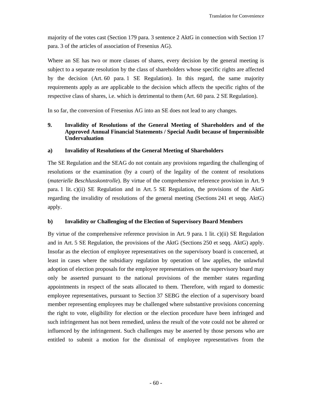majority of the votes cast (Section 179 para. 3 sentence 2 AktG in connection with Section 17 para. 3 of the articles of association of Fresenius AG).

Where an SE has two or more classes of shares, every decision by the general meeting is subject to a separate resolution by the class of shareholders whose specific rights are affected by the decision (Art. 60 para. 1 SE Regulation). In this regard, the same majority requirements apply as are applicable to the decision which affects the specific rights of the respective class of shares, i.e. which is detrimental to them (Art. 60 para. 2 SE Regulation).

In so far, the conversion of Fresenius AG into an SE does not lead to any changes.

# **9. Invalidity of Resolutions of the General Meeting of Shareholders and of the Approved Annual Financial Statements / Special Audit because of Impermissible Undervaluation**

### **a) Invalidity of Resolutions of the General Meeting of Shareholders**

The SE Regulation and the SEAG do not contain any provisions regarding the challenging of resolutions or the examination (by a court) of the legality of the content of resolutions (*materielle Beschlusskontrolle*). By virtue of the comprehensive reference provision in Art. 9 para. 1 lit. c)(ii) SE Regulation and in Art. 5 SE Regulation, the provisions of the AktG regarding the invalidity of resolutions of the general meeting (Sections 241 et seqq. AktG) apply.

### **b) Invalidity or Challenging of the Election of Supervisory Board Members**

By virtue of the comprehensive reference provision in Art. 9 para. 1 lit. c)(ii) SE Regulation and in Art. 5 SE Regulation, the provisions of the AktG (Sections 250 et seqq. AktG) apply. Insofar as the election of employee representatives on the supervisory board is concerned, at least in cases where the subsidiary regulation by operation of law applies, the unlawful adoption of election proposals for the employee representatives on the supervisory board may only be asserted pursuant to the national provisions of the member states regarding appointments in respect of the seats allocated to them. Therefore, with regard to domestic employee representatives, pursuant to Section 37 SEBG the election of a supervisory board member representing employees may be challenged where substantive provisions concerning the right to vote, eligibility for election or the election procedure have been infringed and such infringement has not been remedied, unless the result of the vote could not be altered or influenced by the infringement. Such challenges may be asserted by those persons who are entitled to submit a motion for the dismissal of employee representatives from the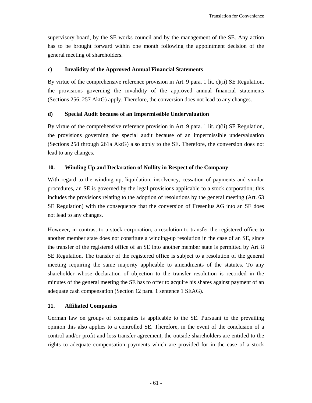supervisory board, by the SE works council and by the management of the SE. Any action has to be brought forward within one month following the appointment decision of the general meeting of shareholders.

# **c) Invalidity of the Approved Annual Financial Statements**

By virtue of the comprehensive reference provision in Art. 9 para. 1 lit. c)(ii) SE Regulation, the provisions governing the invalidity of the approved annual financial statements (Sections 256, 257 AktG) apply. Therefore, the conversion does not lead to any changes.

# **d) Special Audit because of an Impermissible Undervaluation**

By virtue of the comprehensive reference provision in Art. 9 para. 1 lit. c)(ii) SE Regulation, the provisions governing the special audit because of an impermissible undervaluation (Sections 258 through 261a AktG) also apply to the SE. Therefore, the conversion does not lead to any changes.

# **10. Winding Up and Declaration of Nullity in Respect of the Company**

With regard to the winding up, liquidation, insolvency, cessation of payments and similar procedures, an SE is governed by the legal provisions applicable to a stock corporation; this includes the provisions relating to the adoption of resolutions by the general meeting (Art. 63 SE Regulation) with the consequence that the conversion of Fresenius AG into an SE does not lead to any changes.

However, in contrast to a stock corporation, a resolution to transfer the registered office to another member state does not constitute a winding-up resolution in the case of an SE, since the transfer of the registered office of an SE into another member state is permitted by Art. 8 SE Regulation. The transfer of the registered office is subject to a resolution of the general meeting requiring the same majority applicable to amendments of the statutes. To any shareholder whose declaration of objection to the transfer resolution is recorded in the minutes of the general meeting the SE has to offer to acquire his shares against payment of an adequate cash compensation (Section 12 para. 1 sentence 1 SEAG).

# **11. Affiliated Companies**

German law on groups of companies is applicable to the SE. Pursuant to the prevailing opinion this also applies to a controlled SE. Therefore, in the event of the conclusion of a control and/or profit and loss transfer agreement, the outside shareholders are entitled to the rights to adequate compensation payments which are provided for in the case of a stock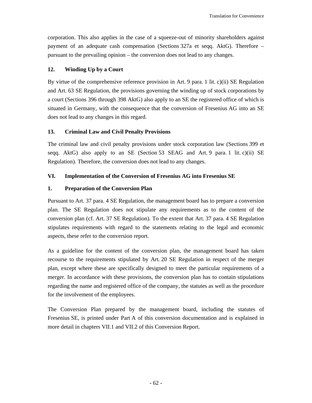corporation. This also applies in the case of a squeeze-out of minority shareholders against payment of an adequate cash compensation (Sections 327a et seqq. AktG). Therefore – pursuant to the prevailing opinion – the conversion does not lead to any changes.

# **12. Winding Up by a Court**

By virtue of the comprehensive reference provision in Art. 9 para. 1 lit. c)(ii) SE Regulation and Art. 63 SE Regulation, the provisions governing the winding up of stock corporations by a court (Sections 396 through 398 AktG) also apply to an SE the registered office of which is situated in Germany, with the consequence that the conversion of Fresenius AG into an SE does not lead to any changes in this regard.

# **13. Criminal Law and Civil Penalty Provisions**

The criminal law and civil penalty provisions under stock corporation law (Sections 399 et seqq. AktG) also apply to an SE (Section 53 SEAG and Art. 9 para. 1 lit. c)(ii) SE Regulation). Therefore, the conversion does not lead to any changes.

# **VI. Implementation of the Conversion of Fresenius AG into Fresenius SE**

### **1. Preparation of the Conversion Plan**

Pursuant to Art. 37 para. 4 SE Regulation, the management board has to prepare a conversion plan. The SE Regulation does not stipulate any requirements as to the content of the conversion plan (cf. Art. 37 SE Regulation). To the extent that Art. 37 para. 4 SE Regulation stipulates requirements with regard to the statements relating to the legal and economic aspects, these refer to the conversion report.

As a guideline for the content of the conversion plan, the management board has taken recourse to the requirements stipulated by Art. 20 SE Regulation in respect of the merger plan, except where these are specifically designed to meet the particular requirements of a merger. In accordance with these provisions, the conversion plan has to contain stipulations regarding the name and registered office of the company, the statutes as well as the procedure for the involvement of the employees.

The Conversion Plan prepared by the management board, including the statutes of Fresenius SE, is printed under Part A of this conversion documentation and is explained in more detail in chapters VII.1 and VII.2 of this Conversion Report.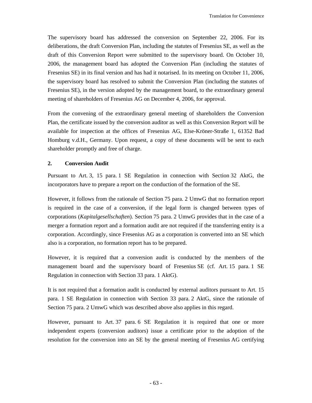The supervisory board has addressed the conversion on September 22, 2006. For its deliberations, the draft Conversion Plan, including the statutes of Fresenius SE, as well as the draft of this Conversion Report were submitted to the supervisory board. On October 10, 2006, the management board has adopted the Conversion Plan (including the statutes of Fresenius SE) in its final version and has had it notarised. In its meeting on October 11, 2006, the supervisory board has resolved to submit the Conversion Plan (including the statutes of Fresenius SE), in the version adopted by the management board, to the extraordinary general meeting of shareholders of Fresenius AG on December 4, 2006, for approval.

From the convening of the extraordinary general meeting of shareholders the Conversion Plan, the certificate issued by the conversion auditor as well as this Conversion Report will be available for inspection at the offices of Fresenius AG, Else-Kröner-Straße 1, 61352 Bad Homburg v.d.H., Germany. Upon request, a copy of these documents will be sent to each shareholder promptly and free of charge.

# **2. Conversion Audit**

Pursuant to Art. 3, 15 para. 1 SE Regulation in connection with Section 32 AktG, the incorporators have to prepare a report on the conduction of the formation of the SE.

However, it follows from the rationale of Section 75 para. 2 UmwG that no formation report is required in the case of a conversion, if the legal form is changed between types of corporations (*Kapitalgesellschaften*). Section 75 para. 2 UmwG provides that in the case of a merger a formation report and a formation audit are not required if the transferring entity is a corporation. Accordingly, since Fresenius AG as a corporation is converted into an SE which also is a corporation, no formation report has to be prepared.

However, it is required that a conversion audit is conducted by the members of the management board and the supervisory board of Fresenius SE (cf. Art. 15 para. 1 SE Regulation in connection with Section 33 para. 1 AktG).

It is not required that a formation audit is conducted by external auditors pursuant to Art. 15 para. 1 SE Regulation in connection with Section 33 para. 2 AktG, since the rationale of Section 75 para. 2 UmwG which was described above also applies in this regard.

However, pursuant to Art. 37 para. 6 SE Regulation it is required that one or more independent experts (conversion auditors) issue a certificate prior to the adoption of the resolution for the conversion into an SE by the general meeting of Fresenius AG certifying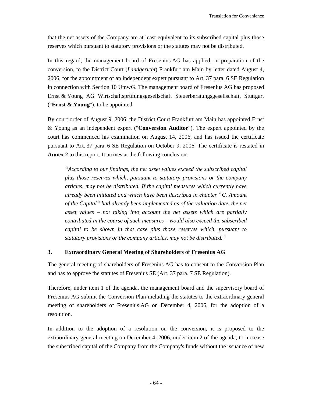that the net assets of the Company are at least equivalent to its subscribed capital plus those reserves which pursuant to statutory provisions or the statutes may not be distributed.

In this regard, the management board of Fresenius AG has applied, in preparation of the conversion, to the District Court (*Landgericht*) Frankfurt am Main by letter dated August 4, 2006, for the appointment of an independent expert pursuant to Art. 37 para. 6 SE Regulation in connection with Section 10 UmwG. The management board of Fresenius AG has proposed Ernst & Young AG Wirtschaftsprüfungsgesellschaft Steuerberatungsgesellschaft, Stuttgart ("**Ernst & Young**"), to be appointed.

By court order of August 9, 2006, the District Court Frankfurt am Main has appointed Ernst & Young as an independent expert ("**Conversion Auditor**"). The expert appointed by the court has commenced his examination on August 14, 2006, and has issued the certificate pursuant to Art. 37 para. 6 SE Regulation on October 9, 2006. The certificate is restated in **Annex 2** to this report. It arrives at the following conclusion:

*"According to our findings, the net asset values exceed the subscribed capital plus those reserves which, pursuant to statutory provisions or the company articles, may not be distributed. If the capital measures which currently have already been initiated and which have been described in chapter "C. Amount of the Capital" had already been implemented as of the valuation date, the net asset values – not taking into account the net assets which are partially contributed in the course of such measures – would also exceed the subscribed capital to be shown in that case plus those reserves which, pursuant to statutory provisions or the company articles, may not be distributed."* 

# **3. Extraordinary General Meeting of Shareholders of Fresenius AG**

The general meeting of shareholders of Fresenius AG has to consent to the Conversion Plan and has to approve the statutes of Fresenius SE (Art. 37 para. 7 SE Regulation).

Therefore, under item 1 of the agenda, the management board and the supervisory board of Fresenius AG submit the Conversion Plan including the statutes to the extraordinary general meeting of shareholders of Fresenius AG on December 4, 2006, for the adoption of a resolution.

In addition to the adoption of a resolution on the conversion, it is proposed to the extraordinary general meeting on December 4, 2006, under item 2 of the agenda, to increase the subscribed capital of the Company from the Company's funds without the issuance of new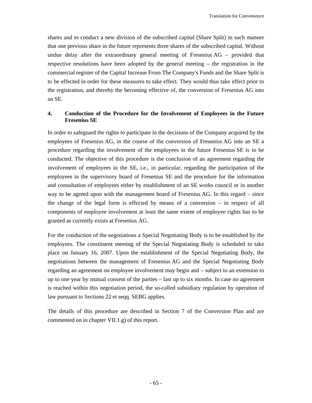shares and to conduct a new division of the subscribed capital (Share Split) in such manner that one previous share in the future represents three shares of the subscribed capital. Without undue delay after the extraordinary general meeting of Fresenius AG – provided that respective resolutions have been adopted by the general meeting – the registration in the commercial register of the Capital Increase From The Company's Funds and the Share Split is to be effected in order for these measures to take effect. They would thus take effect prior to the registration, and thereby the becoming effective of, the conversion of Fresenius AG into an SE.

# **4. Conduction of the Procedure for the Involvement of Employees in the Future Fresenius SE**

In order to safeguard the rights to participate in the decisions of the Company acquired by the employees of Fresenius AG, in the course of the conversion of Fresenius AG into an SE a procedure regarding the involvement of the employees in the future Fresenius SE is to be conducted. The objective of this procedure is the conclusion of an agreement regarding the involvement of employees in the SE, i.e., in particular, regarding the participation of the employees in the supervisory board of Fresenius SE and the procedure for the information and consultation of employees either by establishment of an SE works council or in another way to be agreed upon with the management board of Fresenius AG. In this regard – since the change of the legal form is effected by means of a conversion – in respect of all components of employee involvement at least the same extent of employee rights has to be granted as currently exists at Fresenius AG.

For the conduction of the negotiations a Special Negotiating Body is to be established by the employees. The constituent meeting of the Special Negotiating Body is scheduled to take place on January 16, 2007. Upon the establishment of the Special Negotiating Body, the negotiations between the management of Fresenius AG and the Special Negotiating Body regarding an agreement on employee involvement may begin and – subject to an extension to up to one year by mutual consent of the parties – last up to six months. In case no agreement is reached within this negotiation period, the so-called subsidiary regulation by operation of law pursuant to Sections 22 et seqq. SEBG applies.

The details of this procedure are described in Section 7 of the Conversion Plan and are commented on in chapter VII.1.g) of this report.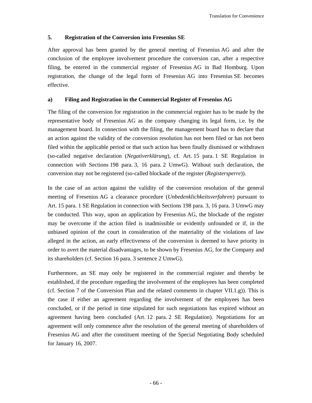# **5. Registration of the Conversion into Fresenius SE**

After approval has been granted by the general meeting of Fresenius AG and after the conclusion of the employee involvement procedure the conversion can, after a respective filing, be entered in the commercial register of Fresenius AG in Bad Homburg. Upon registration, the change of the legal form of Fresenius AG into Fresenius SE becomes effective.

# **a) Filing and Registration in the Commercial Register of Fresenius AG**

The filing of the conversion for registration in the commercial register has to be made by the representative body of Fresenius AG as the company changing its legal form, i.e. by the management board. In connection with the filing, the management board has to declare that an action against the validity of the conversion resolution has not been filed or has not been filed within the applicable period or that such action has been finally dismissed or withdrawn (so-called negative declaration (*Negativerklärung*), cf. Art. 15 para. 1 SE Regulation in connection with Sections 198 para. 3, 16 para. 2 UmwG). Without such declaration, the conversion may not be registered (so-called blockade of the register (*Registersperre*)).

In the case of an action against the validity of the conversion resolution of the general meeting of Fresenius AG a clearance procedure (*Unbedenklichkeitsverfahren*) pursuant to Art. 15 para. 1 SE Regulation in connection with Sections 198 para. 3, 16 para. 3 UmwG may be conducted. This way, upon an application by Fresenius AG, the blockade of the register may be overcome if the action filed is inadmissible or evidently unfounded or if, in the unbiased opinion of the court in consideration of the materiality of the violations of law alleged in the action, an early effectiveness of the conversion is deemed to have priority in order to avert the material disadvantages, to be shown by Fresenius AG, for the Company and its shareholders (cf. Section 16 para. 3 sentence 2 UmwG).

Furthermore, an SE may only be registered in the commercial register and thereby be established, if the procedure regarding the involvement of the employees has been completed (cf. Section 7 of the Conversion Plan and the related comments in chapter VII.1.g)). This is the case if either an agreement regarding the involvement of the employees has been concluded, or if the period in time stipulated for such negotiations has expired without an agreement having been concluded (Art. 12 para. 2 SE Regulation). Negotiations for an agreement will only commence after the resolution of the general meeting of shareholders of Fresenius AG and after the constituent meeting of the Special Negotiating Body scheduled for January 16, 2007.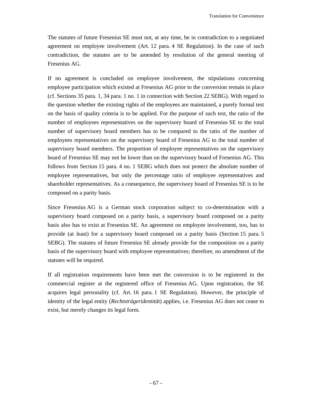The statutes of future Fresenius SE must not, at any time, be in contradiction to a negotiated agreement on employee involvement (Art. 12 para. 4 SE Regulation). In the case of such contradiction, the statutes are to be amended by resolution of the general meeting of Fresenius AG.

If no agreement is concluded on employee involvement, the stipulations concerning employee participation which existed at Fresenius AG prior to the conversion remain in place (cf. Sections 35 para. 1, 34 para. 1 no. 1 in connection with Section 22 SEBG). With regard to the question whether the existing rights of the employees are maintained, a purely formal test on the basis of quality criteria is to be applied. For the purpose of such test, the ratio of the number of employees representatives on the supervisory board of Fresenius SE to the total number of supervisory board members has to be compared to the ratio of the number of employees representatives on the supervisory board of Fresenius AG to the total number of supervisory board members. The proportion of employee representatives on the supervisory board of Fresenius SE may not be lower than on the supervisory board of Fresenius AG. This follows from Section 15 para. 4 no. 1 SEBG which does not protect the absolute number of employee representatives, but only the percentage ratio of employee representatives and shareholder representatives. As a consequence, the supervisory board of Fresenius SE is to be composed on a parity basis.

Since Fresenius AG is a German stock corporation subject to co-determination with a supervisory board composed on a parity basis, a supervisory board composed on a parity basis also has to exist at Fresenius SE. An agreement on employee involvement, too, has to provide (at least) for a supervisory board composed on a parity basis (Section 15 para. 5 SEBG). The statutes of future Fresenius SE already provide for the composition on a parity basis of the supervisory board with employee representatives; therefore, no amendment of the statutes will be required.

If all registration requirements have been met the conversion is to be registered in the commercial register at the registered office of Fresenius AG. Upon registration, the SE acquires legal personality (cf. Art. 16 para. 1 SE Regulation). However, the principle of identity of the legal entity (*Rechtsträgeridentität*) applies, i.e. Fresenius AG does not cease to exist, but merely changes its legal form.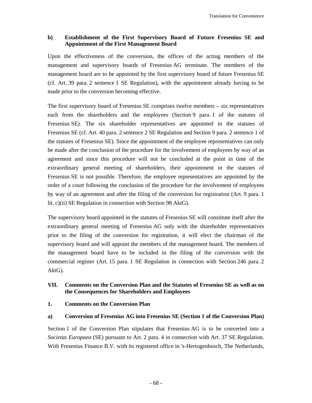# **b) Establishment of the First Supervisory Board of Future Fresenius SE and Appointment of the First Management Board**

Upon the effectiveness of the conversion, the offices of the acting members of the management and supervisory boards of Fresenius AG terminate. The members of the management board are to be appointed by the first supervisory board of future Fresenius SE (cf. Art. 39 para. 2 sentence 1 SE Regulation), with the appointment already having to be made prior to the conversion becoming effective.

The first supervisory board of Fresenius SE comprises twelve members – six representatives each from the shareholders and the employees (Section 9 para. 1 of the statutes of Fresenius SE). The six shareholder representatives are appointed in the statutes of Fresenius SE (cf. Art. 40 para. 2 sentence 2 SE Regulation and Section 9 para. 2 sentence 1 of the statutes of Fresenius SE). Since the appointment of the employee representatives can only be made after the conclusion of the procedure for the involvement of employees by way of an agreement and since this procedure will not be concluded at the point in time of the extraordinary general meeting of shareholders, their appointment in the statutes of Fresenius SE is not possible. Therefore, the employee representatives are appointed by the order of a court following the conclusion of the procedure for the involvement of employees by way of an agreement and after the filing of the conversion for registration (Art. 9 para. 1 lit. c)(ii) SE Regulation in connection with Section 98 AktG).

The supervisory board appointed in the statutes of Fresenius SE will constitute itself after the extraordinary general meeting of Fresenius AG only with the shareholder representatives prior to the filing of the conversion for registration, it will elect the chairman of the supervisory board and will appoint the members of the management board. The members of the management board have to be included in the filing of the conversion with the commercial register (Art. 15 para. 1 SE Regulation in connection with Section 246 para. 2 AktG).

## **VII. Comments on the Conversion Plan and the Statutes of Fresenius SE as well as on the Consequences for Shareholders and Employees**

## **1. Comments on the Conversion Plan**

## **a) Conversion of Fresenius AG into Fresenius SE (Section 1 of the Conversion Plan)**

Section 1 of the Conversion Plan stipulates that Fresenius AG is to be converted into a *Societas Europaea* (SE) pursuant to Art. 2 para. 4 in connection with Art. 37 SE Regulation. With Fresenius Finance B.V. with its registered office in 's-Hertogenbosch, The Netherlands,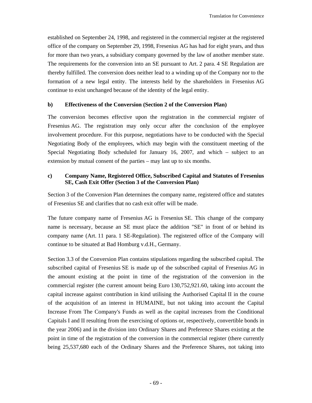established on September 24, 1998, and registered in the commercial register at the registered office of the company on September 29, 1998, Fresenius AG has had for eight years, and thus for more than two years, a subsidiary company governed by the law of another member state. The requirements for the conversion into an SE pursuant to Art. 2 para. 4 SE Regulation are thereby fulfilled. The conversion does neither lead to a winding up of the Company nor to the formation of a new legal entity. The interests held by the shareholders in Fresenius AG continue to exist unchanged because of the identity of the legal entity.

### **b) Effectiveness of the Conversion (Section 2 of the Conversion Plan)**

The conversion becomes effective upon the registration in the commercial register of Fresenius AG. The registration may only occur after the conclusion of the employee involvement procedure. For this purpose, negotiations have to be conducted with the Special Negotiating Body of the employees, which may begin with the constituent meeting of the Special Negotiating Body scheduled for January 16, 2007, and which – subject to an extension by mutual consent of the parties – may last up to six months.

## **c) Company Name, Registered Office, Subscribed Capital and Statutes of Fresenius SE, Cash Exit Offer (Section 3 of the Conversion Plan)**

Section 3 of the Conversion Plan determines the company name, registered office and statutes of Fresenius SE and clarifies that no cash exit offer will be made.

The future company name of Fresenius AG is Fresenius SE. This change of the company name is necessary, because an SE must place the addition "SE" in front of or behind its company name (Art. 11 para. 1 SE-Regulation). The registered office of the Company will continue to be situated at Bad Homburg v.d.H., Germany.

Section 3.3 of the Conversion Plan contains stipulations regarding the subscribed capital. The subscribed capital of Fresenius SE is made up of the subscribed capital of Fresenius AG in the amount existing at the point in time of the registration of the conversion in the commercial register (the current amount being Euro 130,752,921.60, taking into account the capital increase against contribution in kind utilising the Authorised Capital II in the course of the acquisition of an interest in HUMAINE, but not taking into account the Capital Increase From The Company's Funds as well as the capital increases from the Conditional Capitals I and II resulting from the exercising of options or, respectively, convertible bonds in the year 2006) and in the division into Ordinary Shares and Preference Shares existing at the point in time of the registration of the conversion in the commercial register (there currently being 25,537,680 each of the Ordinary Shares and the Preference Shares, not taking into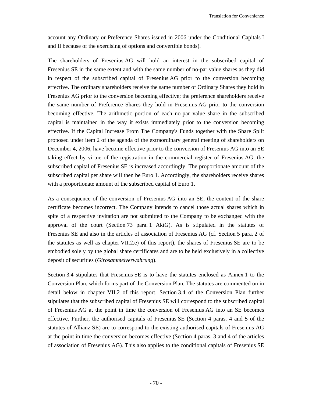account any Ordinary or Preference Shares issued in 2006 under the Conditional Capitals I and II because of the exercising of options and convertible bonds).

The shareholders of Fresenius AG will hold an interest in the subscribed capital of Fresenius SE in the same extent and with the same number of no-par value shares as they did in respect of the subscribed capital of Fresenius AG prior to the conversion becoming effective. The ordinary shareholders receive the same number of Ordinary Shares they hold in Fresenius AG prior to the conversion becoming effective; the preference shareholders receive the same number of Preference Shares they hold in Fresenius AG prior to the conversion becoming effective. The arithmetic portion of each no-par value share in the subscribed capital is maintained in the way it exists immediately prior to the conversion becoming effective. If the Capital Increase From The Company's Funds together with the Share Split proposed under item 2 of the agenda of the extraordinary general meeting of shareholders on December 4, 2006, have become effective prior to the conversion of Fresenius AG into an SE taking effect by virtue of the registration in the commercial register of Fresenius AG, the subscribed capital of Fresenius SE is increased accordingly. The proportionate amount of the subscribed capital per share will then be Euro 1. Accordingly, the shareholders receive shares with a proportionate amount of the subscribed capital of Euro 1.

As a consequence of the conversion of Fresenius AG into an SE, the content of the share certificate becomes incorrect. The Company intends to cancel those actual shares which in spite of a respective invitation are not submitted to the Company to be exchanged with the approval of the court (Section 73 para. 1 AktG). As is stipulated in the statutes of Fresenius SE and also in the articles of association of Fresenius AG (cf. Section 5 para. 2 of the statutes as well as chapter VII.2.e) of this report), the shares of Fresenius SE are to be embodied solely by the global share certificates and are to be held exclusively in a collective deposit of securities (*Girosammelverwahrung*).

Section 3.4 stipulates that Fresenius SE is to have the statutes enclosed as Annex 1 to the Conversion Plan, which forms part of the Conversion Plan. The statutes are commented on in detail below in chapter VII.2 of this report. Section 3.4 of the Conversion Plan further stipulates that the subscribed capital of Fresenius SE will correspond to the subscribed capital of Fresenius AG at the point in time the conversion of Fresenius AG into an SE becomes effective. Further, the authorised capitals of Fresenius SE (Section 4 paras. 4 and 5 of the statutes of Allianz SE) are to correspond to the existing authorised capitals of Fresenius AG at the point in time the conversion becomes effective (Section 4 paras. 3 and 4 of the articles of association of Fresenius AG). This also applies to the conditional capitals of Fresenius SE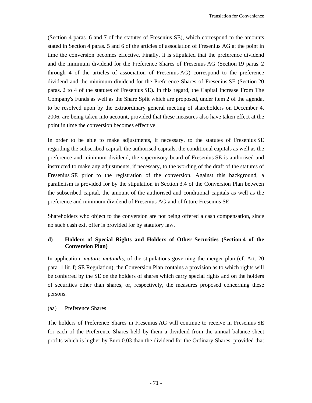(Section 4 paras. 6 and 7 of the statutes of Fresenius SE), which correspond to the amounts stated in Section 4 paras. 5 and 6 of the articles of association of Fresenius AG at the point in time the conversion becomes effective. Finally, it is stipulated that the preference dividend and the minimum dividend for the Preference Shares of Fresenius AG (Section 19 paras. 2 through 4 of the articles of association of Fresenius AG) correspond to the preference dividend and the minimum dividend for the Preference Shares of Fresenius SE (Section 20 paras. 2 to 4 of the statutes of Fresenius SE). In this regard, the Capital Increase From The Company's Funds as well as the Share Split which are proposed, under item 2 of the agenda, to be resolved upon by the extraordinary general meeting of shareholders on December 4, 2006, are being taken into account, provided that these measures also have taken effect at the point in time the conversion becomes effective.

In order to be able to make adjustments, if necessary, to the statutes of Fresenius SE regarding the subscribed capital, the authorised capitals, the conditional capitals as well as the preference and minimum dividend, the supervisory board of Fresenius SE is authorised and instructed to make any adjustments, if necessary, to the wording of the draft of the statutes of Fresenius SE prior to the registration of the conversion. Against this background, a parallelism is provided for by the stipulation in Section 3.4 of the Conversion Plan between the subscribed capital, the amount of the authorised and conditional capitals as well as the preference and minimum dividend of Fresenius AG and of future Fresenius SE.

Shareholders who object to the conversion are not being offered a cash compensation, since no such cash exit offer is provided for by statutory law.

# **d) Holders of Special Rights and Holders of Other Securities (Section 4 of the Conversion Plan)**

In application, *mutatis mutandis*, of the stipulations governing the merger plan (cf. Art. 20 para. 1 lit. f) SE Regulation), the Conversion Plan contains a provision as to which rights will be conferred by the SE on the holders of shares which carry special rights and on the holders of securities other than shares, or, respectively, the measures proposed concerning these persons.

### (aa) Preference Shares

The holders of Preference Shares in Fresenius AG will continue to receive in Fresenius SE for each of the Preference Shares held by them a dividend from the annual balance sheet profits which is higher by Euro 0.03 than the dividend for the Ordinary Shares, provided that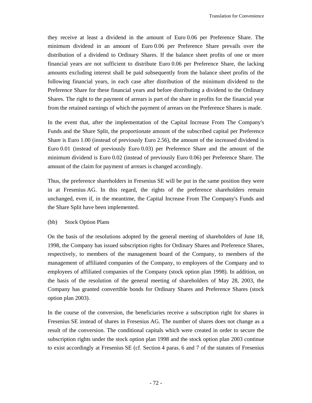they receive at least a dividend in the amount of Euro 0.06 per Preference Share. The minimum dividend in an amount of Euro 0.06 per Preference Share prevails over the distribution of a dividend to Ordinary Shares. If the balance sheet profits of one or more financial years are not sufficient to distribute Euro 0.06 per Preference Share, the lacking amounts excluding interest shall be paid subsequently from the balance sheet profits of the following financial years, in each case after distribution of the minimum dividend to the Preference Share for these financial years and before distributing a dividend to the Ordinary Shares. The right to the payment of arrears is part of the share in profits for the financial year from the retained earnings of which the payment of arrears on the Preference Shares is made.

In the event that, after the implementation of the Capital Increase From The Company's Funds and the Share Split, the proportionate amount of the subscribed capital per Preference Share is Euro 1.00 (instead of previously Euro 2.56), the amount of the increased dividend is Euro 0.01 (instead of previously Euro 0.03) per Preference Share and the amount of the minimum dividend is Euro 0.02 (instead of previously Euro 0.06) per Preference Share. The amount of the claim for payment of arrears is changed accordingly.

Thus, the preference shareholders in Fresenius SE will be put in the same position they were in at Fresenius AG. In this regard, the rights of the preference shareholders remain unchanged, even if, in the meantime, the Capital Increase From The Company's Funds and the Share Split have been implemented.

### (bb) Stock Option Plans

On the basis of the resolutions adopted by the general meeting of shareholders of June 18, 1998, the Company has issued subscription rights for Ordinary Shares and Preference Shares, respectively, to members of the management board of the Company, to members of the management of affiliated companies of the Company, to employees of the Company and to employees of affiliated companies of the Company (stock option plan 1998). In addition, on the basis of the resolution of the general meeting of shareholders of May 28, 2003, the Company has granted convertible bonds for Ordinary Shares and Preference Shares (stock option plan 2003).

In the course of the conversion, the beneficiaries receive a subscription right for shares in Fresenius SE instead of shares in Fresenius AG. The number of shares does not change as a result of the conversion. The conditional capitals which were created in order to secure the subscription rights under the stock option plan 1998 and the stock option plan 2003 continue to exist accordingly at Fresenius SE (cf. Section 4 paras. 6 and 7 of the statutes of Fresenius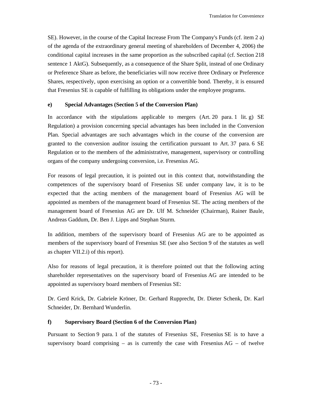SE). However, in the course of the Capital Increase From The Company's Funds (cf. item 2 a) of the agenda of the extraordinary general meeting of shareholders of December 4, 2006) the conditional capital increases in the same proportion as the subscribed capital (cf. Section 218 sentence 1 AktG). Subsequently, as a consequence of the Share Split, instead of one Ordinary or Preference Share as before, the beneficiaries will now receive three Ordinary or Preference Shares, respectively, upon exercising an option or a convertible bond. Thereby, it is ensured that Fresenius SE is capable of fulfilling its obligations under the employee programs.

## **e) Special Advantages (Section 5 of the Conversion Plan)**

In accordance with the stipulations applicable to mergers  $(Art. 20)$  para. 1 lit. g) SE Regulation) a provision concerning special advantages has been included in the Conversion Plan. Special advantages are such advantages which in the course of the conversion are granted to the conversion auditor issuing the certification pursuant to Art. 37 para. 6 SE Regulation or to the members of the administrative, management, supervisory or controlling organs of the company undergoing conversion, i.e. Fresenius AG.

For reasons of legal precaution, it is pointed out in this context that, notwithstanding the competences of the supervisory board of Fresenius SE under company law, it is to be expected that the acting members of the management board of Fresenius AG will be appointed as members of the management board of Fresenius SE. The acting members of the management board of Fresenius AG are Dr. Ulf M. Schneider (Chairman), Rainer Baule, Andreas Gaddum, Dr. Ben J. Lipps and Stephan Sturm.

In addition, members of the supervisory board of Fresenius AG are to be appointed as members of the supervisory board of Fresenius SE (see also Section 9 of the statutes as well as chapter VII.2.i) of this report).

Also for reasons of legal precaution, it is therefore pointed out that the following acting shareholder representatives on the supervisory board of Fresenius AG are intended to be appointed as supervisory board members of Fresenius SE:

Dr. Gerd Krick, Dr. Gabriele Kröner, Dr. Gerhard Rupprecht, Dr. Dieter Schenk, Dr. Karl Schneider, Dr. Bernhard Wunderlin.

## **f) Supervisory Board (Section 6 of the Conversion Plan)**

Pursuant to Section 9 para. 1 of the statutes of Fresenius SE, Fresenius SE is to have a supervisory board comprising – as is currently the case with Fresenius  $AG - of$  twelve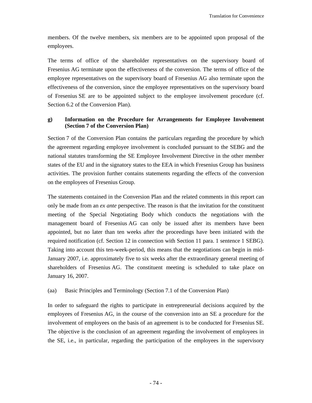members. Of the twelve members, six members are to be appointed upon proposal of the employees.

The terms of office of the shareholder representatives on the supervisory board of Fresenius AG terminate upon the effectiveness of the conversion. The terms of office of the employee representatives on the supervisory board of Fresenius AG also terminate upon the effectiveness of the conversion, since the employee representatives on the supervisory board of Fresenius SE are to be appointed subject to the employee involvement procedure (cf. Section 6.2 of the Conversion Plan).

## **g) Information on the Procedure for Arrangements for Employee Involvement (Section 7 of the Conversion Plan)**

Section 7 of the Conversion Plan contains the particulars regarding the procedure by which the agreement regarding employee involvement is concluded pursuant to the SEBG and the national statutes transforming the SE Employee Involvement Directive in the other member states of the EU and in the signatory states to the EEA in which Fresenius Group has business activities. The provision further contains statements regarding the effects of the conversion on the employees of Fresenius Group.

The statements contained in the Conversion Plan and the related comments in this report can only be made from an *ex ante* perspective. The reason is that the invitation for the constituent meeting of the Special Negotiating Body which conducts the negotiations with the management board of Fresenius AG can only be issued after its members have been appointed, but no later than ten weeks after the proceedings have been initiated with the required notification (cf. Section 12 in connection with Section 11 para. 1 sentence 1 SEBG). Taking into account this ten-week-period, this means that the negotiations can begin in mid-January 2007, i.e. approximately five to six weeks after the extraordinary general meeting of shareholders of Fresenius AG. The constituent meeting is scheduled to take place on January 16, 2007.

## (aa) Basic Principles and Terminology (Section 7.1 of the Conversion Plan)

In order to safeguard the rights to participate in entrepreneurial decisions acquired by the employees of Fresenius AG, in the course of the conversion into an SE a procedure for the involvement of employees on the basis of an agreement is to be conducted for Fresenius SE. The objective is the conclusion of an agreement regarding the involvement of employees in the SE, i.e., in particular, regarding the participation of the employees in the supervisory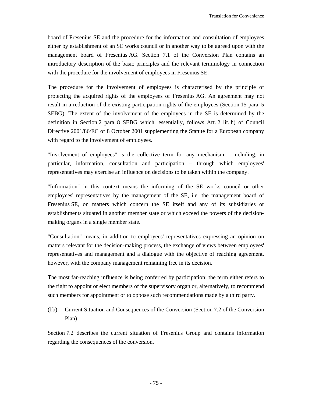board of Fresenius SE and the procedure for the information and consultation of employees either by establishment of an SE works council or in another way to be agreed upon with the management board of Fresenius AG. Section 7.1 of the Conversion Plan contains an introductory description of the basic principles and the relevant terminology in connection with the procedure for the involvement of employees in Fresenius SE.

The procedure for the involvement of employees is characterised by the principle of protecting the acquired rights of the employees of Fresenius AG. An agreement may not result in a reduction of the existing participation rights of the employees (Section 15 para. 5 SEBG). The extent of the involvement of the employees in the SE is determined by the definition in Section 2 para. 8 SEBG which, essentially, follows Art. 2 lit. h) of Council Directive 2001/86/EC of 8 October 2001 supplementing the Statute for a European company with regard to the involvement of employees.

"Involvement of employees" is the collective term for any mechanism – including, in particular, information, consultation and participation – through which employees' representatives may exercise an influence on decisions to be taken within the company.

"Information" in this context means the informing of the SE works council or other employees' representatives by the management of the SE, i.e. the management board of Fresenius SE, on matters which concern the SE itself and any of its subsidiaries or establishments situated in another member state or which exceed the powers of the decisionmaking organs in a single member state.

"Consultation" means, in addition to employees' representatives expressing an opinion on matters relevant for the decision-making process, the exchange of views between employees' representatives and management and a dialogue with the objective of reaching agreement, however, with the company management remaining free in its decision.

The most far-reaching influence is being conferred by participation; the term either refers to the right to appoint or elect members of the supervisory organ or, alternatively, to recommend such members for appointment or to oppose such recommendations made by a third party.

(bb) Current Situation and Consequences of the Conversion (Section 7.2 of the Conversion Plan)

Section 7.2 describes the current situation of Fresenius Group and contains information regarding the consequences of the conversion.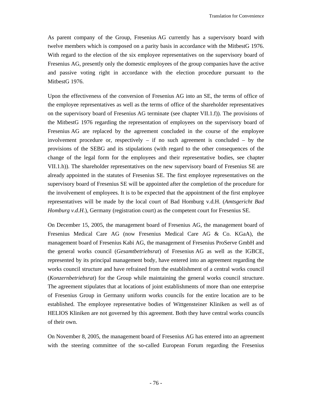As parent company of the Group, Fresenius AG currently has a supervisory board with twelve members which is composed on a parity basis in accordance with the MitbestG 1976. With regard to the election of the six employee representatives on the supervisory board of Fresenius AG, presently only the domestic employees of the group companies have the active and passive voting right in accordance with the election procedure pursuant to the MitbestG 1976.

Upon the effectiveness of the conversion of Fresenius AG into an SE, the terms of office of the employee representatives as well as the terms of office of the shareholder representatives on the supervisory board of Fresenius AG terminate (see chapter VII.1.f)). The provisions of the MitbestG 1976 regarding the representation of employees on the supervisory board of Fresenius AG are replaced by the agreement concluded in the course of the employee involvement procedure or, respectively – if no such agreement is concluded – by the provisions of the SEBG and its stipulations (with regard to the other consequences of the change of the legal form for the employees and their representative bodies, see chapter VII.1.h)). The shareholder representatives on the new supervisory board of Fresenius SE are already appointed in the statutes of Fresenius SE. The first employee representatives on the supervisory board of Fresenius SE will be appointed after the completion of the procedure for the involvement of employees. It is to be expected that the appointment of the first employee representatives will be made by the local court of Bad Homburg v.d.H. (*Amtsgericht Bad Homburg v.d.H.*), Germany (registration court) as the competent court for Fresenius SE.

On December 15, 2005, the management board of Fresenius AG, the management board of Fresenius Medical Care AG (now Fresenius Medical Care AG & Co. KGaA), the management board of Fresenius Kabi AG, the management of Fresenius ProServe GmbH and the general works council (*Gesamtbetriebsrat*) of Fresenius AG as well as the IGBCE, represented by its principal management body, have entered into an agreement regarding the works council structure and have refrained from the establishment of a central works council (*Konzernbetriebsrat*) for the Group while maintaining the general works council structure. The agreement stipulates that at locations of joint establishments of more than one enterprise of Fresenius Group in Germany uniform works councils for the entire location are to be established. The employee representative bodies of Wittgensteiner Kliniken as well as of HELIOS Kliniken are not governed by this agreement. Both they have central works councils of their own.

On November 8, 2005, the management board of Fresenius AG has entered into an agreement with the steering committee of the so-called European Forum regarding the Fresenius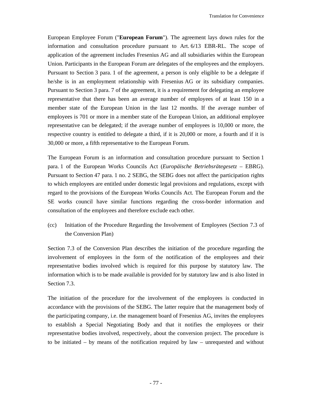European Employee Forum ("**European Forum**"). The agreement lays down rules for the information and consultation procedure pursuant to Art. 6/13 EBR-RL. The scope of application of the agreement includes Fresenius AG and all subsidiaries within the European Union. Participants in the European Forum are delegates of the employees and the employers. Pursuant to Section 3 para. 1 of the agreement, a person is only eligible to be a delegate if he/she is in an employment relationship with Fresenius AG or its subsidiary companies. Pursuant to Section 3 para. 7 of the agreement, it is a requirement for delegating an employee representative that there has been an average number of employees of at least 150 in a member state of the European Union in the last 12 months. If the average number of employees is 701 or more in a member state of the European Union, an additional employee representative can be delegated; if the average number of employees is 10,000 or more, the respective country is entitled to delegate a third, if it is 20,000 or more, a fourth and if it is 30,000 or more, a fifth representative to the European Forum.

The European Forum is an information and consultation procedure pursuant to Section 1 para. 1 of the European Works Councils Act (*Europäische Betriebsrätegesetz* – EBRG). Pursuant to Section 47 para. 1 no. 2 SEBG, the SEBG does not affect the participation rights to which employees are entitled under domestic legal provisions and regulations, except with regard to the provisions of the European Works Councils Act. The European Forum and the SE works council have similar functions regarding the cross-border information and consultation of the employees and therefore exclude each other.

(cc) Initiation of the Procedure Regarding the Involvement of Employees (Section 7.3 of the Conversion Plan)

Section 7.3 of the Conversion Plan describes the initiation of the procedure regarding the involvement of employees in the form of the notification of the employees and their representative bodies involved which is required for this purpose by statutory law. The information which is to be made available is provided for by statutory law and is also listed in Section 7.3.

The initiation of the procedure for the involvement of the employees is conducted in accordance with the provisions of the SEBG. The latter require that the management body of the participating company, i.e. the management board of Fresenius AG, invites the employees to establish a Special Negotiating Body and that it notifies the employees or their representative bodies involved, respectively, about the conversion project. The procedure is to be initiated – by means of the notification required by law – unrequested and without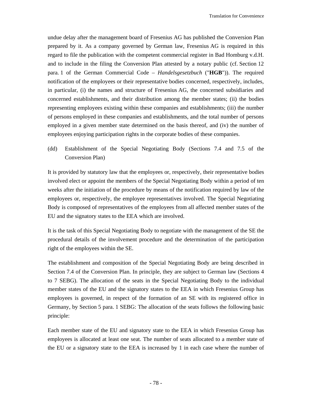undue delay after the management board of Fresenius AG has published the Conversion Plan prepared by it. As a company governed by German law, Fresenius AG is required in this regard to file the publication with the competent commercial register in Bad Homburg v.d.H. and to include in the filing the Conversion Plan attested by a notary public (cf. Section 12 para. 1 of the German Commercial Code – *Handelsgesetzbuch* ("**HGB**")). The required notification of the employees or their representative bodies concerned, respectively, includes, in particular, (i) the names and structure of Fresenius AG, the concerned subsidiaries and concerned establishments, and their distribution among the member states; (ii) the bodies representing employees existing within these companies and establishments; (iii) the number of persons employed in these companies and establishments, and the total number of persons employed in a given member state determined on the basis thereof, and (iv) the number of employees enjoying participation rights in the corporate bodies of these companies.

(dd) Establishment of the Special Negotiating Body (Sections 7.4 and 7.5 of the Conversion Plan)

It is provided by statutory law that the employees or, respectively, their representative bodies involved elect or appoint the members of the Special Negotiating Body within a period of ten weeks after the initiation of the procedure by means of the notification required by law of the employees or, respectively, the employee representatives involved. The Special Negotiating Body is composed of representatives of the employees from all affected member states of the EU and the signatory states to the EEA which are involved.

It is the task of this Special Negotiating Body to negotiate with the management of the SE the procedural details of the involvement procedure and the determination of the participation right of the employees within the SE.

The establishment and composition of the Special Negotiating Body are being described in Section 7.4 of the Conversion Plan. In principle, they are subject to German law (Sections 4 to 7 SEBG). The allocation of the seats in the Special Negotiating Body to the individual member states of the EU and the signatory states to the EEA in which Fresenius Group has employees is governed, in respect of the formation of an SE with its registered office in Germany, by Section 5 para. 1 SEBG: The allocation of the seats follows the following basic principle:

Each member state of the EU and signatory state to the EEA in which Fresenius Group has employees is allocated at least one seat. The number of seats allocated to a member state of the EU or a signatory state to the EEA is increased by 1 in each case where the number of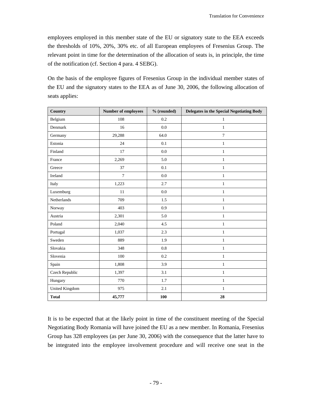employees employed in this member state of the EU or signatory state to the EEA exceeds the thresholds of 10%, 20%, 30% etc. of all European employees of Fresenius Group. The relevant point in time for the determination of the allocation of seats is, in principle, the time of the notification (cf. Section 4 para. 4 SEBG).

| On the basis of the employee figures of Fresenius Group in the individual member states of  |
|---------------------------------------------------------------------------------------------|
| the EU and the signatory states to the EEA as of June 30, 2006, the following allocation of |
| seats applies:                                                                              |

| Country               | <b>Number of employees</b> | % (rounded) | Delegates in the Special Negotiating Body |
|-----------------------|----------------------------|-------------|-------------------------------------------|
| Belgium               | 108                        | 0.2         | $\mathbf{1}$                              |
| Denmark               | 16                         | 0.0         | $\mathbf{1}$                              |
| Germany               | 29,288                     | 64.0        | $\overline{7}$                            |
| Estonia               | 24                         | 0.1         | $\mathbf{1}$                              |
| Finland               | 17                         | 0.0         | $\mathbf{1}$                              |
| France                | 2,269                      | 5.0         | $\,1$                                     |
| Greece                | 37                         | 0.1         | $\mathbf{1}$                              |
| Ireland               | $\overline{7}$             | 0.0         | $\mathbf{1}$                              |
| Italy                 | 1,223                      | 2.7         | $\mathbf{1}$                              |
| Luxemburg             | 11                         | 0.0         | $\mathbf{1}$                              |
| Netherlands           | 709                        | 1.5         | $\mathbf{1}$                              |
| Norway                | 403                        | 0.9         | $\mathbf{1}$                              |
| Austria               | 2,301                      | 5.0         | $\mathbf{1}$                              |
| Poland                | 2,040                      | 4.5         | $\mathbf{1}$                              |
| Portugal              | 1,037                      | 2.3         | $\,1$                                     |
| Sweden                | 889                        | 1.9         | $\mathbf{1}$                              |
| Slovakia              | 348                        | 0.8         | $\mathbf{1}$                              |
| Slovenia              | 100                        | 0.2         | $\mathbf{1}$                              |
| Spain                 | 1,808                      | 3.9         | $\mathbf{1}$                              |
| Czech Republic        | 1,397                      | 3.1         | $\mathbf{1}$                              |
| Hungary               | 770                        | 1.7         | $\mathbf{1}$                              |
| <b>United Kingdom</b> | 975                        | 2.1         | $\mathbf{1}$                              |
| <b>Total</b>          | 45,777                     | 100         | 28                                        |

It is to be expected that at the likely point in time of the constituent meeting of the Special Negotiating Body Romania will have joined the EU as a new member. In Romania, Fresenius Group has 328 employees (as per June 30, 2006) with the consequence that the latter have to be integrated into the employee involvement procedure and will receive one seat in the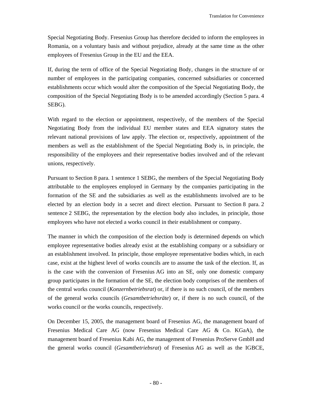Special Negotiating Body. Fresenius Group has therefore decided to inform the employees in Romania, on a voluntary basis and without prejudice, already at the same time as the other employees of Fresenius Group in the EU and the EEA.

If, during the term of office of the Special Negotiating Body, changes in the structure of or number of employees in the participating companies, concerned subsidiaries or concerned establishments occur which would alter the composition of the Special Negotiating Body, the composition of the Special Negotiating Body is to be amended accordingly (Section 5 para. 4 SEBG).

With regard to the election or appointment, respectively, of the members of the Special Negotiating Body from the individual EU member states and EEA signatory states the relevant national provisions of law apply. The election or, respectively, appointment of the members as well as the establishment of the Special Negotiating Body is, in principle, the responsibility of the employees and their representative bodies involved and of the relevant unions, respectively.

Pursuant to Section 8 para. 1 sentence 1 SEBG, the members of the Special Negotiating Body attributable to the employees employed in Germany by the companies participating in the formation of the SE and the subsidiaries as well as the establishments involved are to be elected by an election body in a secret and direct election. Pursuant to Section 8 para. 2 sentence 2 SEBG, the representation by the election body also includes, in principle, those employees who have not elected a works council in their establishment or company.

The manner in which the composition of the election body is determined depends on which employee representative bodies already exist at the establishing company or a subsidiary or an establishment involved. In principle, those employee representative bodies which, in each case, exist at the highest level of works councils are to assume the task of the election. If, as is the case with the conversion of Fresenius AG into an SE, only one domestic company group participates in the formation of the SE, the election body comprises of the members of the central works council (*Konzernbetriebsrat*) or, if there is no such council, of the members of the general works councils (*Gesamtbetriebsräte*) or, if there is no such council, of the works council or the works councils, respectively.

On December 15, 2005, the management board of Fresenius AG, the management board of Fresenius Medical Care AG (now Fresenius Medical Care AG & Co. KGaA), the management board of Fresenius Kabi AG, the management of Fresenius ProServe GmbH and the general works council (*Gesamtbetriebsrat*) of Fresenius AG as well as the IGBCE,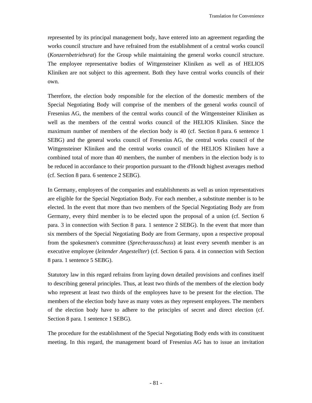represented by its principal management body, have entered into an agreement regarding the works council structure and have refrained from the establishment of a central works council (*Konzernbetriebsrat*) for the Group while maintaining the general works council structure. The employee representative bodies of Wittgensteiner Kliniken as well as of HELIOS Kliniken are not subject to this agreement. Both they have central works councils of their own.

Therefore, the election body responsible for the election of the domestic members of the Special Negotiating Body will comprise of the members of the general works council of Fresenius AG, the members of the central works council of the Wittgensteiner Kliniken as well as the members of the central works council of the HELIOS Kliniken. Since the maximum number of members of the election body is 40 (cf. Section 8 para. 6 sentence 1 SEBG) and the general works council of Fresenius AG, the central works council of the Wittgensteiner Kliniken and the central works council of the HELIOS Kliniken have a combined total of more than 40 members, the number of members in the election body is to be reduced in accordance to their proportion pursuant to the d'Hondt highest averages method (cf. Section 8 para. 6 sentence 2 SEBG).

In Germany, employees of the companies and establishments as well as union representatives are eligible for the Special Negotiation Body. For each member, a substitute member is to be elected. In the event that more than two members of the Special Negotiating Body are from Germany, every third member is to be elected upon the proposal of a union (cf. Section 6 para. 3 in connection with Section 8 para. 1 sentence 2 SEBG). In the event that more than six members of the Special Negotiating Body are from Germany, upon a respective proposal from the spokesmen's committee (*Sprecherausschuss*) at least every seventh member is an executive employee (*leitender Angestellter*) (cf. Section 6 para. 4 in connection with Section 8 para. 1 sentence 5 SEBG).

Statutory law in this regard refrains from laying down detailed provisions and confines itself to describing general principles. Thus, at least two thirds of the members of the election body who represent at least two thirds of the employees have to be present for the election. The members of the election body have as many votes as they represent employees. The members of the election body have to adhere to the principles of secret and direct election (cf. Section 8 para. 1 sentence 1 SEBG).

The procedure for the establishment of the Special Negotiating Body ends with its constituent meeting. In this regard, the management board of Fresenius AG has to issue an invitation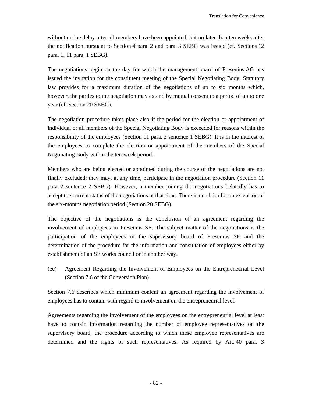without undue delay after all members have been appointed, but no later than ten weeks after the notification pursuant to Section 4 para. 2 and para. 3 SEBG was issued (cf. Sections 12 para. 1, 11 para. 1 SEBG).

The negotiations begin on the day for which the management board of Fresenius AG has issued the invitation for the constituent meeting of the Special Negotiating Body. Statutory law provides for a maximum duration of the negotiations of up to six months which, however, the parties to the negotiation may extend by mutual consent to a period of up to one year (cf. Section 20 SEBG).

The negotiation procedure takes place also if the period for the election or appointment of individual or all members of the Special Negotiating Body is exceeded for reasons within the responsibility of the employees (Section 11 para. 2 sentence 1 SEBG). It is in the interest of the employees to complete the election or appointment of the members of the Special Negotiating Body within the ten-week period.

Members who are being elected or appointed during the course of the negotiations are not finally excluded; they may, at any time, participate in the negotiation procedure (Section 11 para. 2 sentence 2 SEBG). However, a member joining the negotiations belatedly has to accept the current status of the negotiations at that time. There is no claim for an extension of the six-months negotiation period (Section 20 SEBG).

The objective of the negotiations is the conclusion of an agreement regarding the involvement of employees in Fresenius SE. The subject matter of the negotiations is the participation of the employees in the supervisory board of Fresenius SE and the determination of the procedure for the information and consultation of employees either by establishment of an SE works council or in another way.

(ee) Agreement Regarding the Involvement of Employees on the Entrepreneurial Level (Section 7.6 of the Conversion Plan)

Section 7.6 describes which minimum content an agreement regarding the involvement of employees has to contain with regard to involvement on the entrepreneurial level.

Agreements regarding the involvement of the employees on the entrepreneurial level at least have to contain information regarding the number of employee representatives on the supervisory board, the procedure according to which these employee representatives are determined and the rights of such representatives. As required by Art. 40 para. 3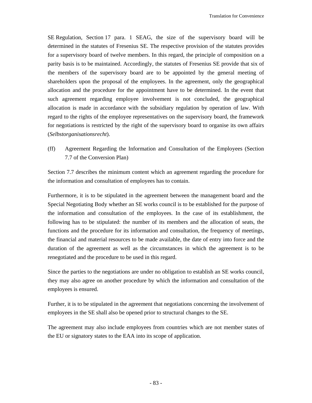SE Regulation, Section 17 para. 1 SEAG, the size of the supervisory board will be determined in the statutes of Fresenius SE. The respective provision of the statutes provides for a supervisory board of twelve members. In this regard, the principle of composition on a parity basis is to be maintained. Accordingly, the statutes of Fresenius SE provide that six of the members of the supervisory board are to be appointed by the general meeting of shareholders upon the proposal of the employees. In the agreement, only the geographical allocation and the procedure for the appointment have to be determined. In the event that such agreement regarding employee involvement is not concluded, the geographical allocation is made in accordance with the subsidiary regulation by operation of law. With regard to the rights of the employee representatives on the supervisory board, the framework for negotiations is restricted by the right of the supervisory board to organise its own affairs (*Selbstorganisationsrecht*).

(ff) Agreement Regarding the Information and Consultation of the Employees (Section 7.7 of the Conversion Plan)

Section 7.7 describes the minimum content which an agreement regarding the procedure for the information and consultation of employees has to contain.

Furthermore, it is to be stipulated in the agreement between the management board and the Special Negotiating Body whether an SE works council is to be established for the purpose of the information and consultation of the employees. In the case of its establishment, the following has to be stipulated: the number of its members and the allocation of seats, the functions and the procedure for its information and consultation, the frequency of meetings, the financial and material resources to be made available, the date of entry into force and the duration of the agreement as well as the circumstances in which the agreement is to be renegotiated and the procedure to be used in this regard.

Since the parties to the negotiations are under no obligation to establish an SE works council, they may also agree on another procedure by which the information and consultation of the employees is ensured.

Further, it is to be stipulated in the agreement that negotiations concerning the involvement of employees in the SE shall also be opened prior to structural changes to the SE.

The agreement may also include employees from countries which are not member states of the EU or signatory states to the EAA into its scope of application.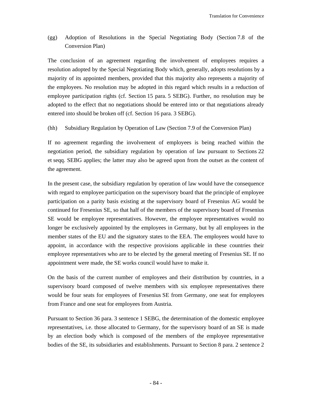(gg) Adoption of Resolutions in the Special Negotiating Body (Section 7.8 of the Conversion Plan)

The conclusion of an agreement regarding the involvement of employees requires a resolution adopted by the Special Negotiating Body which, generally, adopts resolutions by a majority of its appointed members, provided that this majority also represents a majority of the employees. No resolution may be adopted in this regard which results in a reduction of employee participation rights (cf. Section 15 para. 5 SEBG). Further, no resolution may be adopted to the effect that no negotiations should be entered into or that negotiations already entered into should be broken off (cf. Section 16 para. 3 SEBG).

(hh) Subsidiary Regulation by Operation of Law (Section 7.9 of the Conversion Plan)

If no agreement regarding the involvement of employees is being reached within the negotiation period, the subsidiary regulation by operation of law pursuant to Sections 22 et seqq. SEBG applies; the latter may also be agreed upon from the outset as the content of the agreement.

In the present case, the subsidiary regulation by operation of law would have the consequence with regard to employee participation on the supervisory board that the principle of employee participation on a parity basis existing at the supervisory board of Fresenius AG would be continued for Fresenius SE, so that half of the members of the supervisory board of Fresenius SE would be employee representatives. However, the employee representatives would no longer be exclusively appointed by the employees in Germany, but by all employees in the member states of the EU and the signatory states to the EEA. The employees would have to appoint, in accordance with the respective provisions applicable in these countries their employee representatives who are to be elected by the general meeting of Fresenius SE. If no appointment were made, the SE works council would have to make it.

On the basis of the current number of employees and their distribution by countries, in a supervisory board composed of twelve members with six employee representatives there would be four seats for employees of Fresenius SE from Germany, one seat for employees from France and one seat for employees from Austria.

Pursuant to Section 36 para. 3 sentence 1 SEBG, the determination of the domestic employee representatives, i.e. those allocated to Germany, for the supervisory board of an SE is made by an election body which is composed of the members of the employee representative bodies of the SE, its subsidiaries and establishments. Pursuant to Section 8 para. 2 sentence 2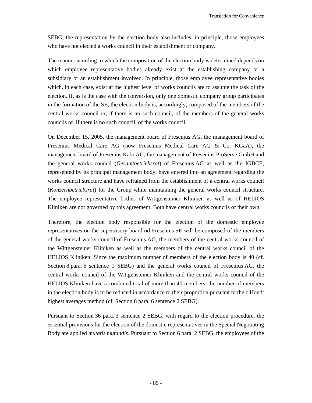SEBG, the representation by the election body also includes, in principle, those employees who have not elected a works council in their establishment or company.

The manner acording to which the composition of the election body is determined depends on which employee representative bodies already exist at the establishing company or a subsidiary or an establishment involved. In principle, those employee representative bodies which, in each case, exist at the highest level of works councils are to assume the task of the election. If, as is the case with the conversion, only one domestic company group participates in the formation of the SE, the election body is, accordingly, composed of the members of the central works council or, if there is no such council, of the members of the general works councils or, if there is no such council, of the works council.

On December 15, 2005, the management board of Fresenius AG, the management board of Fresenius Medical Care AG (now Fresenius Medical Care AG & Co. KGaA), the management board of Fresenius Kabi AG, the management of Fresenius ProServe GmbH and the general works council (*Gesamtbetriebsrat*) of Fresenius AG as well as the IGBCE, represented by its principal management body, have entered into an agreement regarding the works council structure and have refrained from the establishment of a central works council (*Konzernbetriebsrat*) for the Group while maintaining the general works council structure. The employee representative bodies of Wittgensteiner Kliniken as well as of HELIOS Kliniken are not governed by this agreement. Both have central works councils of their own.

Therefore, the election body responsible for the election of the domestic employee representatives on the supervisory board od Fresenius SE will be composed of the members of the general works council of Fresenius AG, the members of the central works council of the Wittgensteiner Kliniken as well as the members of the central works council of the HELIOS Kliniken. Since the maximum number of members of the election body is 40 (cf. Section 8 para. 6 sentence 1 SEBG) and the general works council of Fresenius AG, the central works council of the Wittgensteiner Kliniken and the central works council of the HELIOS Kliniken have a combined total of more than 40 members, the number of members in the election body is to be reduced in accordance to their proportion pursuant to the d'Hondt highest averages method (cf. Section 8 para. 6 sentence 2 SEBG).

Pursuant to Section 36 para. 3 sentence 2 SEBG, with regard to the election procedure, the essential provisions for the election of the domestic representatives in the Special Negotiating Body are applied *mutatis mutandis*. Pursuant to Section 6 para. 2 SEBG, the employees of the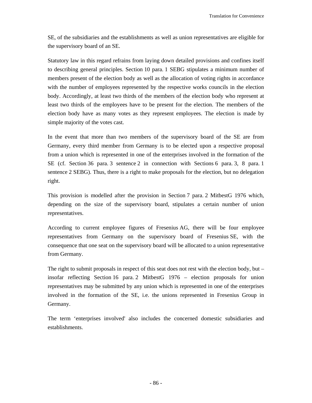SE, of the subsidiaries and the establishments as well as union representatives are eligible for the supervisory board of an SE.

Statutory law in this regard refrains from laying down detailed provisions and confines itself to describing general principles. Section 10 para. 1 SEBG stipulates a minimum number of members present of the election body as well as the allocation of voting rights in accordance with the number of employees represented by the respective works councils in the election body. Accordingly, at least two thirds of the members of the election body who represent at least two thirds of the employees have to be present for the election. The members of the election body have as many votes as they represent employees. The election is made by simple majority of the votes cast.

In the event that more than two members of the supervisory board of the SE are from Germany, every third member from Germany is to be elected upon a respective proposal from a union which is represented in one of the enterprises involved in the formation of the SE (cf. Section 36 para. 3 sentence 2 in connection with Sections 6 para. 3, 8 para. 1 sentence 2 SEBG). Thus, there is a right to make proposals for the election, but no delegation right.

This provision is modelled after the provision in Section 7 para. 2 MitbestG 1976 which, depending on the size of the supervisory board, stipulates a certain number of union representatives.

According to current employee figures of Fresenius AG, there will be four employee representatives from Germany on the supervisory board of Fresenius SE, with the consequence that one seat on the supervisory board will be allocated to a union representative from Germany.

The right to submit proposals in respect of this seat does not rest with the election body, but – insofar reflecting Section 16 para. 2 MitbestG 1976 – election proposals for union representatives may be submitted by any union which is represented in one of the enterprises involved in the formation of the SE, i.e. the unions represented in Fresenius Group in Germany.

The term 'enterprises involved' also includes the concerned domestic subsidiaries and establishments.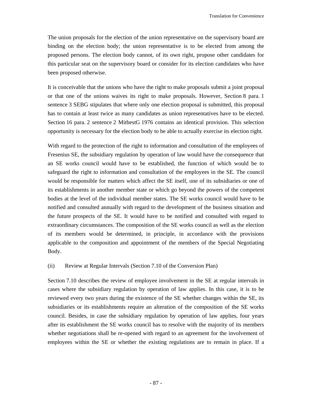The union proposals for the election of the union representative on the supervisory board are binding on the election body; the union representative is to be elected from among the proposed persons. The election body cannot, of its own right, propose other candidates for this particular seat on the supervisory board or consider for its election candidates who have been proposed otherwise.

It is conceivable that the unions who have the right to make proposals submit a joint proposal or that one of the unions waives its right to make proposals. However, Section 8 para. 1 sentence 3 SEBG stipulates that where only one election proposal is submitted, this proposal has to contain at least twice as many candidates as union representatives have to be elected. Section 16 para. 2 sentence 2 MitbestG 1976 contains an identical provision. This selection opportunity is necessary for the election body to be able to actually exercise its election right.

With regard to the protection of the right to information and consultation of the employees of Fresenius SE, the subsidiary regulation by operation of law would have the consequence that an SE works council would have to be established, the function of which would be to safeguard the right to information and consultation of the employees in the SE. The council would be responsible for matters which affect the SE itself, one of its subsidiaries or one of its establishments in another member state or which go beyond the powers of the competent bodies at the level of the individual member states. The SE works council would have to be notified and consulted annually with regard to the development of the business situation and the future prospects of the SE. It would have to be notified and consulted with regard to extraordinary circumstances. The composition of the SE works council as well as the election of its members would be determined, in principle, in accordance with the provisions applicable to the composition and appointment of the members of the Special Negotiating Body.

#### (ii) Review at Regular Intervals (Section 7.10 of the Conversion Plan)

Section 7.10 describes the review of employee involvement in the SE at regular intervals in cases where the subsidiary regulation by operation of law applies. In this case, it is to be reviewed every two years during the existence of the SE whether changes within the SE, its subsidiaries or its establishments require an alteration of the composition of the SE works council. Besides, in case the subsidiary regulation by operation of law applies, four years after its establishment the SE works council has to resolve with the majority of its members whether negotiations shall be re-opened with regard to an agreement for the involvement of employees within the SE or whether the existing regulations are to remain in place. If a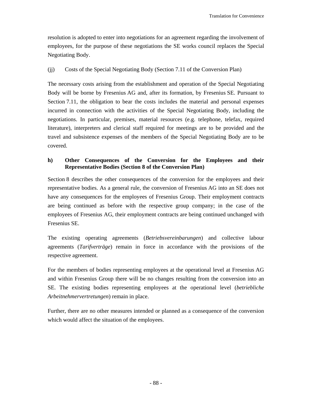resolution is adopted to enter into negotiations for an agreement regarding the involvement of employees, for the purpose of these negotiations the SE works council replaces the Special Negotiating Body.

### (jj) Costs of the Special Negotiating Body (Section 7.11 of the Conversion Plan)

The necessary costs arising from the establishment and operation of the Special Negotiating Body will be borne by Fresenius AG and, after its formation, by Fresenius SE. Pursuant to Section 7.11, the obligation to bear the costs includes the material and personal expenses incurred in connection with the activities of the Special Negotiating Body, including the negotiations. In particular, premises, material resources (e.g. telephone, telefax, required literature), interpreters and clerical staff required for meetings are to be provided and the travel and subsistence expenses of the members of the Special Negotiating Body are to be covered.

### **h) Other Consequences of the Conversion for the Employees and their Representative Bodies (Section 8 of the Conversion Plan)**

Section 8 describes the other consequences of the conversion for the employees and their representative bodies. As a general rule, the conversion of Fresenius AG into an SE does not have any consequences for the employees of Fresenius Group. Their employment contracts are being continued as before with the respective group company; in the case of the employees of Fresenius AG, their employment contracts are being continued unchanged with Fresenius SE.

The existing operating agreements (*Betriebsvereinbarungen*) and collective labour agreements (*Tarifverträge*) remain in force in accordance with the provisions of the respective agreement.

For the members of bodies representing employees at the operational level at Fresenius AG and within Fresenius Group there will be no changes resulting from the conversion into an SE. The existing bodies representing employees at the operational level (*betriebliche Arbeitnehmervertretungen*) remain in place.

Further, there are no other measures intended or planned as a consequence of the conversion which would affect the situation of the employees.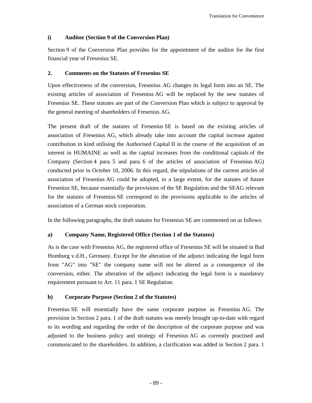### **i) Auditor (Section 9 of the Conversion Plan)**

Section 9 of the Conversion Plan provides for the appointment of the auditor for the first financial year of Fresenius SE.

### **2. Comments on the Statutes of Fresenius SE**

Upon effectiveness of the conversion, Fresenius AG changes its legal form into an SE. The existing articles of association of Fresenius AG will be replaced by the new statutes of Fresenius SE. These statutes are part of the Conversion Plan which is subject to approval by the general meeting of shareholders of Fresenius AG.

The present draft of the statutes of Fresenius SE is based on the existing articles of association of Fresenius AG, which already take into account the capital increase against contribution in kind utilising the Authorised Capital II in the course of the acquisition of an interest in HUMAINE as well as the capital increases from the conditional capitals of the Company (Section 4 para. 5 and para. 6 of the articles of association of Fresenius AG) conducted prior to October 10, 2006. In this regard, the stipulations of the current articles of association of Fresenius AG could be adopted, to a large extent, for the statutes of future Fresenius SE, because essentially the provisions of the SE Regulation and the SEAG relevant for the statutes of Fresenius SE correspond to the provisions applicable to the articles of association of a German stock corporation.

In the following paragraphs, the draft statutes for Fresenius SE are commented on as follows:

### **a) Company Name, Registered Office (Section 1 of the Statutes)**

As is the case with Fresenius AG, the registered office of Fresenius SE will be situated in Bad Homburg v.d.H., Germany. Except for the alteration of the adjunct indicating the legal form from "AG" into "SE" the company name will not be altered as a consequence of the conversion, either. The alteration of the adjunct indicating the legal form is a mandatory requirement pursuant to Art. 11 para. 1 SE Regulation.

## **b) Corporate Purpose (Section 2 of the Statutes)**

Fresenius SE will essentially have the same corporate purpose as Fresenius AG. The provision in Section 2 para. 1 of the draft statutes was merely brought up-to-date with regard to its wording and regarding the order of the description of the corporate purpose and was adjusted to the business policy and strategy of Fresenius AG as currently practised and communicated to the shareholders. In addition, a clarification was added in Section 2 para. 1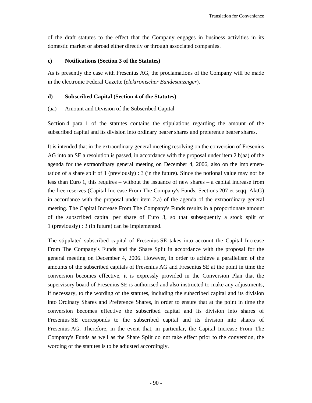of the draft statutes to the effect that the Company engages in business activities in its domestic market or abroad either directly or through associated companies.

### **c) Notifications (Section 3 of the Statutes)**

As is presently the case with Fresenius AG, the proclamations of the Company will be made in the electronic Federal Gazette (*elektronischer Bundesanzeiger*).

### **d) Subscribed Capital (Section 4 of the Statutes)**

### (aa) Amount and Division of the Subscribed Capital

Section 4 para. 1 of the statutes contains the stipulations regarding the amount of the subscribed capital and its division into ordinary bearer shares and preference bearer shares.

It is intended that in the extraordinary general meeting resolving on the conversion of Fresenius AG into an SE a resolution is passed, in accordance with the proposal under item 2.b)aa) of the agenda for the extraordinary general meeting on December 4, 2006, also on the implementation of a share split of 1 (previously) : 3 (in the future). Since the notional value may not be less than Euro 1, this requires – without the issuance of new shares – a capital increase from the free reserves (Capital Increase From The Company's Funds, Sections 207 et seqq. AktG) in accordance with the proposal under item 2.a) of the agenda of the extraordinary general meeting. The Capital Increase From The Company's Funds results in a proportionate amount of the subscribed capital per share of Euro 3, so that subsequently a stock split of 1 (previously) : 3 (in future) can be implemented.

The stipulated subscribed capital of Fresenius SE takes into account the Capital Increase From The Company's Funds and the Share Split in accordance with the proposal for the general meeting on December 4, 2006. However, in order to achieve a parallelism of the amounts of the subscribed capitals of Fresenius AG and Fresenius SE at the point in time the conversion becomes effective, it is expressly provided in the Conversion Plan that the supervisory board of Fresenius SE is authorised and also instructed to make any adjustments, if necessary, to the wording of the statutes, including the subscribed capital and its division into Ordinary Shares and Preference Shares, in order to ensure that at the point in time the conversion becomes effective the subscribed capital and its division into shares of Fresenius SE corresponds to the subscribed capital and its division into shares of Fresenius AG. Therefore, in the event that, in particular, the Capital Increase From The Company's Funds as well as the Share Split do not take effect prior to the conversion, the wording of the statutes is to be adjusted accordingly.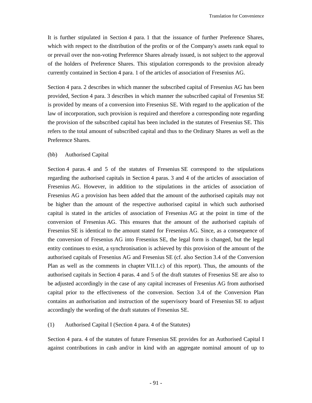It is further stipulated in Section 4 para. 1 that the issuance of further Preference Shares, which with respect to the distribution of the profits or of the Company's assets rank equal to or prevail over the non-voting Preference Shares already issued, is not subject to the approval of the holders of Preference Shares. This stipulation corresponds to the provision already currently contained in Section 4 para. 1 of the articles of association of Fresenius AG.

Section 4 para. 2 describes in which manner the subscribed capital of Fresenius AG has been provided, Section 4 para. 3 describes in which manner the subscribed capital of Fresenius SE is provided by means of a conversion into Fresenius SE. With regard to the application of the law of incorporation, such provision is required and therefore a corresponding note regarding the provision of the subscribed capital has been included in the statutes of Fresenius SE. This refers to the total amount of subscribed capital and thus to the Ordinary Shares as well as the Preference Shares.

#### (bb) Authorised Capital

Section 4 paras. 4 and 5 of the statutes of Fresenius SE correspond to the stipulations regarding the authorised capitals in Section 4 paras. 3 and 4 of the articles of association of Fresenius AG. However, in addition to the stipulations in the articles of association of Fresenius AG a provision has been added that the amount of the authorised capitals may not be higher than the amount of the respective authorised capital in which such authorised capital is stated in the articles of association of Fresenius AG at the point in time of the conversion of Fresenius AG. This ensures that the amount of the authorised capitals of Fresenius SE is identical to the amount stated for Fresenius AG. Since, as a consequence of the conversion of Fresenius AG into Fresenius SE, the legal form is changed, but the legal entity continues to exist, a synchronisation is achieved by this provision of the amount of the authorised capitals of Fresenius AG and Fresenius SE (cf. also Section 3.4 of the Conversion Plan as well as the comments in chapter VII.1.c) of this report). Thus, the amounts of the authorised capitals in Section 4 paras. 4 and 5 of the draft statutes of Fresenius SE are also to be adjusted accordingly in the case of any capital increases of Fresenius AG from authorised capital prior to the effectiveness of the conversion. Section 3.4 of the Conversion Plan contains an authorisation and instruction of the supervisory board of Fresenius SE to adjust accordingly the wording of the draft statutes of Fresenius SE.

#### (1) Authorised Capital I (Section 4 para. 4 of the Statutes)

Section 4 para. 4 of the statutes of future Fresenius SE provides for an Authorised Capital I against contributions in cash and/or in kind with an aggregate nominal amount of up to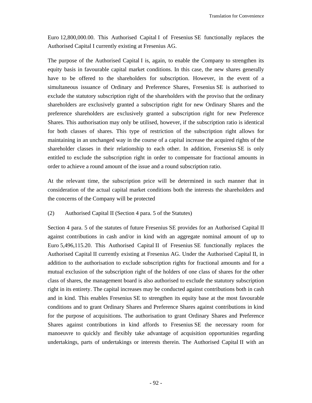Euro 12,800,000.00. This Authorised Capital I of Fresenius SE functionally replaces the Authorised Capital I currently existing at Fresenius AG.

The purpose of the Authorised Capital I is, again, to enable the Company to strengthen its equity basis in favourable capital market conditions. In this case, the new shares generally have to be offered to the shareholders for subscription. However, in the event of a simultaneous issuance of Ordinary and Preference Shares, Fresenius SE is authorised to exclude the statutory subscription right of the shareholders with the proviso that the ordinary shareholders are exclusively granted a subscription right for new Ordinary Shares and the preference shareholders are exclusively granted a subscription right for new Preference Shares. This authorisation may only be utilised, however, if the subscription ratio is identical for both classes of shares. This type of restriction of the subscription right allows for maintaining in an unchanged way in the course of a capital increase the acquired rights of the shareholder classes in their relationship to each other. In addition, Fresenius SE is only entitled to exclude the subscription right in order to compensate for fractional amounts in order to achieve a round amount of the issue and a round subscription ratio.

At the relevant time, the subscription price will be determined in such manner that in consideration of the actual capital market conditions both the interests the shareholders and the concerns of the Company will be protected

### (2) Authorised Capital II (Section 4 para. 5 of the Statutes)

Section 4 para. 5 of the statutes of future Fresenius SE provides for an Authorised Capital II against contributions in cash and/or in kind with an aggregate nominal amount of up to Euro 5,496,115.20. This Authorised Capital II of Fresenius SE functionally replaces the Authorised Capital II currently existing at Fresenius AG. Under the Authorised Capital II, in addition to the authorisation to exclude subscription rights for fractional amounts and for a mutual exclusion of the subscription right of the holders of one class of shares for the other class of shares, the management board is also authorised to exclude the statutory subscription right in its entirety. The capital increases may be conducted against contributions both in cash and in kind. This enables Fresenius SE to strengthen its equity base at the most favourable conditions and to grant Ordinary Shares and Preference Shares against contributions in kind for the purpose of acquisitions. The authorisation to grant Ordinary Shares and Preference Shares against contributions in kind affords to Fresenius SE the necessary room for manoeuvre to quickly and flexibly take advantage of acquisition opportunities regarding undertakings, parts of undertakings or interests therein. The Authorised Capital II with an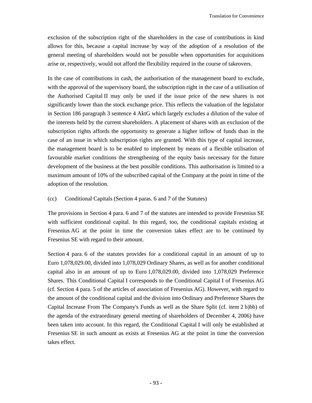exclusion of the subscription right of the shareholders in the case of contributions in kind allows for this, because a capital increase by way of the adoption of a resolution of the general meeting of shareholders would not be possible when opportunities for acquisitions arise or, respectively, would not afford the flexibility required in the course of takeovers.

In the case of contributions in cash, the authorisation of the management board to exclude, with the approval of the supervisory board, the subscription right in the case of a utilisation of the Authorised Capital II may only be used if the issue price of the new shares is not significantly lower than the stock exchange price. This reflects the valuation of the legislator in Section 186 paragraph 3 sentence 4 AktG which largely excludes a dilution of the value of the interests held by the current shareholders. A placement of shares with an exclusion of the subscription rights affords the opportunity to generate a higher inflow of funds than in the case of an issue in which subscription rights are granted. With this type of capital increase, the management board is to be enabled to implement by means of a flexible utilisation of favourable market conditions the strengthening of the equity basis necessary for the future development of the business at the best possible conditions. This authorisation is limited to a maximum amount of 10% of the subscribed capital of the Company at the point in time of the adoption of the resolution.

### (cc) Conditional Capitals (Section 4 paras. 6 and 7 of the Statutes)

The provisions in Section 4 para. 6 and 7 of the statutes are intended to provide Fresenius SE with sufficient conditional capital. In this regard, too, the conditional capitals existing at Fresenius AG at the point in time the conversion takes effect are to be continued by Fresenius SE with regard to their amount.

Section 4 para. 6 of the statutes provides for a conditional capital in an amount of up to Euro 1,078,029.00, divided into 1,078,029 Ordinary Shares, as well as for another conditional capital also in an amount of up to Euro 1,078,029.00, divided into 1,078,029 Preference Shares. This Conditional Capital I corresponds to the Conditional Capital I of Fresenius AG (cf. Section 4 para. 5 of the articles of association of Fresenius AG). However, with regard to the amount of the conditional capital and the division into Ordinary and Preference Shares the Capital Increase From The Company's Funds as well as the Share Split (cf. item 2 b)bb) of the agenda of the extraordinary general meeting of shareholders of December 4, 2006) have been taken into account. In this regard, the Conditional Capital I will only be established at Fresenius SE in such amount as exists at Fresenius AG at the point in time the conversion takes effect.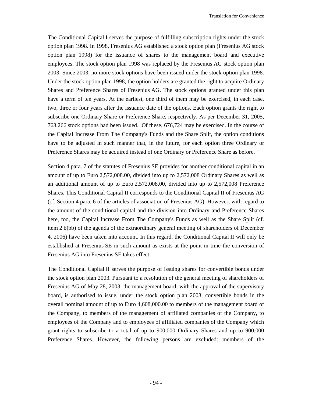The Conditional Capital I serves the purpose of fulfilling subscription rights under the stock option plan 1998. In 1998, Fresenius AG established a stock option plan (Fresenius AG stock option plan 1998) for the issuance of shares to the management board and executive employees. The stock option plan 1998 was replaced by the Fresenius AG stock option plan 2003. Since 2003, no more stock options have been issued under the stock option plan 1998. Under the stock option plan 1998, the option holders are granted the right to acquire Ordinary Shares and Preference Shares of Fresenius AG. The stock options granted under this plan have a term of ten years. At the earliest, one third of them may be exercised, in each case, two, three or four years after the issuance date of the options. Each option grants the right to subscribe one Ordinary Share or Preference Share, respectively. As per December 31, 2005, 763,266 stock options had been issued. Of these, 676,724 may be exercised. In the course of the Capital Increase From The Company's Funds and the Share Split, the option conditions have to be adjusted in such manner that, in the future, for each option three Ordinary or Preference Shares may be acquired instead of one Ordinary or Preference Share as before.

Section 4 para. 7 of the statutes of Fresenius SE provides for another conditional capital in an amount of up to Euro 2,572,008.00, divided into up to 2,572,008 Ordinary Shares as well as an additional amount of up to Euro 2,572,008.00, divided into up to 2,572,008 Preference Shares. This Conditional Capital II corresponds to the Conditional Capital II of Fresenius AG (cf. Section 4 para. 6 of the articles of association of Fresenius AG). However, with regard to the amount of the conditional capital and the division into Ordinary and Preference Shares here, too, the Capital Increase From The Company's Funds as well as the Share Split (cf. item 2 b)bb) of the agenda of the extraordinary general meeting of shareholders of December 4, 2006) have been taken into account. In this regard, the Conditional Capital II will only be established at Fresenius SE in such amount as exists at the point in time the conversion of Fresenius AG into Fresenius SE takes effect.

The Conditional Capital II serves the purpose of issuing shares for convertible bonds under the stock option plan 2003. Pursuant to a resolution of the general meeting of shareholders of Fresenius AG of May 28, 2003, the management board, with the approval of the supervisory board, is authorised to issue, under the stock option plan 2003, convertible bonds in the overall nominal amount of up to Euro 4,608,000.00 to members of the management board of the Company, to members of the management of affiliated companies of the Company, to employees of the Company and to employees of affiliated companies of the Company which grant rights to subscribe to a total of up to 900,000 Ordinary Shares and up to 900,000 Preference Shares. However, the following persons are excluded: members of the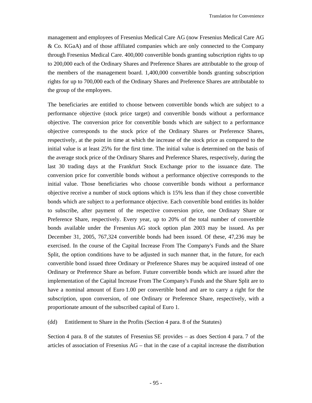management and employees of Fresenius Medical Care AG (now Fresenius Medical Care AG & Co. KGaA) and of those affiliated companies which are only connected to the Company through Fresenius Medical Care. 400,000 convertible bonds granting subscription rights to up to 200,000 each of the Ordinary Shares and Preference Shares are attributable to the group of the members of the management board. 1,400,000 convertible bonds granting subscription rights for up to 700,000 each of the Ordinary Shares and Preference Shares are attributable to the group of the employees.

The beneficiaries are entitled to choose between convertible bonds which are subject to a performance objective (stock price target) and convertible bonds without a performance objective. The conversion price for convertible bonds which are subject to a performance objective corresponds to the stock price of the Ordinary Shares or Preference Shares, respectively, at the point in time at which the increase of the stock price as compared to the initial value is at least 25% for the first time. The initial value is determined on the basis of the average stock price of the Ordinary Shares and Preference Shares, respectively, during the last 30 trading days at the Frankfurt Stock Exchange prior to the issuance date. The conversion price for convertible bonds without a performance objective corresponds to the initial value. Those beneficiaries who choose convertible bonds without a performance objective receive a number of stock options which is 15% less than if they chose convertible bonds which are subject to a performance objective. Each convertible bond entitles its holder to subscribe, after payment of the respective conversion price, one Ordinary Share or Preference Share, respectively. Every year, up to 20% of the total number of convertible bonds available under the Fresenius AG stock option plan 2003 may be issued. As per December 31, 2005, 767,324 convertible bonds had been issued. Of these, 47,236 may be exercised. In the course of the Capital Increase From The Company's Funds and the Share Split, the option conditions have to be adjusted in such manner that, in the future, for each convertible bond issued three Ordinary or Preference Shares may be acquired instead of one Ordinary or Preference Share as before. Future convertible bonds which are issued after the implementation of the Capital Increase From The Company's Funds and the Share Split are to have a nominal amount of Euro 1.00 per convertible bond and are to carry a right for the subscription, upon conversion, of one Ordinary or Preference Share, respectively, with a proportionate amount of the subscribed capital of Euro 1.

(dd) Entitlement to Share in the Profits (Section 4 para. 8 of the Statutes)

Section 4 para. 8 of the statutes of Fresenius SE provides – as does Section 4 para. 7 of the articles of association of Fresenius AG – that in the case of a capital increase the distribution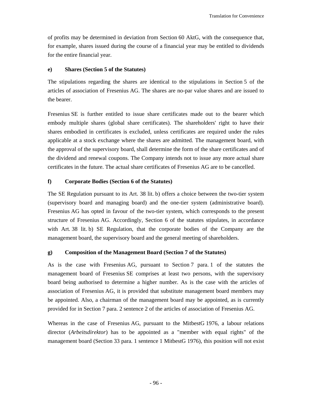of profits may be determined in deviation from Section 60 AktG, with the consequence that, for example, shares issued during the course of a financial year may be entitled to dividends for the entire financial year.

### **e) Shares (Section 5 of the Statutes)**

The stipulations regarding the shares are identical to the stipulations in Section 5 of the articles of association of Fresenius AG. The shares are no-par value shares and are issued to the bearer.

Fresenius SE is further entitled to issue share certificates made out to the bearer which embody multiple shares (global share certificates). The shareholders' right to have their shares embodied in certificates is excluded, unless certificates are required under the rules applicable at a stock exchange where the shares are admitted. The management board, with the approval of the supervisory board, shall determine the form of the share certificates and of the dividend and renewal coupons. The Company intends not to issue any more actual share certificates in the future. The actual share certificates of Fresenius AG are to be cancelled.

### **f) Corporate Bodies (Section 6 of the Statutes)**

The SE Regulation pursuant to its Art. 38 lit. b) offers a choice between the two-tier system (supervisory board and managing board) and the one-tier system (administrative board). Fresenius AG has opted in favour of the two-tier system, which corresponds to the present structure of Fresenius AG. Accordingly, Section 6 of the statutes stipulates, in accordance with Art. 38 lit. b) SE Regulation, that the corporate bodies of the Company are the management board, the supervisory board and the general meeting of shareholders.

## **g) Composition of the Management Board (Section 7 of the Statutes)**

As is the case with Fresenius AG, pursuant to Section 7 para. 1 of the statutes the management board of Fresenius SE comprises at least two persons, with the supervisory board being authorised to determine a higher number. As is the case with the articles of association of Fresenius AG, it is provided that substitute management board members may be appointed. Also, a chairman of the management board may be appointed, as is currently provided for in Section 7 para. 2 sentence 2 of the articles of association of Fresenius AG.

Whereas in the case of Fresenius AG, pursuant to the MitbestG 1976, a labour relations director (*Arbeitsdirektor*) has to be appointed as a "member with equal rights" of the management board (Section 33 para. 1 sentence 1 MitbestG 1976), this position will not exist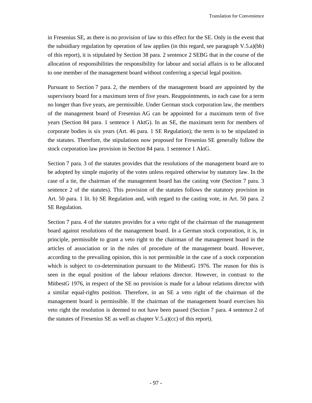in Fresenius SE, as there is no provision of law to this effect for the SE. Only in the event that the subsidiary regulation by operation of law applies (in this regard, see paragraph V.5.a)(bb) of this report), it is stipulated by Section 38 para. 2 sentence 2 SEBG that in the course of the allocation of responsibilities the responsibility for labour and social affairs is to be allocated to one member of the management board without conferring a special legal position.

Pursuant to Section 7 para. 2, the members of the management board are appointed by the supervisory board for a maximum term of five years. Reappointments, in each case for a term no longer than five years, are permissible. Under German stock corporation law, the members of the management board of Fresenius AG can be appointed for a maximum term of five years (Section 84 para. 1 sentence 1 AktG). In an SE, the maximum term for members of corporate bodies is six years (Art. 46 para. 1 SE Regulation); the term is to be stipulated in the statutes. Therefore, the stipulations now proposed for Fresenius SE generally follow the stock corporation law provision in Section 84 para. 1 sentence 1 AktG.

Section 7 para. 3 of the statutes provides that the resolutions of the management board are to be adopted by simple majority of the votes unless required otherwise by statutory law. In the case of a tie, the chairman of the management board has the casting vote (Section 7 para. 3 sentence 2 of the statutes). This provision of the statutes follows the statutory provision in Art. 50 para. 1 lit. b) SE Regulation and, with regard to the casting vote, in Art. 50 para. 2 SE Regulation.

Section 7 para. 4 of the statutes provides for a veto right of the chairman of the management board against resolutions of the management board. In a German stock corporation, it is, in principle, permissible to grant a veto right to the chairman of the management board in the articles of association or in the rules of procedure of the management board. However, according to the prevailing opinion, this is not permissible in the case of a stock corporation which is subject to co-determination pursuant to the MitbestG 1976. The reason for this is seen in the equal position of the labour relations director. However, in contrast to the MitbestG 1976, in respect of the SE no provision is made for a labour relations director with a similar equal-rights position. Therefore, in an SE a veto right of the chairman of the management board is permissible. If the chairman of the management board exercises his veto right the resolution is deemed to not have been passed (Section 7 para. 4 sentence 2 of the statutes of Fresenius SE as well as chapter V.5.a)(cc) of this report).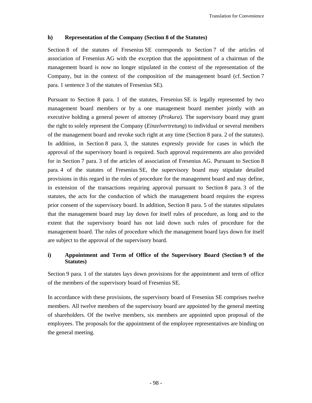### **h) Representation of the Company (Section 8 of the Statutes)**

Section 8 of the statutes of Fresenius SE corresponds to Section 7 of the articles of association of Fresenius AG with the exception that the appointment of a chairman of the management board is now no longer stipulated in the context of the representation of the Company, but in the context of the composition of the management board (cf. Section 7 para. 1 sentence 3 of the statutes of Fresenius SE).

Pursuant to Section 8 para. 1 of the statutes, Fresenius SE is legally represented by two management board members or by a one management board member jointly with an executive holding a general power of attorney (*Prokura*). The supervisory board may grant the right to solely represent the Company (*Einzelvertretung*) to individual or several members of the management board and revoke such right at any time (Section 8 para. 2 of the statutes). In addition, in Section 8 para. 3, the statutes expressly provide for cases in which the approval of the supervisory board is required. Such approval requirements are also provided for in Section 7 para. 3 of the articles of association of Fresenius AG. Pursuant to Section 8 para. 4 of the statutes of Fresenius SE, the supervisory board may stipulate detailed provisions in this regard in the rules of procedure for the management board and may define, in extension of the transactions requiring approval pursuant to Section 8 para. 3 of the statutes, the acts for the conduction of which the management board requires the express prior consent of the supervisory board. In addition, Section 8 para. 5 of the statutes stipulates that the management board may lay down for itself rules of procedure, as long and to the extent that the supervisory board has not laid down such rules of procedure for the management board. The rules of procedure which the management board lays down for itself are subject to the approval of the supervisory board.

# **i) Appointment and Term of Office of the Supervisory Board (Section 9 of the Statutes)**

Section 9 para. 1 of the statutes lays down provisions for the appointment and term of office of the members of the supervisory board of Fresenius SE.

In accordance with these provisions, the supervisory board of Fresenius SE comprises twelve members. All twelve members of the supervisory board are appointed by the general meeting of shareholders. Of the twelve members, six members are appointed upon proposal of the employees. The proposals for the appointment of the employee representatives are binding on the general meeting.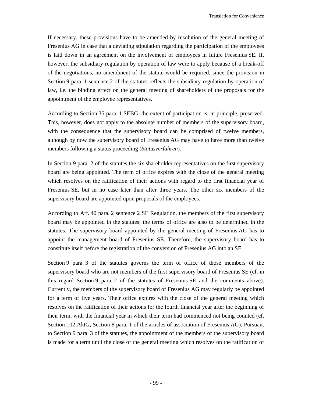If necessary, these provisions have to be amended by resolution of the general meeting of Fresenius AG in case that a deviating stipulation regarding the participation of the employees is laid down in an agreement on the involvement of employees in future Fresenius SE. If, however, the subsidiary regulation by operation of law were to apply because of a break-off of the negotiations, no amendment of the statute would be required, since the provision in Section 9 para. 1 sentence 2 of the statutes reflects the subsidiary regulation by operation of law, i.e. the binding effect on the general meeting of shareholders of the proposals for the appointment of the employee representatives.

According to Section 35 para. 1 SEBG, the extent of participation is, in principle, preserved. This, however, does not apply to the absolute number of members of the supervisory board, with the consequence that the supervisory board can be comprised of twelve members, although by now the supervisory board of Fresenius AG may have to have more than twelve members following a status proceeding (*Statusverfahren*).

In Section 9 para. 2 of the statutes the six shareholder representatives on the first supervisory board are being appointed. The term of office expires with the close of the general meeting which resolves on the ratification of their actions with regard to the first financial year of Fresenius SE, but in no case later than after three years. The other six members of the supervisory board are appointed upon proposals of the employees.

According to Art. 40 para. 2 sentence 2 SE Regulation, the members of the first supervisory board may be appointed in the statutes; the terms of office are also to be determined in the statutes. The supervisory board appointed by the general meeting of Fresenius AG has to appoint the management board of Fresenius SE. Therefore, the supervisory board has to constitute itself before the registration of the conversion of Fresenius AG into an SE.

Section 9 para. 3 of the statutes governs the term of office of those members of the supervisory board who are not members of the first supervisory board of Fresenius SE (cf. in this regard Section 9 para. 2 of the statutes of Fresenius SE and the comments above). Currently, the members of the supervisory board of Fresenius AG may regularly be appointed for a term of five years. Their office expires with the close of the general meeting which resolves on the ratification of their actions for the fourth financial year after the beginning of their term, with the financial year in which their term had commenced not being counted (cf. Section 102 AktG, Section 8 para. 1 of the articles of association of Fresenius AG). Pursuant to Section 9 para. 3 of the statutes, the appointment of the members of the supervisory board is made for a term until the close of the general meeting which resolves on the ratification of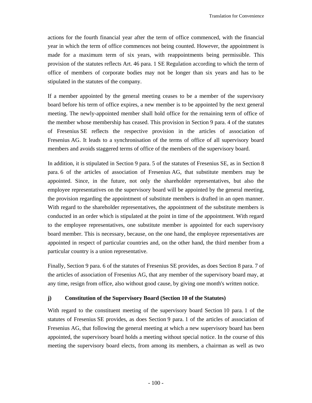actions for the fourth financial year after the term of office commenced, with the financial year in which the term of office commences not being counted. However, the appointment is made for a maximum term of six years, with reappointments being permissible. This provision of the statutes reflects Art. 46 para. 1 SE Regulation according to which the term of office of members of corporate bodies may not be longer than six years and has to be stipulated in the statutes of the company.

If a member appointed by the general meeting ceases to be a member of the supervisory board before his term of office expires, a new member is to be appointed by the next general meeting. The newly-appointed member shall hold office for the remaining term of office of the member whose membership has ceased. This provision in Section 9 para. 4 of the statutes of Fresenius SE reflects the respective provision in the articles of association of Fresenius AG. It leads to a synchronisation of the terms of office of all supervisory board members and avoids staggered terms of office of the members of the supervisory board.

In addition, it is stipulated in Section 9 para. 5 of the statutes of Fresenius SE, as in Section 8 para. 6 of the articles of association of Fresenius AG, that substitute members may be appointed. Since, in the future, not only the shareholder representatives, but also the employee representatives on the supervisory board will be appointed by the general meeting, the provision regarding the appointment of substitute members is drafted in an open manner. With regard to the shareholder representatives, the appointment of the substitute members is conducted in an order which is stipulated at the point in time of the appointment. With regard to the employee representatives, one substitute member is appointed for each supervisory board member. This is necessary, because, on the one hand, the employee representatives are appointed in respect of particular countries and, on the other hand, the third member from a particular country is a union representative.

Finally, Section 9 para. 6 of the statutes of Fresenius SE provides, as does Section 8 para. 7 of the articles of association of Fresenius AG, that any member of the supervisory board may, at any time, resign from office, also without good cause, by giving one month's written notice.

### **j) Constitution of the Supervisory Board (Section 10 of the Statutes)**

With regard to the constituent meeting of the supervisory board Section 10 para. 1 of the statutes of Fresenius SE provides, as does Section 9 para. 1 of the articles of association of Fresenius AG, that following the general meeting at which a new supervisory board has been appointed, the supervisory board holds a meeting without special notice. In the course of this meeting the supervisory board elects, from among its members, a chairman as well as two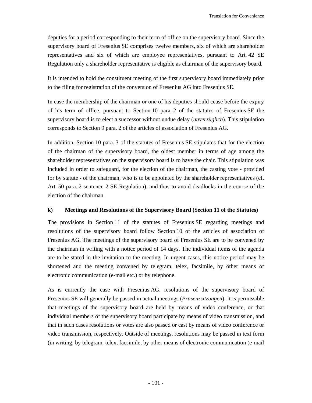deputies for a period corresponding to their term of office on the supervisory board. Since the supervisory board of Fresenius SE comprises twelve members, six of which are shareholder representatives and six of which are employee representatives, pursuant to Art. 42 SE Regulation only a shareholder representative is eligible as chairman of the supervisory board.

It is intended to hold the constituent meeting of the first supervisory board immediately prior to the filing for registration of the conversion of Fresenius AG into Fresenius SE.

In case the membership of the chairman or one of his deputies should cease before the expiry of his term of office, pursuant to Section 10 para. 2 of the statutes of Fresenius SE the supervisory board is to elect a successor without undue delay (*unverzüglich*). This stipulation corresponds to Section 9 para. 2 of the articles of association of Fresenius AG.

In addition, Section 10 para. 3 of the statutes of Fresenius SE stipulates that for the election of the chairman of the supervisory board, the oldest member in terms of age among the shareholder representatives on the supervisory board is to have the chair. This stipulation was included in order to safeguard, for the election of the chairman, the casting vote - provided for by statute - of the chairman, who is to be appointed by the shareholder representatives (cf. Art. 50 para. 2 sentence 2 SE Regulation), and thus to avoid deadlocks in the course of the election of the chairman.

## **k) Meetings and Resolutions of the Supervisory Board (Section 11 of the Statutes)**

The provisions in Section 11 of the statutes of Fresenius SE regarding meetings and resolutions of the supervisory board follow Section 10 of the articles of association of Fresenius AG. The meetings of the supervisory board of Fresenius SE are to be convened by the chairman in writing with a notice period of 14 days. The individual items of the agenda are to be stated in the invitation to the meeting. In urgent cases, this notice period may be shortened and the meeting convened by telegram, telex, facsimile, by other means of electronic communication (e-mail etc.) or by telephone.

As is currently the case with Fresenius AG, resolutions of the supervisory board of Fresenius SE will generally be passed in actual meetings (*Präsenzsitzungen*). It is permissible that meetings of the supervisory board are held by means of video conference, or that individual members of the supervisory board participate by means of video transmission, and that in such cases resolutions or votes are also passed or cast by means of video conference or video transmission, respectively. Outside of meetings, resolutions may be passed in text form (in writing, by telegram, telex, facsimile, by other means of electronic communication (e-mail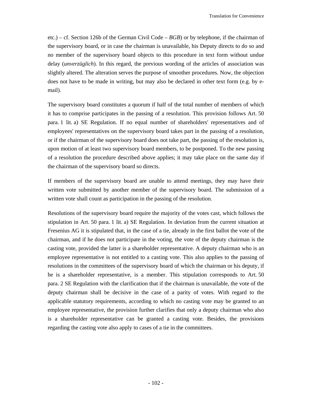etc.) – cf. Section 126b of the German Civil Code – *BGB*) or by telephone, if the chairman of the supervisory board, or in case the chairman is unavailable, his Deputy directs to do so and no member of the supervisory board objects to this procedure in text form without undue delay (*unverzüglich*). In this regard, the previous wording of the articles of association was slightly altered. The alteration serves the purpose of smoother procedures. Now, the objection does not have to be made in writing, but may also be declared in other text form (e.g. by email).

The supervisory board constitutes a quorum if half of the total number of members of which it has to comprise participates in the passing of a resolution. This provision follows Art. 50 para. 1 lit. a) SE Regulation. If no equal number of shareholders' representatives and of employees' representatives on the supervisory board takes part in the passing of a resolution, or if the chairman of the supervisory board does not take part, the passing of the resolution is, upon motion of at least two supervisory board members, to be postponed. To the new passing of a resolution the procedure described above applies; it may take place on the same day if the chairman of the supervisory board so directs.

If members of the supervisory board are unable to attend meetings, they may have their written vote submitted by another member of the supervisory board. The submission of a written vote shall count as participation in the passing of the resolution.

Resolutions of the supervisory board require the majority of the votes cast, which follows the stipulation in Art. 50 para. 1 lit. a) SE Regulation. In deviation from the current situation at Fresenius AG it is stipulated that, in the case of a tie, already in the first ballot the vote of the chairman, and if he does not participate in the voting, the vote of the deputy chairman is the casting vote, provided the latter is a shareholder representative. A deputy chairman who is an employee representative is not entitled to a casting vote. This also applies to the passing of resolutions in the committees of the supervisory board of which the chairman or his deputy, if he is a shareholder representative, is a member. This stipulation corresponds to Art. 50 para. 2 SE Regulation with the clarification that if the chairman is unavailable, the vote of the deputy chairman shall be decisive in the case of a parity of votes. With regard to the applicable statutory requirements, according to which no casting vote may be granted to an employee representative, the provision further clarifies that only a deputy chairman who also is a shareholder representative can be granted a casting vote. Besides, the provisions regarding the casting vote also apply to cases of a tie in the committees.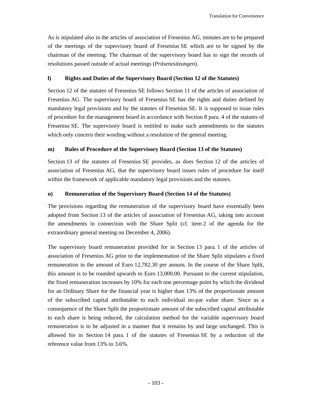As is stipulated also in the articles of association of Fresenius AG, minutes are to be prepared of the meetings of the supervisory board of Fresenius SE which are to be signed by the chairman of the meeting. The chairman of the supervisory board has to sign the records of resolutions passed outside of actual meetings (*Präsenzsitzungen*).

#### **l) Rights and Duties of the Supervisory Board (Section 12 of the Statutes)**

Section 12 of the statutes of Fresenius SE follows Section 11 of the articles of association of Fresenius AG. The supervisory board of Fresenius SE has the rights and duties defined by mandatory legal provisions and by the statutes of Fresenius SE. It is supposed to issue rules of procedure for the management board in accordance with Section 8 para. 4 of the statutes of Fresenius SE. The supervisory board is entitled to make such amendments to the statutes which only concern their wording without a resolution of the general meeting.

## **m) Rules of Procedure of the Supervisory Board (Section 13 of the Statutes)**

Section 13 of the statutes of Fresenius SE provides, as does Section 12 of the articles of association of Fresenius AG, that the supervisory board issues rules of procedure for itself within the framework of applicable mandatory legal provisions and the statutes.

## **n) Remuneration of the Supervisory Board (Section 14 of the Statutes)**

The provisions regarding the remuneration of the supervisory board have essentially been adopted from Section 13 of the articles of association of Fresenius AG, taking into account the amendments in connection with the Share Split (cf. item 2 of the agenda for the extraordinary general meeting on December 4, 2006).

The supervisory board remuneration provided for in Section 13 para. 1 of the articles of association of Fresenius AG prior to the implementation of the Share Split stipulates a fixed remuneration in the amount of Euro 12,782.30 per annum. In the course of the Share Split, this amount is to be rounded upwards to Euro 13,000.00. Pursuant to the current stipulation, the fixed remuneration increases by 10% for each one percentage point by which the dividend for an Ordinary Share for the financial year is higher than 13% of the proportionate amount of the subscribed capital attributable to each individual no-par value share. Since as a consequence of the Share Split the proportionate amount of the subscribed capital attributable to each share is being reduced, the calculation method for the variable supervisory board remuneration is to be adjusted in a manner that it remains by and large unchanged. This is allowed for in Section 14 para. 1 of the statutes of Fresenius SE by a reduction of the reference value from 13% to 3.6%.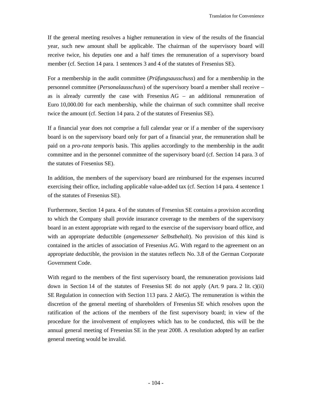If the general meeting resolves a higher remuneration in view of the results of the financial year, such new amount shall be applicable. The chairman of the supervisory board will receive twice, his deputies one and a half times the remuneration of a supervisory board member (cf. Section 14 para. 1 sentences 3 and 4 of the statutes of Fresenius SE).

For a membership in the audit committee (*Prüfungsausschuss*) and for a membership in the personnel committee (*Personalausschuss*) of the supervisory board a member shall receive – as is already currently the case with Fresenius  $AG - an$  additional remuneration of Euro 10,000.00 for each membership, while the chairman of such committee shall receive twice the amount (cf. Section 14 para. 2 of the statutes of Fresenius SE).

If a financial year does not comprise a full calendar year or if a member of the supervisory board is on the supervisory board only for part of a financial year, the remuneration shall be paid on a *pro-rata temporis* basis. This applies accordingly to the membership in the audit committee and in the personnel committee of the supervisory board (cf. Section 14 para. 3 of the statutes of Fresenius SE).

In addition, the members of the supervisory board are reimbursed for the expenses incurred exercising their office, including applicable value-added tax (cf. Section 14 para. 4 sentence 1 of the statutes of Fresenius SE).

Furthermore, Section 14 para. 4 of the statutes of Fresenius SE contains a provision according to which the Company shall provide insurance coverage to the members of the supervisory board in an extent appropriate with regard to the exercise of the supervisory board office, and with an appropriate deductible (*angemessener Selbstbehalt*). No provision of this kind is contained in the articles of association of Fresenius AG. With regard to the agreement on an appropriate deductible, the provision in the statutes reflects No. 3.8 of the German Corporate Government Code.

With regard to the members of the first supervisory board, the remuneration provisions laid down in Section 14 of the statutes of Fresenius SE do not apply (Art. 9 para. 2 lit. c)(ii) SE Regulation in connection with Section 113 para. 2 AktG). The remuneration is within the discretion of the general meeting of shareholders of Fresenius SE which resolves upon the ratification of the actions of the members of the first supervisory board; in view of the procedure for the involvement of employees which has to be conducted, this will be the annual general meeting of Fresenius SE in the year 2008. A resolution adopted by an earlier general meeting would be invalid.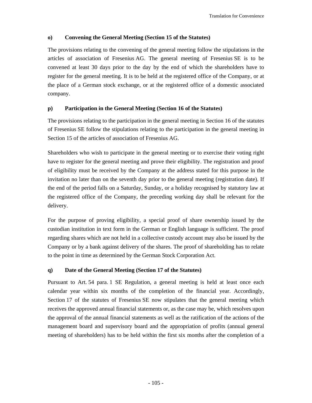# **o) Convening the General Meeting (Section 15 of the Statutes)**

The provisions relating to the convening of the general meeting follow the stipulations in the articles of association of Fresenius AG. The general meeting of Fresenius SE is to be convened at least 30 days prior to the day by the end of which the shareholders have to register for the general meeting. It is to be held at the registered office of the Company, or at the place of a German stock exchange, or at the registered office of a domestic associated company.

## **p) Participation in the General Meeting (Section 16 of the Statutes)**

The provisions relating to the participation in the general meeting in Section 16 of the statutes of Fresenius SE follow the stipulations relating to the participation in the general meeting in Section 15 of the articles of association of Fresenius AG.

Shareholders who wish to participate in the general meeting or to exercise their voting right have to register for the general meeting and prove their eligibility. The registration and proof of eligibility must be received by the Company at the address stated for this purpose in the invitation no later than on the seventh day prior to the general meeting (registration date). If the end of the period falls on a Saturday, Sunday, or a holiday recognised by statutory law at the registered office of the Company, the preceding working day shall be relevant for the delivery.

For the purpose of proving eligibility, a special proof of share ownership issued by the custodian institution in text form in the German or English language is sufficient. The proof regarding shares which are not held in a collective custody account may also be issued by the Company or by a bank against delivery of the shares. The proof of shareholding has to relate to the point in time as determined by the German Stock Corporation Act.

# **q) Date of the General Meeting (Section 17 of the Statutes)**

Pursuant to Art. 54 para. 1 SE Regulation, a general meeting is held at least once each calendar year within six months of the completion of the financial year. Accordingly, Section 17 of the statutes of Fresenius SE now stipulates that the general meeting which receives the approved annual financial statements or, as the case may be, which resolves upon the approval of the annual financial statements as well as the ratification of the actions of the management board and supervisory board and the appropriation of profits (annual general meeting of shareholders) has to be held within the first six months after the completion of a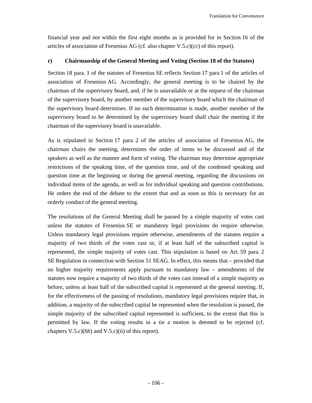financial year and not within the first eight months as is provided for in Section 16 of the articles of association of Fresenius AG (cf. also chapter V.5.c)(cc) of this report).

## **r) Chairmanship of the General Meeting and Voting (Section 18 of the Statutes)**

Section 18 para. 1 of the statutes of Fresenius SE reflects Section 17 para 1 of the articles of association of Fresenius AG. Accordingly, the general meeting is to be chaired by the chairman of the supervisory board, and, if he is unavailable or at the request of the chairman of the supervisory board, by another member of the supervisory board which the chairman of the supervisory board determines. If no such determination is made, another member of the supervisory board to be determined by the supervisory board shall chair the meeting if the chairman of the supervisory board is unavailable.

As is stipulated in Section 17 para. 2 of the articles of association of Fresenius AG, the chairman chairs the meeting, determines the order of items to be discussed and of the speakers as well as the manner and form of voting. The chairman may determine appropriate restrictions of the speaking time, of the question time, and of the combined speaking and question time at the beginning or during the general meeting, regarding the discussions on individual items of the agenda, as well as for individual speaking and question contributions. He orders the end of the debate to the extent that and as soon as this is necessary for an orderly conduct of the general meeting.

The resolutions of the General Meeting shall be passed by a simple majority of votes cast unless the statutes of Fresenius SE or mandatory legal provisions do require otherwise. Unless mandatory legal provisions require otherwise, amendments of the statutes require a majority of two thirds of the votes cast or, if at least half of the subscribed capital is represented, the simple majority of votes cast. This stipulation is based on Art. 59 para. 2 SE Regulation in connection with Section 51 SEAG. In effect, this means that – provided that no higher majority requirements apply pursuant to mandatory law – amendments of the statutes now require a majority of two thirds of the votes cast instead of a simple majority as before, unless at least half of the subscribed capital is represented at the general meeting. If, for the effectiveness of the passing of resolutions, mandatory legal provisions require that, in addition, a majority of the subscribed capital be represented when the resolution is passed, the simple majority of the subscribed capital represented is sufficient, to the extent that this is permitted by law. If the voting results in a tie a motion is deemed to be rejected (cf. chapters  $V.5.c$ )(hh) and  $V.5.c$ )(ii) of this report).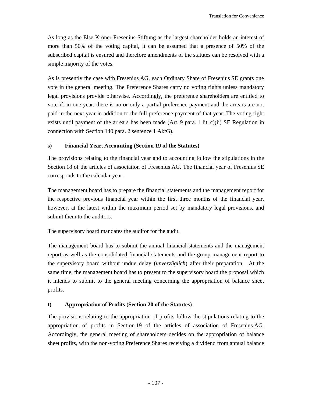As long as the Else Kröner-Fresenius-Stiftung as the largest shareholder holds an interest of more than 50% of the voting capital, it can be assumed that a presence of 50% of the subscribed capital is ensured and therefore amendments of the statutes can be resolved with a simple majority of the votes.

As is presently the case with Fresenius AG, each Ordinary Share of Fresenius SE grants one vote in the general meeting. The Preference Shares carry no voting rights unless mandatory legal provisions provide otherwise. Accordingly, the preference shareholders are entitled to vote if, in one year, there is no or only a partial preference payment and the arrears are not paid in the next year in addition to the full preference payment of that year. The voting right exists until payment of the arrears has been made (Art. 9 para. 1 lit. c)(ii) SE Regulation in connection with Section 140 para. 2 sentence 1 AktG).

## **s) Financial Year, Accounting (Section 19 of the Statutes)**

The provisions relating to the financial year and to accounting follow the stipulations in the Section 18 of the articles of association of Fresenius AG. The financial year of Fresenius SE corresponds to the calendar year.

The management board has to prepare the financial statements and the management report for the respective previous financial year within the first three months of the financial year, however, at the latest within the maximum period set by mandatory legal provisions, and submit them to the auditors.

The supervisory board mandates the auditor for the audit.

The management board has to submit the annual financial statements and the management report as well as the consolidated financial statements and the group management report to the supervisory board without undue delay (*unverzüglich*) after their preparation. At the same time, the management board has to present to the supervisory board the proposal which it intends to submit to the general meeting concerning the appropriation of balance sheet profits.

#### **t) Appropriation of Profits (Section 20 of the Statutes)**

The provisions relating to the appropriation of profits follow the stipulations relating to the appropriation of profits in Section 19 of the articles of association of Fresenius AG. Accordingly, the general meeting of shareholders decides on the appropriation of balance sheet profits, with the non-voting Preference Shares receiving a dividend from annual balance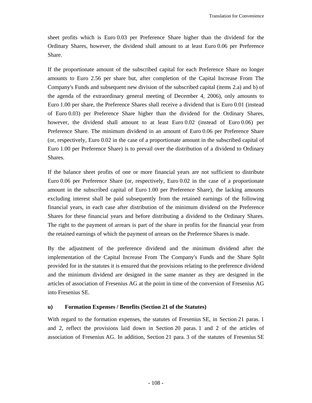sheet profits which is Euro 0.03 per Preference Share higher than the dividend for the Ordinary Shares, however, the dividend shall amount to at least Euro 0.06 per Preference Share.

If the proportionate amount of the subscribed capital for each Preference Share no longer amounts to Euro 2.56 per share but, after completion of the Capital Increase From The Company's Funds and subsequent new division of the subscribed capital (items 2.a) and b) of the agenda of the extraordinary general meeting of December 4, 2006), only amounts to Euro 1.00 per share, the Preference Shares shall receive a dividend that is Euro 0.01 (instead of Euro 0.03) per Preference Share higher than the dividend for the Ordinary Shares, however, the dividend shall amount to at least Euro 0.02 (instead of Euro 0.06) per Preference Share. The minimum dividend in an amount of Euro 0.06 per Preference Share (or, respectively, Euro 0.02 in the case of a proportionate amount in the subscribed capital of Euro 1.00 per Preference Share) is to prevail over the distribution of a dividend to Ordinary Shares.

If the balance sheet profits of one or more financial years are not sufficient to distribute Euro 0.06 per Preference Share (or, respectively, Euro 0.02 in the case of a proportionate amount in the subscribed capital of Euro 1.00 per Preference Share), the lacking amounts excluding interest shall be paid subsequently from the retained earnings of the following financial years, in each case after distribution of the minimum dividend on the Preference Shares for these financial years and before distributing a dividend to the Ordinary Shares. The right to the payment of arrears is part of the share in profits for the financial year from the retained earnings of which the payment of arrears on the Preference Shares is made.

By the adjustment of the preference dividend and the minimum dividend after the implementation of the Capital Increase From The Company's Funds and the Share Split provided for in the statutes it is ensured that the provisions relating to the preference dividend and the minimum dividend are designed in the same manner as they are designed in the articles of association of Fresenius AG at the point in time of the conversion of Fresenius AG into Fresenius SE.

#### **u) Formation Expenses / Benefits (Section 21 of the Statutes)**

With regard to the formation expenses, the statutes of Fresenius SE, in Section 21 paras. 1 and 2, reflect the provisions laid down in Section 20 paras. 1 and 2 of the articles of association of Fresenius AG. In addition, Section 21 para. 3 of the statutes of Fresenius SE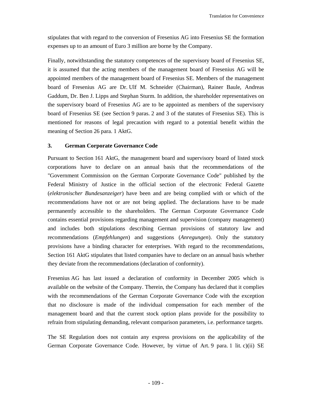stipulates that with regard to the conversion of Fresenius AG into Fresenius SE the formation expenses up to an amount of Euro 3 million are borne by the Company.

Finally, notwithstanding the statutory competences of the supervisory board of Fresenius SE, it is assumed that the acting members of the management board of Fresenius AG will be appointed members of the management board of Fresenius SE. Members of the management board of Fresenius AG are Dr. Ulf M. Schneider (Chairman), Rainer Baule, Andreas Gaddum, Dr. Ben J. Lipps and Stephan Sturm. In addition, the shareholder representatives on the supervisory board of Fresenius AG are to be appointed as members of the supervisory board of Fresenius SE (see Section 9 paras. 2 and 3 of the statutes of Fresenius SE). This is mentioned for reasons of legal precaution with regard to a potential benefit within the meaning of Section 26 para. 1 AktG.

## **3. German Corporate Governance Code**

Pursuant to Section 161 AktG, the management board and supervisory board of listed stock corporations have to declare on an annual basis that the recommendations of the "Government Commission on the German Corporate Governance Code" published by the Federal Ministry of Justice in the official section of the electronic Federal Gazette (*elektronischer Bundesanzeiger*) have been and are being complied with or which of the recommendations have not or are not being applied. The declarations have to be made permanently accessible to the shareholders. The German Corporate Governance Code contains essential provisions regarding management and supervision (company management) and includes both stipulations describing German provisions of statutory law and recommendations (*Empfehlungen*) and suggestions (*Anregungen*). Only the statutory provisions have a binding character for enterprises. With regard to the recommendations, Section 161 AktG stipulates that listed companies have to declare on an annual basis whether they deviate from the recommendations (declaration of conformity).

Fresenius AG has last issued a declaration of conformity in December 2005 which is available on the website of the Company. Therein, the Company has declared that it complies with the recommendations of the German Corporate Governance Code with the exception that no disclosure is made of the individual compensation for each member of the management board and that the current stock option plans provide for the possibility to refrain from stipulating demanding, relevant comparison parameters, i.e. performance targets.

The SE Regulation does not contain any express provisions on the applicability of the German Corporate Governance Code. However, by virtue of Art. 9 para. 1 lit. c)(ii) SE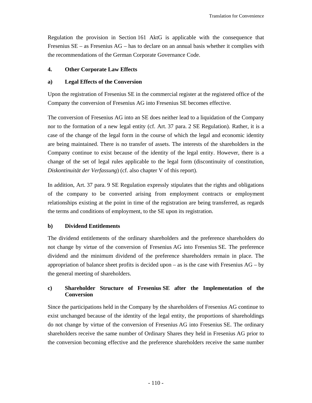Regulation the provision in Section 161 AktG is applicable with the consequence that Fresenius SE – as Fresenius AG – has to declare on an annual basis whether it complies with the recommendations of the German Corporate Governance Code.

# **4. Other Corporate Law Effects**

## **a) Legal Effects of the Conversion**

Upon the registration of Fresenius SE in the commercial register at the registered office of the Company the conversion of Fresenius AG into Fresenius SE becomes effective.

The conversion of Fresenius AG into an SE does neither lead to a liquidation of the Company nor to the formation of a new legal entity (cf. Art. 37 para. 2 SE Regulation). Rather, it is a case of the change of the legal form in the course of which the legal and economic identity are being maintained. There is no transfer of assets. The interests of the shareholders in the Company continue to exist because of the identity of the legal entity. However, there is a change of the set of legal rules applicable to the legal form (discontinuity of constitution, *Diskontinuität der Verfassung*) (cf. also chapter V of this report).

In addition, Art. 37 para. 9 SE Regulation expressly stipulates that the rights and obligations of the company to be converted arising from employment contracts or employment relationships existing at the point in time of the registration are being transferred, as regards the terms and conditions of employment, to the SE upon its registration.

# **b) Dividend Entitlements**

The dividend entitlements of the ordinary shareholders and the preference shareholders do not change by virtue of the conversion of Fresenius AG into Fresenius SE. The preference dividend and the minimum dividend of the preference shareholders remain in place. The appropriation of balance sheet profits is decided upon – as is the case with Fresenius  $AG - by$ the general meeting of shareholders.

# **c) Shareholder Structure of Fresenius SE after the Implementation of the Conversion**

Since the participations held in the Company by the shareholders of Fresenius AG continue to exist unchanged because of the identity of the legal entity, the proportions of shareholdings do not change by virtue of the conversion of Fresenius AG into Fresenius SE. The ordinary shareholders receive the same number of Ordinary Shares they held in Fresenius AG prior to the conversion becoming effective and the preference shareholders receive the same number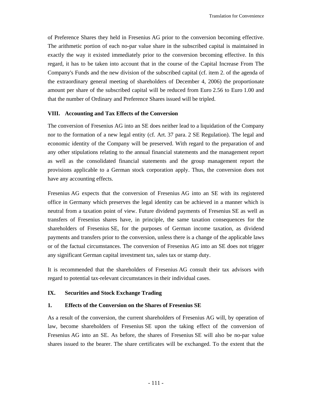of Preference Shares they held in Fresenius AG prior to the conversion becoming effective. The arithmetic portion of each no-par value share in the subscribed capital is maintained in exactly the way it existed immediately prior to the conversion becoming effective. In this regard, it has to be taken into account that in the course of the Capital Increase From The Company's Funds and the new division of the subscribed capital (cf. item 2. of the agenda of the extraordinary general meeting of shareholders of December 4, 2006) the proportionate amount per share of the subscribed capital will be reduced from Euro 2.56 to Euro 1.00 and that the number of Ordinary and Preference Shares issued will be tripled.

#### **VIII. Accounting and Tax Effects of the Conversion**

The conversion of Fresenius AG into an SE does neither lead to a liquidation of the Company nor to the formation of a new legal entity (cf. Art. 37 para. 2 SE Regulation). The legal and economic identity of the Company will be preserved. With regard to the preparation of and any other stipulations relating to the annual financial statements and the management report as well as the consolidated financial statements and the group management report the provisions applicable to a German stock corporation apply. Thus, the conversion does not have any accounting effects.

Fresenius AG expects that the conversion of Fresenius AG into an SE with its registered office in Germany which preserves the legal identity can be achieved in a manner which is neutral from a taxation point of view. Future dividend payments of Fresenius SE as well as transfers of Fresenius shares have, in principle, the same taxation consequences for the shareholders of Fresenius SE, for the purposes of German income taxation, as dividend payments and transfers prior to the conversion, unless there is a change of the applicable laws or of the factual circumstances. The conversion of Fresenius AG into an SE does not trigger any significant German capital investment tax, sales tax or stamp duty.

It is recommended that the shareholders of Fresenius AG consult their tax advisors with regard to potential tax-relevant circumstances in their individual cases.

#### **IX. Securities and Stock Exchange Trading**

#### **1. Effects of the Conversion on the Shares of Fresenius SE**

As a result of the conversion, the current shareholders of Fresenius AG will, by operation of law, become shareholders of Fresenius SE upon the taking effect of the conversion of Fresenius AG into an SE. As before, the shares of Fresenius SE will also be no-par value shares issued to the bearer. The share certificates will be exchanged. To the extent that the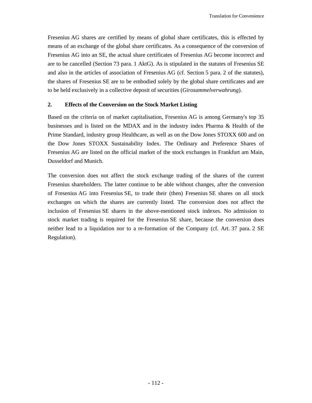Fresenius AG shares are certified by means of global share certificates, this is effected by means of an exchange of the global share certificates. As a consequence of the conversion of Fresenius AG into an SE, the actual share certificates of Fresenius AG become incorrect and are to be cancelled (Section 73 para. 1 AktG). As is stipulated in the statutes of Fresenius SE and also in the articles of association of Fresenius AG (cf. Section 5 para. 2 of the statutes), the shares of Fresenius SE are to be embodied solely by the global share certificates and are to be held exclusively in a collective deposit of securities (*Girosammelverwahrung*).

#### **2. Effects of the Conversion on the Stock Market Listing**

Based on the criteria on of market capitalisation, Fresenius AG is among Germany's top 35 businesses and is listed on the MDAX and in the industry index Pharma & Health of the Prime Standard, industry group Healthcare, as well as on the Dow Jones STOXX 600 and on the Dow Jones STOXX Sustainability Index. The Ordinary and Preference Shares of Fresenius AG are listed on the official market of the stock exchanges in Frankfurt am Main, Dusseldorf and Munich.

The conversion does not affect the stock exchange trading of the shares of the current Fresenius shareholders. The latter continue to be able without changes, after the conversion of Fresenius AG into Fresenius SE, to trade their (then) Fresenius SE shares on all stock exchanges on which the shares are currently listed. The conversion does not affect the inclusion of Fresenius SE shares in the above-mentioned stock indexes. No admission to stock market trading is required for the Fresenius SE share, because the conversion does neither lead to a liquidation nor to a re-formation of the Company (cf. Art. 37 para. 2 SE Regulation).